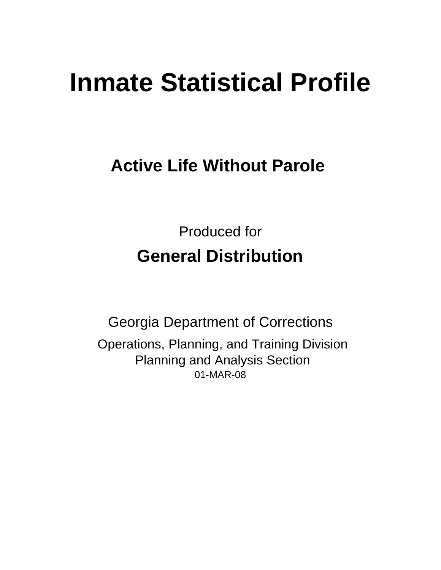# **Inmate Statistical Profile**

# **Active Life Without Parole**

Produced for **General Distribution**

01-MAR-08 Georgia Department of Corrections Operations, Planning, and Training Division Planning and Analysis Section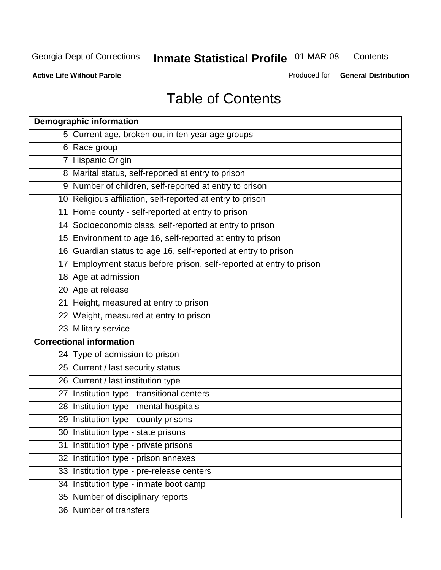**Contents** 

**Active Life Without Parole** 

Produced for **General Distribution**

# Table of Contents

| <b>Demographic information</b>                                       |
|----------------------------------------------------------------------|
| 5 Current age, broken out in ten year age groups                     |
| 6 Race group                                                         |
| 7 Hispanic Origin                                                    |
| 8 Marital status, self-reported at entry to prison                   |
| 9 Number of children, self-reported at entry to prison               |
| 10 Religious affiliation, self-reported at entry to prison           |
| 11 Home county - self-reported at entry to prison                    |
| 14 Socioeconomic class, self-reported at entry to prison             |
| 15 Environment to age 16, self-reported at entry to prison           |
| 16 Guardian status to age 16, self-reported at entry to prison       |
| 17 Employment status before prison, self-reported at entry to prison |
| 18 Age at admission                                                  |
| 20 Age at release                                                    |
| 21 Height, measured at entry to prison                               |
| 22 Weight, measured at entry to prison                               |
| 23 Military service                                                  |
| <b>Correctional information</b>                                      |
| 24 Type of admission to prison                                       |
| 25 Current / last security status                                    |
| 26 Current / last institution type                                   |
| 27 Institution type - transitional centers                           |
| 28 Institution type - mental hospitals                               |
| 29 Institution type - county prisons                                 |
| 30 Institution type - state prisons                                  |
| 31 Institution type - private prisons                                |
| 32 Institution type - prison annexes                                 |
| 33 Institution type - pre-release centers                            |
| 34 Institution type - inmate boot camp                               |
| 35 Number of disciplinary reports                                    |
| 36 Number of transfers                                               |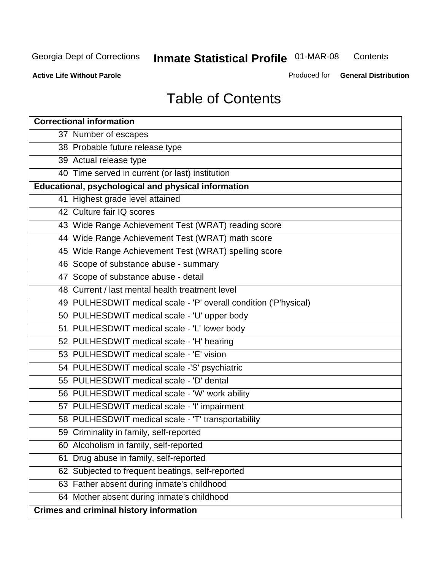**Contents** 

**Active Life Without Parole** 

Produced for **General Distribution**

# Table of Contents

| <b>Correctional information</b>                                  |
|------------------------------------------------------------------|
| 37 Number of escapes                                             |
| 38 Probable future release type                                  |
| 39 Actual release type                                           |
| 40 Time served in current (or last) institution                  |
| Educational, psychological and physical information              |
| 41 Highest grade level attained                                  |
| 42 Culture fair IQ scores                                        |
| 43 Wide Range Achievement Test (WRAT) reading score              |
| 44 Wide Range Achievement Test (WRAT) math score                 |
| 45 Wide Range Achievement Test (WRAT) spelling score             |
| 46 Scope of substance abuse - summary                            |
| 47 Scope of substance abuse - detail                             |
| 48 Current / last mental health treatment level                  |
| 49 PULHESDWIT medical scale - 'P' overall condition ('P'hysical) |
| 50 PULHESDWIT medical scale - 'U' upper body                     |
| 51 PULHESDWIT medical scale - 'L' lower body                     |
| 52 PULHESDWIT medical scale - 'H' hearing                        |
| 53 PULHESDWIT medical scale - 'E' vision                         |
| 54 PULHESDWIT medical scale -'S' psychiatric                     |
| 55 PULHESDWIT medical scale - 'D' dental                         |
| 56 PULHESDWIT medical scale - 'W' work ability                   |
| 57 PULHESDWIT medical scale - 'I' impairment                     |
| 58 PULHESDWIT medical scale - 'T' transportability               |
| 59 Criminality in family, self-reported                          |
| 60 Alcoholism in family, self-reported                           |
| Drug abuse in family, self-reported<br>61                        |
| 62 Subjected to frequent beatings, self-reported                 |
| 63 Father absent during inmate's childhood                       |
| 64 Mother absent during inmate's childhood                       |
| <b>Crimes and criminal history information</b>                   |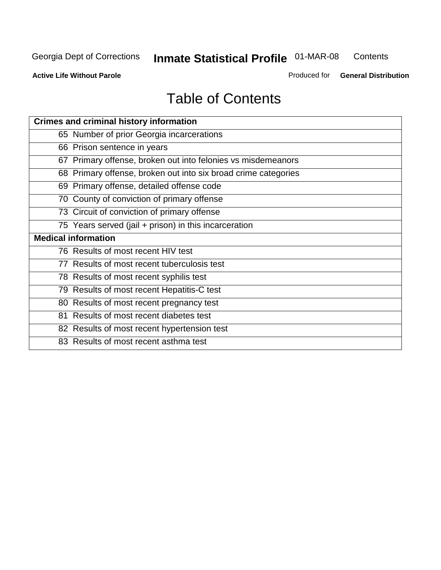**Contents** 

**Active Life Without Parole** 

Produced for **General Distribution**

# Table of Contents

| <b>Crimes and criminal history information</b>                 |
|----------------------------------------------------------------|
| 65 Number of prior Georgia incarcerations                      |
| 66 Prison sentence in years                                    |
| 67 Primary offense, broken out into felonies vs misdemeanors   |
| 68 Primary offense, broken out into six broad crime categories |
| 69 Primary offense, detailed offense code                      |
| 70 County of conviction of primary offense                     |
| 73 Circuit of conviction of primary offense                    |
| 75 Years served (jail + prison) in this incarceration          |
| <b>Medical information</b>                                     |
|                                                                |
| 76 Results of most recent HIV test                             |
| 77 Results of most recent tuberculosis test                    |
| 78 Results of most recent syphilis test                        |
| 79 Results of most recent Hepatitis-C test                     |
| 80 Results of most recent pregnancy test                       |
| 81 Results of most recent diabetes test                        |
| 82 Results of most recent hypertension test                    |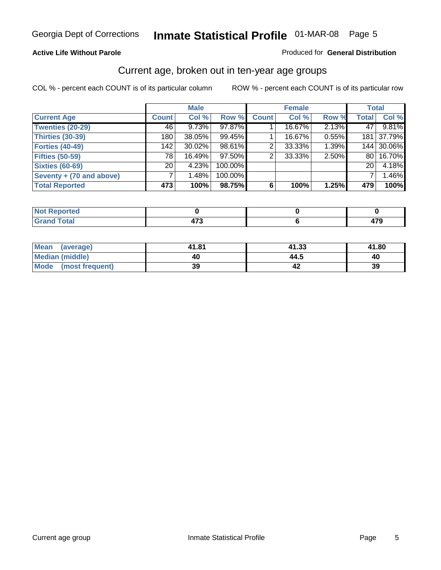#### **Active Life Without Parole**

#### Produced for **General Distribution**

#### Current age, broken out in ten-year age groups

|                          |              | <b>Male</b> |         |              | <b>Female</b> |       | <b>Total</b>    |            |
|--------------------------|--------------|-------------|---------|--------------|---------------|-------|-----------------|------------|
| <b>Current Age</b>       | <b>Count</b> | Col %       | Row %   | <b>Count</b> | Col %         | Row % | <b>Total</b>    | Col %      |
| <b>Twenties (20-29)</b>  | 46           | 9.73%       | 97.87%  |              | 16.67%        | 2.13% | 47              | 9.81%      |
| <b>Thirties (30-39)</b>  | 180          | 38.05%      | 99.45%  |              | 16.67%        | 0.55% | 181             | 37.79%     |
| <b>Forties (40-49)</b>   | 142          | $30.02\%$   | 98.61%  | 2            | 33.33%        | 1.39% |                 | 144 30.06% |
| <b>Fifties (50-59)</b>   | 78           | 16.49%      | 97.50%  | 2            | 33.33%        | 2.50% | 80 I            | 16.70%     |
| <b>Sixties (60-69)</b>   | 20           | 4.23%       | 100.00% |              |               |       | 20 <sup>1</sup> | 4.18%      |
| Seventy + (70 and above) |              | 1.48%       | 100.00% |              |               |       |                 | 1.46%      |
| <b>Total Reported</b>    | 473          | 100%        | 98.75%  | 6            | 100%          | 1.25% | 479             | 100%       |

| <b>Not Reported</b> |             |     |
|---------------------|-------------|-----|
| <b>Total</b>        | ---         | ^‴^ |
| $\mathbf{v}$ and    | <b>TI 4</b> | - 1 |

| Mean (average)       | 41.81 | 41.33 | 41.80 |
|----------------------|-------|-------|-------|
| Median (middle)      | 40    | 44.5  | 40    |
| Mode (most frequent) | 39    |       | 39    |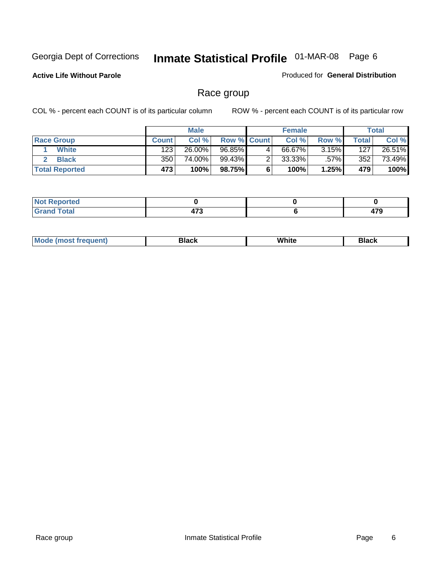**Active Life Without Parole** 

Produced for **General Distribution**

#### Race group

|                       |              | <b>Male</b> |                    |   | <b>Female</b> |          |       | <b>Total</b> |
|-----------------------|--------------|-------------|--------------------|---|---------------|----------|-------|--------------|
| <b>Race Group</b>     | <b>Count</b> | Col %       | <b>Row % Count</b> |   | Col %         | Row %    | Total | Col %        |
| <b>White</b>          | 123          | 26.00%      | 96.85%             | 4 | 66.67%        | $3.15\%$ | 127   | 26.51%       |
| <b>Black</b>          | 350          | 74.00%      | 99.43%             |   | $33.33\%$     | .57%     | 352   | 73.49%       |
| <b>Total Reported</b> | 473          | 100%        | 98.75%             |   | 100%          | 1.25%    | 479   | 100%         |

| eported<br>$\sim$ . The set of $\sim$ |      |     |
|---------------------------------------|------|-----|
| $f$ oto $f$                           | 170  | --- |
| ι νιαι                                | 41 J |     |

| $^1$ Mo. | Rlack | White | 3lack |
|----------|-------|-------|-------|
| .        |       |       |       |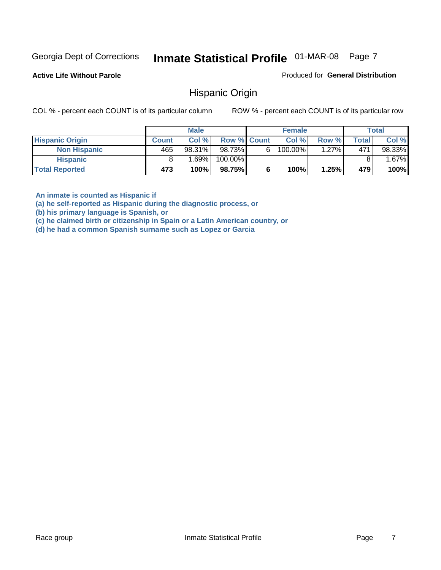**Active Life Without Parole** 

Produced for **General Distribution**

#### Hispanic Origin

COL % - percent each COUNT is of its particular column ROW % - percent each COUNT is of its particular row

|                        |              | <b>Male</b> |                    |   | <b>Female</b> |       |       | <b>Total</b> |
|------------------------|--------------|-------------|--------------------|---|---------------|-------|-------|--------------|
| <b>Hispanic Origin</b> | <b>Count</b> | Col %       | <b>Row % Count</b> |   | Col %         | Row % | Total | Col %        |
| <b>Non Hispanic</b>    | 465          | 98.31%      | 98.73%             | 6 | 100.00%       | 1.27% | 471   | 98.33%       |
| <b>Hispanic</b>        |              | ا %69.1     | 100.00%            |   |               |       |       | $.67\%$      |
| <b>Total Reported</b>  | 473          | 100%        | 98.75%             |   | 100%          | 1.25% | 479   | 100%         |

**An inmate is counted as Hispanic if** 

**(a) he self-reported as Hispanic during the diagnostic process, or** 

**(b) his primary language is Spanish, or** 

**(c) he claimed birth or citizenship in Spain or a Latin American country, or** 

**(d) he had a common Spanish surname such as Lopez or Garcia**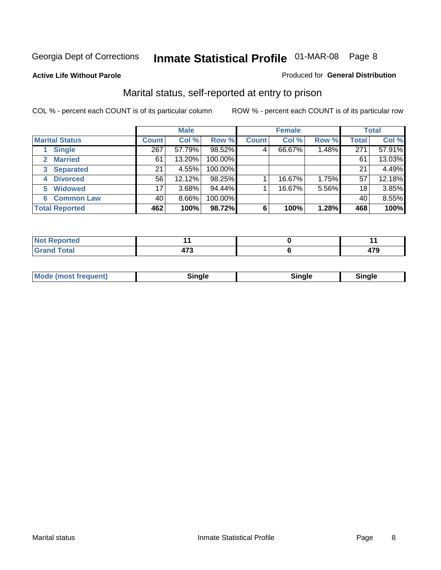#### **Active Life Without Parole**

#### Produced for **General Distribution**

#### Marital status, self-reported at entry to prison

|                        | <b>Male</b>  |          |         | <b>Female</b> |        |       | <b>Total</b> |        |
|------------------------|--------------|----------|---------|---------------|--------|-------|--------------|--------|
| <b>Marital Status</b>  | <b>Count</b> | Col %    | Row %   | <b>Count</b>  | Col %  | Row % | <b>Total</b> | Col %  |
| <b>Single</b>          | 267          | 57.79%   | 98.52%  | 4             | 66.67% | 1.48% | 271          | 57.91% |
| <b>Married</b><br>2    | 61           | 13.20%   | 100.00% |               |        |       | 61           | 13.03% |
| <b>Separated</b><br>3  | 21           | 4.55%    | 100.00% |               |        |       | 21           | 4.49%  |
| <b>Divorced</b><br>4   | 56           | 12.12%   | 98.25%  |               | 16.67% | 1.75% | 57           | 12.18% |
| <b>Widowed</b><br>5    | 17           | $3.68\%$ | 94.44%  |               | 16.67% | 5.56% | 18           | 3.85%  |
| <b>Common Law</b><br>6 | 40           | 8.66%    | 100.00% |               |        |       | 40           | 8.55%  |
| <b>Total Reported</b>  | 462          | 100%     | 98.72%  | 6             | 100%   | 1.28% | 468          | 100%   |

| кыс   |                |             |
|-------|----------------|-------------|
| ----- | -<br>. .<br>__ | 170<br>41 J |

| <b>Mode (most frequent)</b><br>Sinale<br>≒ınale |
|-------------------------------------------------|
|-------------------------------------------------|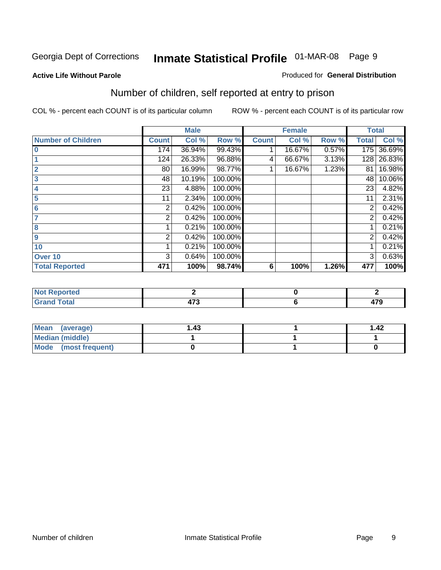#### **Active Life Without Parole**

#### Produced for **General Distribution**

### Number of children, self reported at entry to prison

|                           |              | <b>Male</b> |         |              | <b>Female</b> |       | <b>Total</b>   |        |
|---------------------------|--------------|-------------|---------|--------------|---------------|-------|----------------|--------|
| <b>Number of Children</b> | <b>Count</b> | Col %       | Row %   | <b>Count</b> | Col %         | Row % | <b>Total</b>   | Col %  |
| $\bf{0}$                  | 174          | 36.94%      | 99.43%  |              | 16.67%        | 0.57% | 175            | 36.69% |
|                           | 124          | 26.33%      | 96.88%  | 4            | 66.67%        | 3.13% | 128            | 26.83% |
| $\overline{2}$            | 80           | 16.99%      | 98.77%  |              | 16.67%        | 1.23% | 81             | 16.98% |
| 3                         | 48           | 10.19%      | 100.00% |              |               |       | 48             | 10.06% |
| 4                         | 23           | 4.88%       | 100.00% |              |               |       | 23             | 4.82%  |
| 5                         | 11           | 2.34%       | 100.00% |              |               |       | 11             | 2.31%  |
| $6\phantom{a}$            | 2            | 0.42%       | 100.00% |              |               |       | 2              | 0.42%  |
|                           | 2            | 0.42%       | 100.00% |              |               |       | 2              | 0.42%  |
| 8                         |              | 0.21%       | 100.00% |              |               |       |                | 0.21%  |
| 9                         | 2            | 0.42%       | 100.00% |              |               |       | $\overline{2}$ | 0.42%  |
| 10                        |              | 0.21%       | 100.00% |              |               |       |                | 0.21%  |
| Over 10                   | 3            | 0.64%       | 100.00% |              |               |       | 3              | 0.63%  |
| <b>Total Reported</b>     | 471          | 100%        | 98.74%  | 6            | 100%          | 1.26% | 477            | 100%   |

| ריי ∩רי<br>$\sim$               |     |               |
|---------------------------------|-----|---------------|
| <b>otal</b><br>$\mathbf{v}$ and | $-$ | $\rightarrow$ |

| <b>Mean</b><br>(average) | l 43 | 1.42 |
|--------------------------|------|------|
| Median (middle)          |      |      |
| Mode (most frequent)     |      |      |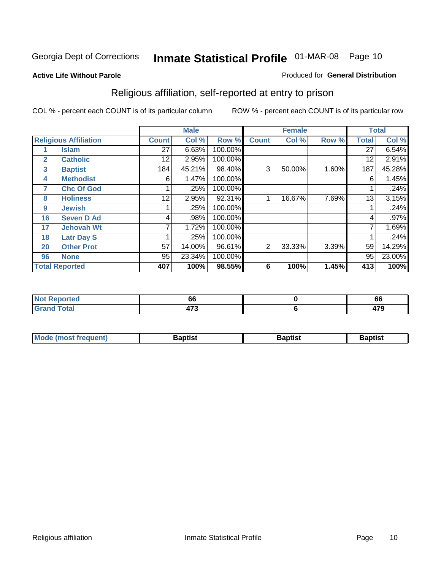#### **Active Life Without Parole**

#### Produced for **General Distribution**

### Religious affiliation, self-reported at entry to prison

|              |                              |              | <b>Male</b> |         |              | <b>Female</b> |       |              | <b>Total</b> |
|--------------|------------------------------|--------------|-------------|---------|--------------|---------------|-------|--------------|--------------|
|              | <b>Religious Affiliation</b> | <b>Count</b> | Col %       | Row %   | <b>Count</b> | Col %         | Row % | <b>Total</b> | Col %        |
|              | <b>Islam</b>                 | 27           | 6.63%       | 100.00% |              |               |       | 27           | 6.54%        |
| $\mathbf{2}$ | <b>Catholic</b>              | 12           | 2.95%       | 100.00% |              |               |       | 12           | 2.91%        |
| 3            | <b>Baptist</b>               | 184          | 45.21%      | 98.40%  | 3            | 50.00%        | 1.60% | 187          | 45.28%       |
| 4            | <b>Methodist</b>             | 6            | 1.47%       | 100.00% |              |               |       | 6            | 1.45%        |
| 7            | <b>Chc Of God</b>            |              | .25%        | 100.00% |              |               |       |              | .24%         |
| 8            | <b>Holiness</b>              | 12           | 2.95%       | 92.31%  |              | 16.67%        | 7.69% | 13           | 3.15%        |
| 9            | <b>Jewish</b>                |              | .25%        | 100.00% |              |               |       |              | .24%         |
| 16           | <b>Seven D Ad</b>            | 4            | .98%        | 100.00% |              |               |       | 4            | .97%         |
| 17           | <b>Jehovah Wt</b>            |              | 1.72%       | 100.00% |              |               |       | 7            | 1.69%        |
| 18           | <b>Latr Day S</b>            |              | .25%        | 100.00% |              |               |       |              | .24%         |
| 20           | <b>Other Prot</b>            | 57           | 14.00%      | 96.61%  | 2            | 33.33%        | 3.39% | 59           | 14.29%       |
| 96           | <b>None</b>                  | 95           | 23.34%      | 100.00% |              |               |       | 95           | 23.00%       |
|              | <b>Total Reported</b>        | 407          | 100%        | 98.55%  | 6            | 100%          | 1.45% | 413          | 100%         |

| τeα | ~<br><b>OC</b>                 | oc          |
|-----|--------------------------------|-------------|
|     | $\rightarrow$<br>$\sim$ $\sim$ | 470<br>71 J |

| ' Mo<br>went | <b>}aptist</b> | Baptist<br>$ -$ | <b>Baptist</b> |
|--------------|----------------|-----------------|----------------|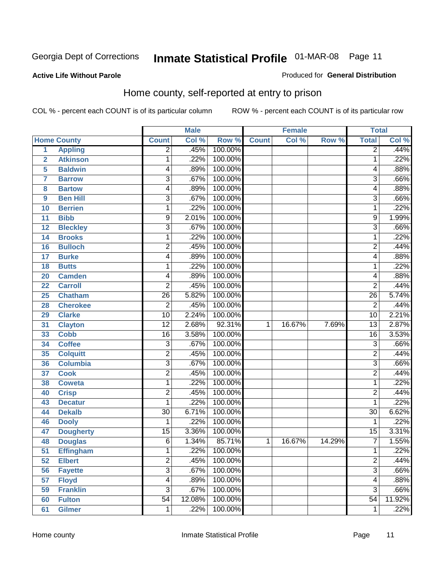Produced for **General Distribution**

#### **Active Life Without Parole**

#### Home county, self-reported at entry to prison

|                         |                    |                 | <b>Male</b> |         |              | <b>Female</b> |        | <b>Total</b>    |        |
|-------------------------|--------------------|-----------------|-------------|---------|--------------|---------------|--------|-----------------|--------|
|                         | <b>Home County</b> | <b>Count</b>    | Col %       | Row %   | <b>Count</b> | Col %         | Row %  | <b>Total</b>    | CoI%   |
| $\overline{1}$          | <b>Appling</b>     | $\overline{2}$  | .45%        | 100.00% |              |               |        | $\overline{2}$  | .44%   |
| $\overline{\mathbf{2}}$ | <b>Atkinson</b>    | 1               | .22%        | 100.00% |              |               |        | 1               | .22%   |
| 5                       | <b>Baldwin</b>     | 4               | .89%        | 100.00% |              |               |        | 4               | .88%   |
| 7                       | <b>Barrow</b>      | 3               | .67%        | 100.00% |              |               |        | $\overline{3}$  | .66%   |
| 8                       | <b>Bartow</b>      | 4               | .89%        | 100.00% |              |               |        | 4               | .88%   |
| $\boldsymbol{9}$        | <b>Ben Hill</b>    | 3               | .67%        | 100.00% |              |               |        | $\overline{3}$  | .66%   |
| 10                      | <b>Berrien</b>     | 1               | .22%        | 100.00% |              |               |        | 1               | .22%   |
| 11                      | <b>Bibb</b>        | 9               | 2.01%       | 100.00% |              |               |        | 9               | 1.99%  |
| 12                      | <b>Bleckley</b>    | 3               | .67%        | 100.00% |              |               |        | $\overline{3}$  | .66%   |
| 14                      | <b>Brooks</b>      | 1               | .22%        | 100.00% |              |               |        | 1               | .22%   |
| 16                      | <b>Bulloch</b>     | $\overline{2}$  | .45%        | 100.00% |              |               |        | $\overline{2}$  | .44%   |
| 17                      | <b>Burke</b>       | 4               | .89%        | 100.00% |              |               |        | 4               | .88%   |
| 18                      | <b>Butts</b>       | 1               | .22%        | 100.00% |              |               |        | 1               | .22%   |
| 20                      | <b>Camden</b>      | 4               | .89%        | 100.00% |              |               |        | 4               | .88%   |
| 22                      | <b>Carroll</b>     | $\overline{2}$  | .45%        | 100.00% |              |               |        | $\overline{2}$  | .44%   |
| 25                      | <b>Chatham</b>     | 26              | 5.82%       | 100.00% |              |               |        | $\overline{26}$ | 5.74%  |
| 28                      | <b>Cherokee</b>    | $\overline{2}$  | .45%        | 100.00% |              |               |        | $\overline{2}$  | .44%   |
| 29                      | <b>Clarke</b>      | $\overline{10}$ | 2.24%       | 100.00% |              |               |        | $\overline{10}$ | 2.21%  |
| 31                      | <b>Clayton</b>     | $\overline{12}$ | 2.68%       | 92.31%  | 1            | 16.67%        | 7.69%  | $\overline{13}$ | 2.87%  |
| 33                      | <b>Cobb</b>        | 16              | 3.58%       | 100.00% |              |               |        | $\overline{16}$ | 3.53%  |
| 34                      | <b>Coffee</b>      | $\overline{3}$  | .67%        | 100.00% |              |               |        | $\overline{3}$  | .66%   |
| 35                      | <b>Colquitt</b>    | 2               | .45%        | 100.00% |              |               |        | $\overline{2}$  | .44%   |
| 36                      | <b>Columbia</b>    | $\overline{3}$  | .67%        | 100.00% |              |               |        | $\overline{3}$  | .66%   |
| 37                      | <b>Cook</b>        | 2               | .45%        | 100.00% |              |               |        | $\overline{2}$  | .44%   |
| 38                      | <b>Coweta</b>      | 1               | .22%        | 100.00% |              |               |        | 1               | .22%   |
| 40                      | <b>Crisp</b>       | 2               | .45%        | 100.00% |              |               |        | $\overline{2}$  | .44%   |
| 43                      | <b>Decatur</b>     | 1               | .22%        | 100.00% |              |               |        | 1               | .22%   |
| 44                      | <b>Dekalb</b>      | $\overline{30}$ | 6.71%       | 100.00% |              |               |        | $\overline{30}$ | 6.62%  |
| 46                      | <b>Dooly</b>       | 1               | .22%        | 100.00% |              |               |        | 1               | .22%   |
| 47                      | <b>Dougherty</b>   | $\overline{15}$ | 3.36%       | 100.00% |              |               |        | $\overline{15}$ | 3.31%  |
| 48                      | <b>Douglas</b>     | $\overline{6}$  | 1.34%       | 85.71%  | 1            | 16.67%        | 14.29% | $\overline{7}$  | 1.55%  |
| 51                      | <b>Effingham</b>   | 1               | .22%        | 100.00% |              |               |        | 1               | .22%   |
| 52                      | <b>Elbert</b>      | $\overline{2}$  | .45%        | 100.00% |              |               |        | $\overline{2}$  | .44%   |
| 56                      | <b>Fayette</b>     | $\overline{3}$  | .67%        | 100.00% |              |               |        | $\overline{3}$  | .66%   |
| 57                      | <b>Floyd</b>       | 4               | .89%        | 100.00% |              |               |        | $\overline{4}$  | .88%   |
| 59                      | <b>Franklin</b>    | $\overline{3}$  | .67%        | 100.00% |              |               |        | $\overline{3}$  | .66%   |
| 60                      | <b>Fulton</b>      | $\overline{54}$ | 12.08%      | 100.00% |              |               |        | $\overline{54}$ | 11.92% |
| 61                      | <b>Gilmer</b>      | 1               | .22%        | 100.00% |              |               |        | 1               | .22%   |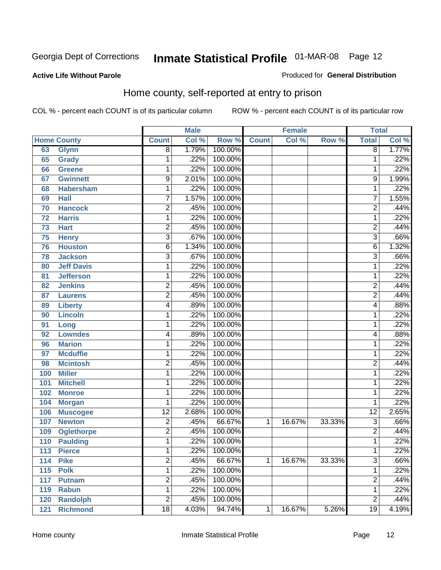#### **Active Life Without Parole**

#### Produced for **General Distribution**

#### Home county, self-reported at entry to prison

|     |                    |                 | <b>Male</b> |         |              | <b>Female</b> |        | <b>Total</b>    |         |
|-----|--------------------|-----------------|-------------|---------|--------------|---------------|--------|-----------------|---------|
|     | <b>Home County</b> | <b>Count</b>    | Col %       | Row %   | <b>Count</b> | Col %         | Row %  | <b>Total</b>    | Col %   |
| 63  | <b>Glynn</b>       | $\overline{8}$  | 1.79%       | 100.00% |              |               |        | $\overline{8}$  | 1.77%   |
| 65  | Grady              | 1               | .22%        | 100.00% |              |               |        | 1               | .22%    |
| 66  | <b>Greene</b>      | 1               | .22%        | 100.00% |              |               |        | 1               | .22%    |
| 67  | <b>Gwinnett</b>    | 9               | 2.01%       | 100.00% |              |               |        | 9               | 1.99%   |
| 68  | <b>Habersham</b>   | $\mathbf{1}$    | .22%        | 100.00% |              |               |        | 1               | .22%    |
| 69  | <b>Hall</b>        | 7               | 1.57%       | 100.00% |              |               |        | $\overline{7}$  | 1.55%   |
| 70  | <b>Hancock</b>     | $\overline{2}$  | .45%        | 100.00% |              |               |        | $\overline{2}$  | .44%    |
| 72  | <b>Harris</b>      | 1               | .22%        | 100.00% |              |               |        | 1               | .22%    |
| 73  | <b>Hart</b>        | $\overline{c}$  | .45%        | 100.00% |              |               |        | $\overline{2}$  | .44%    |
| 75  | <b>Henry</b>       | 3               | .67%        | 100.00% |              |               |        | $\overline{3}$  | .66%    |
| 76  | <b>Houston</b>     | $\overline{6}$  | 1.34%       | 100.00% |              |               |        | $\overline{6}$  | 1.32%   |
| 78  | <b>Jackson</b>     | 3               | .67%        | 100.00% |              |               |        | $\overline{3}$  | .66%    |
| 80  | <b>Jeff Davis</b>  | $\mathbf{1}$    | .22%        | 100.00% |              |               |        | 1               | .22%    |
| 81  | <b>Jefferson</b>   | 1               | .22%        | 100.00% |              |               |        | 1               | $.22\%$ |
| 82  | <b>Jenkins</b>     | $\overline{2}$  | .45%        | 100.00% |              |               |        | $\overline{2}$  | .44%    |
| 87  | <b>Laurens</b>     | 2               | .45%        | 100.00% |              |               |        | $\overline{2}$  | .44%    |
| 89  | <b>Liberty</b>     | 4               | .89%        | 100.00% |              |               |        | 4               | .88%    |
| 90  | <b>Lincoln</b>     | 1               | .22%        | 100.00% |              |               |        | 1               | .22%    |
| 91  | Long               | 1               | .22%        | 100.00% |              |               |        | 1               | .22%    |
| 92  | <b>Lowndes</b>     | 4               | .89%        | 100.00% |              |               |        | 4               | .88%    |
| 96  | <b>Marion</b>      | 1               | .22%        | 100.00% |              |               |        | 1               | .22%    |
| 97  | <b>Mcduffie</b>    | 1               | .22%        | 100.00% |              |               |        | 1               | .22%    |
| 98  | <b>Mcintosh</b>    | $\overline{2}$  | .45%        | 100.00% |              |               |        | $\overline{2}$  | .44%    |
| 100 | <b>Miller</b>      | 1               | .22%        | 100.00% |              |               |        | 1               | .22%    |
| 101 | <b>Mitchell</b>    | 1               | .22%        | 100.00% |              |               |        | 1               | .22%    |
| 102 | <b>Monroe</b>      | 1               | .22%        | 100.00% |              |               |        | 1               | $.22\%$ |
| 104 | <b>Morgan</b>      | 1               | .22%        | 100.00% |              |               |        | 1               | .22%    |
| 106 | <b>Muscogee</b>    | $\overline{12}$ | 2.68%       | 100.00% |              |               |        | $\overline{12}$ | 2.65%   |
| 107 | <b>Newton</b>      | $\overline{2}$  | .45%        | 66.67%  | $\mathbf{1}$ | 16.67%        | 33.33% | $\overline{3}$  | .66%    |
| 109 | <b>Oglethorpe</b>  | 2               | .45%        | 100.00% |              |               |        | $\overline{2}$  | .44%    |
| 110 | <b>Paulding</b>    | $\mathbf{1}$    | .22%        | 100.00% |              |               |        | 1               | .22%    |
| 113 | <b>Pierce</b>      | 1               | .22%        | 100.00% |              |               |        | 1               | .22%    |
| 114 | <b>Pike</b>        | $\overline{2}$  | .45%        | 66.67%  | 1            | 16.67%        | 33.33% | $\overline{3}$  | .66%    |
| 115 | <b>Polk</b>        | $\mathbf 1$     | .22%        | 100.00% |              |               |        | 1               | .22%    |
| 117 | <b>Putnam</b>      | $\overline{2}$  | .45%        | 100.00% |              |               |        | $\overline{2}$  | .44%    |
| 119 | <b>Rabun</b>       | 1               | .22%        | 100.00% |              |               |        | 1               | .22%    |
| 120 | <b>Randolph</b>    | 2               | .45%        | 100.00% |              |               |        | $\overline{2}$  | .44%    |
| 121 | <b>Richmond</b>    | $\overline{18}$ | 4.03%       | 94.74%  | 1            | 16.67%        | 5.26%  | $\overline{19}$ | 4.19%   |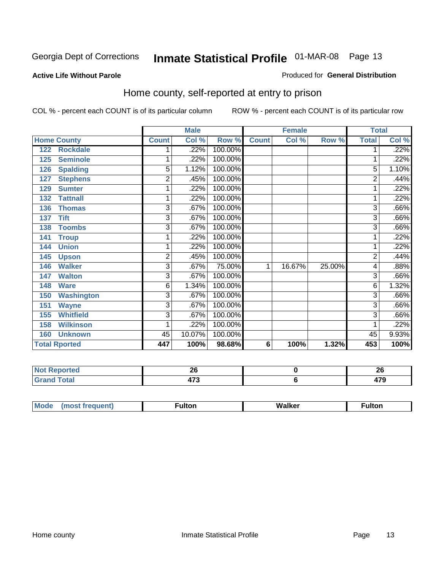#### **Active Life Without Parole**

#### Produced for **General Distribution**

#### Home county, self-reported at entry to prison

|     |                      |                | <b>Male</b> |         | <b>Female</b>  |        |        | <b>Total</b>   |       |
|-----|----------------------|----------------|-------------|---------|----------------|--------|--------|----------------|-------|
|     | <b>Home County</b>   | <b>Count</b>   | Col %       | Row %   | <b>Count</b>   | Col %  | Row %  | <b>Total</b>   | Col % |
| 122 | <b>Rockdale</b>      |                | .22%        | 100.00% |                |        |        |                | .22%  |
| 125 | <b>Seminole</b>      | 1              | .22%        | 100.00% |                |        |        |                | .22%  |
| 126 | <b>Spalding</b>      | 5              | 1.12%       | 100.00% |                |        |        | 5              | 1.10% |
| 127 | <b>Stephens</b>      | $\overline{2}$ | .45%        | 100.00% |                |        |        | 2              | .44%  |
| 129 | <b>Sumter</b>        | 1              | .22%        | 100.00% |                |        |        | 1              | .22%  |
| 132 | <b>Tattnall</b>      | 1              | .22%        | 100.00% |                |        |        | 1              | .22%  |
| 136 | <b>Thomas</b>        | 3              | .67%        | 100.00% |                |        |        | 3              | .66%  |
| 137 | <b>Tift</b>          | $\overline{3}$ | .67%        | 100.00% |                |        |        | 3              | .66%  |
| 138 | <b>Toombs</b>        | $\overline{3}$ | .67%        | 100.00% |                |        |        | $\overline{3}$ | .66%  |
| 141 | <b>Troup</b>         | 1              | .22%        | 100.00% |                |        |        |                | .22%  |
| 144 | <b>Union</b>         | 1              | .22%        | 100.00% |                |        |        |                | .22%  |
| 145 | <b>Upson</b>         | $\overline{c}$ | .45%        | 100.00% |                |        |        | 2              | .44%  |
| 146 | <b>Walker</b>        | $\overline{3}$ | .67%        | 75.00%  | 1              | 16.67% | 25.00% | 4              | .88%  |
| 147 | <b>Walton</b>        | 3              | .67%        | 100.00% |                |        |        | 3              | .66%  |
| 148 | <b>Ware</b>          | 6              | 1.34%       | 100.00% |                |        |        | 6              | 1.32% |
| 150 | <b>Washington</b>    | 3              | .67%        | 100.00% |                |        |        | 3              | .66%  |
| 151 | <b>Wayne</b>         | 3              | .67%        | 100.00% |                |        |        | $\overline{3}$ | .66%  |
| 155 | <b>Whitfield</b>     | 3              | .67%        | 100.00% |                |        |        | 3              | .66%  |
| 158 | <b>Wilkinson</b>     | 1              | .22%        | 100.00% |                |        |        |                | .22%  |
| 160 | <b>Unknown</b>       | 45             | 10.07%      | 100.00% |                |        |        | 45             | 9.93% |
|     | <b>Total Rported</b> | 447            | 100%        | 98.68%  | $6\phantom{1}$ | 100%   | 1.32%  | 453            | 100%  |

| <b>NOT</b><br>portea | ^^            | ጎር<br>A         |
|----------------------|---------------|-----------------|
| <b>Total</b>         | ---<br>$\sim$ | <b>TI</b><br>__ |

| M<br>. <b>. </b> | . . |  |
|------------------|-----|--|
|                  |     |  |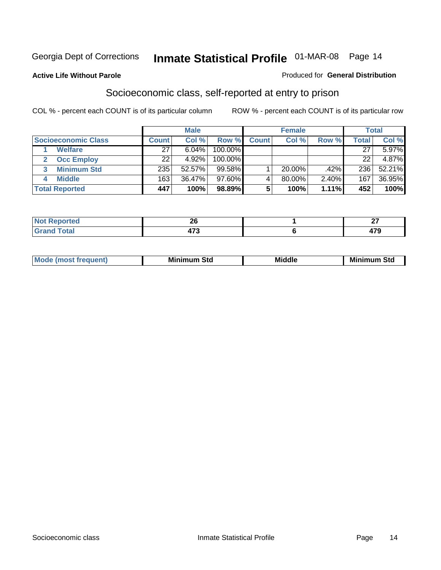#### **Active Life Without Parole**

#### Produced for **General Distribution**

#### Socioeconomic class, self-reported at entry to prison

|                            |              | <b>Male</b> |            |              | <b>Female</b> |       |              | <b>Total</b> |
|----------------------------|--------------|-------------|------------|--------------|---------------|-------|--------------|--------------|
| <b>Socioeconomic Class</b> | <b>Count</b> | Col %       | Row %      | <b>Count</b> | Col %         | Row % | <b>Total</b> | Col %        |
| <b>Welfare</b>             | 27           | 6.04%       | 100.00%    |              |               |       | 27           | 5.97%        |
| <b>Occ Employ</b>          | 22           | 4.92%       | $100.00\%$ |              |               |       | 22           | 4.87%        |
| <b>Minimum Std</b>         | 235          | 52.57%      | $99.58\%$  |              | $20.00\%$     | .42%  | 236          | $52.21\%$    |
| <b>Middle</b>              | 163          | 36.47%      | $97.60\%$  |              | 80.00%        | 2.40% | 167          | 36.95%       |
| <b>Total Reported</b>      | 447          | 100%        | 98.89%     |              | 100%          | 1.11% | 452          | 100%         |

| neo                     | oc<br>2Y   | $\sim$ $\sim$ |
|-------------------------|------------|---------------|
| Coto"<br>υιαι<br>$\sim$ | יי<br>41 J | 170           |

| .<br>___ |
|----------|
|----------|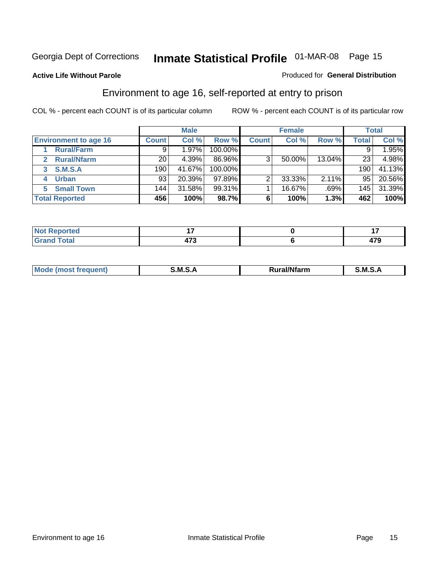#### **Active Life Without Parole**

#### Produced for **General Distribution**

#### Environment to age 16, self-reported at entry to prison

|                              |              | <b>Male</b> |         |              | <b>Female</b> |        |              | <b>Total</b> |
|------------------------------|--------------|-------------|---------|--------------|---------------|--------|--------------|--------------|
| <b>Environment to age 16</b> | <b>Count</b> | Col %       | Row %   | <b>Count</b> | Col %         | Row %  | <b>Total</b> | Col %        |
| <b>Rural/Farm</b>            | 9            | 1.97%       | 100.00% |              |               |        | 9            | 1.95%        |
| <b>Rural/Nfarm</b><br>2      | 20           | 4.39%       | 86.96%  | 3            | 50.00%        | 13.04% | 23           | 4.98%        |
| <b>S.M.S.A</b><br>3          | 190          | 41.67%      | 100.00% |              |               |        | 190          | 41.13%       |
| <b>Urban</b><br>4            | 93           | 20.39%      | 97.89%  |              | 33.33%        | 2.11%  | 95           | 20.56%       |
| <b>Small Town</b><br>5       | 144          | 31.58%      | 99.31%  |              | 16.67%        | .69%   | 145          | 31.39%       |
| <b>Total Reported</b>        | 456          | 100%        | 98.7%   |              | 100%          | 1.3%   | 462          | 100%         |

| Reported<br><b>Not</b> |             |     |
|------------------------|-------------|-----|
| <b>Grand Total</b>     | $- \bullet$ | 479 |

| Mo<br>м s<br>M<br>---<br>.<br>□……<br>rarr |  |  |
|-------------------------------------------|--|--|
|                                           |  |  |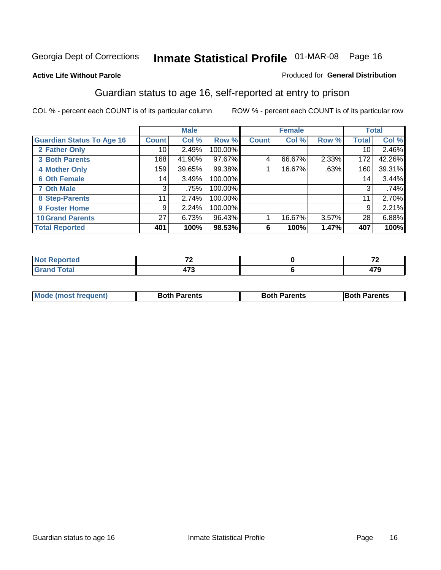#### **Active Life Without Parole**

#### Produced for **General Distribution**

#### Guardian status to age 16, self-reported at entry to prison

|                                  |              | <b>Male</b> |         |              | <b>Female</b> |       |              | <b>Total</b> |
|----------------------------------|--------------|-------------|---------|--------------|---------------|-------|--------------|--------------|
| <b>Guardian Status To Age 16</b> | <b>Count</b> | Col %       | Row %   | <b>Count</b> | Col %         | Row % | <b>Total</b> | Col %        |
| 2 Father Only                    | 10           | 2.49%       | 100.00% |              |               |       | 10           | 2.46%        |
| <b>3 Both Parents</b>            | 168          | 41.90%      | 97.67%  | 4            | 66.67%        | 2.33% | 172          | 42.26%       |
| <b>4 Mother Only</b>             | 159          | 39.65%      | 99.38%  |              | 16.67%        | .63%  | 160          | 39.31%       |
| <b>6 Oth Female</b>              | 14           | 3.49%       | 100.00% |              |               |       | 14           | 3.44%        |
| <b>7 Oth Male</b>                | 3            | .75%        | 100.00% |              |               |       | 3            | .74%         |
| 8 Step-Parents                   | 11           | 2.74%       | 100.00% |              |               |       | 11           | 2.70%        |
| 9 Foster Home                    | 9            | 2.24%       | 100.00% |              |               |       | 9            | 2.21%        |
| <b>10 Grand Parents</b>          | 27           | 6.73%       | 96.43%  |              | 16.67%        | 3.57% | 28           | 6.88%        |
| <b>Total Reported</b>            | 401          | 100%        | 98.53%  | 6            | 100%          | 1.47% | 407          | 100%         |

|                                  | $-$                  | $\sim$      |
|----------------------------------|----------------------|-------------|
| $\sim$ $\sim$ $\sim$ $\sim$<br>- | יי<br>71 J<br>$\sim$ | 170<br>71 J |

| Mode (most frequent) | <b>Both Parents</b> | <b>Both Parents</b> | <b>IBoth Parents</b> |
|----------------------|---------------------|---------------------|----------------------|
|                      |                     |                     |                      |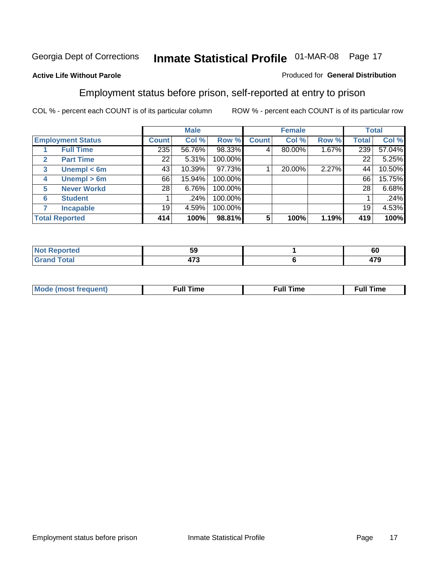#### **Active Life Without Parole**

#### Produced for **General Distribution**

#### Employment status before prison, self-reported at entry to prison

|              |                          |              | <b>Male</b> |         |              | <b>Female</b> |       |              | <b>Total</b> |
|--------------|--------------------------|--------------|-------------|---------|--------------|---------------|-------|--------------|--------------|
|              | <b>Employment Status</b> | <b>Count</b> | Col %       | Row %   | <b>Count</b> | Col %         | Row % | <b>Total</b> | Col %        |
|              | <b>Full Time</b>         | 235          | 56.76%      | 98.33%  | 4            | 80.00%        | 1.67% | 239          | 57.04%       |
| $\mathbf{2}$ | <b>Part Time</b>         | 22           | 5.31%       | 100.00% |              |               |       | 22           | 5.25%        |
| 3            | Unempl $<$ 6m            | 43           | 10.39%      | 97.73%  |              | 20.00%        | 2.27% | 44           | 10.50%       |
| 4            | Unempl $> 6m$            | 66           | 15.94%      | 100.00% |              |               |       | 66           | 15.75%       |
| 5            | <b>Never Workd</b>       | 28           | 6.76%       | 100.00% |              |               |       | 28           | 6.68%        |
| 6            | <b>Student</b>           |              | .24%        | 100.00% |              |               |       |              | .24%         |
|              | <b>Incapable</b>         | 19           | 4.59%       | 100.00% |              |               |       | 19           | 4.53%        |
|              | <b>Total Reported</b>    | 414          | 100%        | 98.81%  | 5            | 100%          | 1.19% | 419          | 100%         |

| . .                               | - -                     | - - |
|-----------------------------------|-------------------------|-----|
| теа                               | ວະ                      | σc  |
| $T = 1$<br><b>C.L.</b><br>_______ | $\rightarrow$<br>$\sim$ | 170 |

| <b>M</b> ດ | the contract of the contract of the contract of the contract of the contract of the contract of the contract of | , ull i<br>ıme | ïme<br>uı<br>$\sim$ $\sim$ $\sim$ $\sim$ $\sim$ |
|------------|-----------------------------------------------------------------------------------------------------------------|----------------|-------------------------------------------------|
|            |                                                                                                                 |                |                                                 |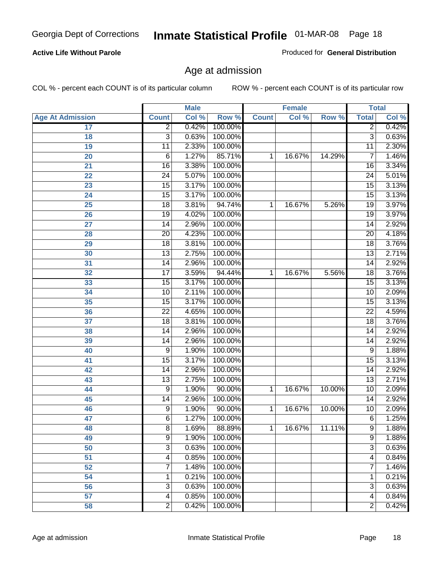#### **Active Life Without Parole**

Produced for **General Distribution**

#### Age at admission

|                         |                 | <b>Male</b> |         |              | <b>Female</b> |        | <b>Total</b>    |       |
|-------------------------|-----------------|-------------|---------|--------------|---------------|--------|-----------------|-------|
| <b>Age At Admission</b> | <b>Count</b>    | Col %       | Row %   | <b>Count</b> | Col %         | Row %  | <b>Total</b>    | Col % |
| 17                      | $\overline{2}$  | 0.42%       | 100.00% |              |               |        | 2               | 0.42% |
| 18                      | $\overline{3}$  | 0.63%       | 100.00% |              |               |        | $\overline{3}$  | 0.63% |
| 19                      | $\overline{11}$ | 2.33%       | 100.00% |              |               |        | $\overline{11}$ | 2.30% |
| 20                      | 6               | 1.27%       | 85.71%  | 1            | 16.67%        | 14.29% | 7               | 1.46% |
| 21                      | $\overline{16}$ | 3.38%       | 100.00% |              |               |        | 16              | 3.34% |
| 22                      | $\overline{24}$ | 5.07%       | 100.00% |              |               |        | $\overline{24}$ | 5.01% |
| 23                      | $\overline{15}$ | 3.17%       | 100.00% |              |               |        | $\overline{15}$ | 3.13% |
| 24                      | $\overline{15}$ | 3.17%       | 100.00% |              |               |        | 15              | 3.13% |
| 25                      | $\overline{18}$ | 3.81%       | 94.74%  | 1            | 16.67%        | 5.26%  | $\overline{19}$ | 3.97% |
| 26                      | 19              | 4.02%       | 100.00% |              |               |        | 19              | 3.97% |
| 27                      | $\overline{14}$ | 2.96%       | 100.00% |              |               |        | $\overline{14}$ | 2.92% |
| 28                      | $\overline{20}$ | 4.23%       | 100.00% |              |               |        | $\overline{20}$ | 4.18% |
| 29                      | $\overline{18}$ | 3.81%       | 100.00% |              |               |        | $\overline{18}$ | 3.76% |
| 30                      | $\overline{13}$ | 2.75%       | 100.00% |              |               |        | $\overline{13}$ | 2.71% |
| 31                      | $\overline{14}$ | 2.96%       | 100.00% |              |               |        | $\overline{14}$ | 2.92% |
| 32                      | $\overline{17}$ | 3.59%       | 94.44%  | 1            | 16.67%        | 5.56%  | 18              | 3.76% |
| 33                      | $\overline{15}$ | 3.17%       | 100.00% |              |               |        | 15              | 3.13% |
| 34                      | 10              | 2.11%       | 100.00% |              |               |        | 10              | 2.09% |
| 35                      | $\overline{15}$ | 3.17%       | 100.00% |              |               |        | 15              | 3.13% |
| 36                      | $\overline{22}$ | 4.65%       | 100.00% |              |               |        | $\overline{22}$ | 4.59% |
| 37                      | $\overline{18}$ | 3.81%       | 100.00% |              |               |        | $\overline{18}$ | 3.76% |
| 38                      | $\overline{14}$ | 2.96%       | 100.00% |              |               |        | 14              | 2.92% |
| 39                      | 14              | 2.96%       | 100.00% |              |               |        | 14              | 2.92% |
| 40                      | 9               | 1.90%       | 100.00% |              |               |        | 9               | 1.88% |
| 41                      | 15              | 3.17%       | 100.00% |              |               |        | 15              | 3.13% |
| 42                      | 14              | 2.96%       | 100.00% |              |               |        | 14              | 2.92% |
| 43                      | $\overline{13}$ | 2.75%       | 100.00% |              |               |        | $\overline{13}$ | 2.71% |
| 44                      | 9               | 1.90%       | 90.00%  | 1            | 16.67%        | 10.00% | 10              | 2.09% |
| 45                      | 14              | 2.96%       | 100.00% |              |               |        | 14              | 2.92% |
| 46                      | 9               | 1.90%       | 90.00%  | 1            | 16.67%        | 10.00% | 10              | 2.09% |
| 47                      | 6               | 1.27%       | 100.00% |              |               |        | 6               | 1.25% |
| 48                      | 8               | 1.69%       | 88.89%  | 1            | 16.67%        | 11.11% | 9               | 1.88% |
| 49                      | 9               | 1.90%       | 100.00% |              |               |        | 9               | 1.88% |
| 50                      | $\overline{3}$  | 0.63%       | 100.00% |              |               |        | $\overline{3}$  | 0.63% |
| 51                      | 4               | 0.85%       | 100.00% |              |               |        | 4               | 0.84% |
| 52                      | 7               | 1.48%       | 100.00% |              |               |        | 7               | 1.46% |
| 54                      | 1               | 0.21%       | 100.00% |              |               |        | 1               | 0.21% |
| 56                      | 3               | 0.63%       | 100.00% |              |               |        | $\overline{3}$  | 0.63% |
| 57                      | 4               | 0.85%       | 100.00% |              |               |        | $\overline{4}$  | 0.84% |
| 58                      | $\overline{2}$  | 0.42%       | 100.00% |              |               |        | $\overline{2}$  | 0.42% |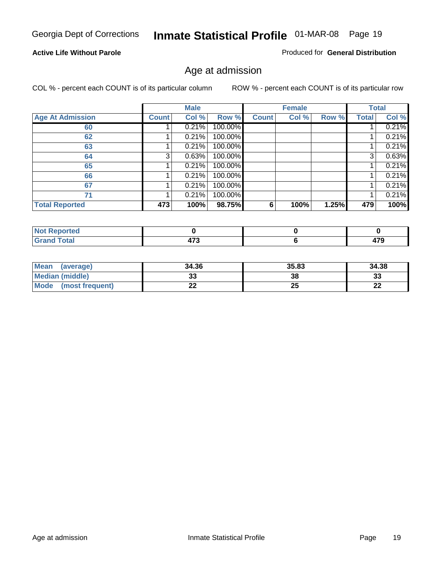#### **Active Life Without Parole**

Produced for **General Distribution**

#### Age at admission

|                         |              | <b>Male</b> |         |              | <b>Female</b> |       |              | <b>Total</b> |
|-------------------------|--------------|-------------|---------|--------------|---------------|-------|--------------|--------------|
| <b>Age At Admission</b> | <b>Count</b> | Col %       | Row %   | <b>Count</b> | Col %         | Row % | <b>Total</b> | Col %        |
| 60                      |              | 0.21%       | 100.00% |              |               |       |              | 0.21%        |
| 62                      |              | 0.21%       | 100.00% |              |               |       |              | 0.21%        |
| 63                      |              | 0.21%       | 100.00% |              |               |       |              | 0.21%        |
| 64                      | 3            | 0.63%       | 100.00% |              |               |       | 3            | 0.63%        |
| 65                      |              | 0.21%       | 100.00% |              |               |       |              | 0.21%        |
| 66                      |              | 0.21%       | 100.00% |              |               |       |              | 0.21%        |
| 67                      |              | 0.21%       | 100.00% |              |               |       |              | 0.21%        |
| 71                      |              | 0.21%       | 100.00% |              |               |       |              | 0.21%        |
| <b>Total Reported</b>   | 473          | 100%        | 98.75%  | 6            | 100%          | 1.25% | 479          | 100%         |

| <b>eported</b>                  |               |             |
|---------------------------------|---------------|-------------|
| <b>Total</b><br>Cron<br>oranu i | $\rightarrow$ | 170<br>71 J |

| Mean<br>(average)       | 34.36 | 35.83 | 34.38 |
|-------------------------|-------|-------|-------|
| Median (middle)         |       | 38    | 33    |
| Mode<br>(most frequent) | LL    | 25    | n.    |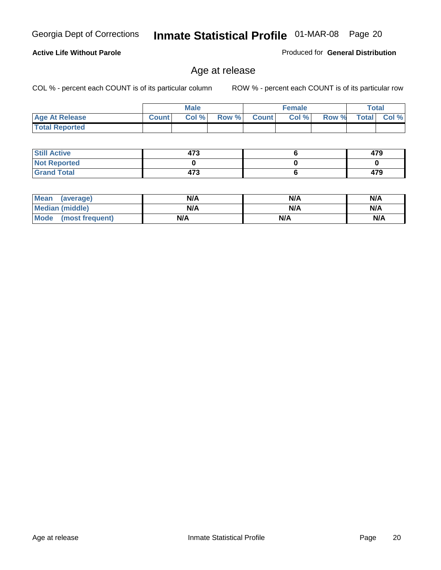#### **Active Life Without Parole**

Produced for **General Distribution**

#### Age at release

|                       |              | <b>Male</b> |       |              | <b>Female</b> |       | <b>Total</b> |          |
|-----------------------|--------------|-------------|-------|--------------|---------------|-------|--------------|----------|
| <b>Age At Release</b> | <b>Count</b> | Col%        | Row % | <b>Count</b> | Col %         | Row % | <b>Total</b> | $CoI \%$ |
| <b>Total Reported</b> |              |             |       |              |               |       |              |          |

| <b>Still Active</b> | 473 | 479 |
|---------------------|-----|-----|
| <b>Not Reported</b> |     |     |
| <b>Grand Total</b>  | 473 | 479 |

| Mean<br>(average)    | N/A | N/A | N/A |
|----------------------|-----|-----|-----|
| Median (middle)      | N/A | N/A | N/A |
| Mode (most frequent) | N/A | N/A | N/A |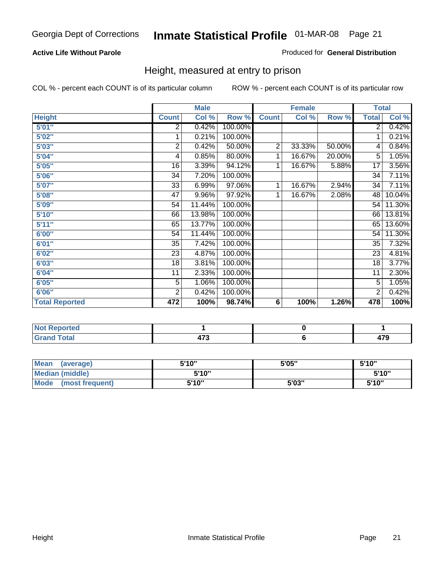#### **Active Life Without Parole**

#### Produced for **General Distribution**

#### Height, measured at entry to prison

|                       |                 | <b>Male</b> |         |                | <b>Female</b> |        | <b>Total</b>    |        |
|-----------------------|-----------------|-------------|---------|----------------|---------------|--------|-----------------|--------|
| <b>Height</b>         | <b>Count</b>    | Col %       | Row %   | <b>Count</b>   | Col %         | Row %  | <b>Total</b>    | Col %  |
| 5'01''                | 2               | 0.42%       | 100.00% |                |               |        | $\overline{2}$  | 0.42%  |
| 5'02"                 | 1               | 0.21%       | 100.00% |                |               |        | 1               | 0.21%  |
| 5'03"                 | 2               | 0.42%       | 50.00%  | $\overline{c}$ | 33.33%        | 50.00% | 4               | 0.84%  |
| 5'04"                 | 4               | 0.85%       | 80.00%  | 1              | 16.67%        | 20.00% | 5               | 1.05%  |
| 5'05"                 | 16              | 3.39%       | 94.12%  | 1              | 16.67%        | 5.88%  | 17              | 3.56%  |
| 5'06"                 | 34              | 7.20%       | 100.00% |                |               |        | $\overline{34}$ | 7.11%  |
| 5'07''                | 33              | 6.99%       | 97.06%  | 1              | 16.67%        | 2.94%  | 34              | 7.11%  |
| 5'08"                 | $\overline{47}$ | 9.96%       | 97.92%  | 1              | 16.67%        | 2.08%  | 48              | 10.04% |
| <b>5'09"</b>          | 54              | 11.44%      | 100.00% |                |               |        | 54              | 11.30% |
| 5'10''                | 66              | 13.98%      | 100.00% |                |               |        | 66              | 13.81% |
| 5'11''                | 65              | 13.77%      | 100.00% |                |               |        | 65              | 13.60% |
| 6'00"                 | 54              | 11.44%      | 100.00% |                |               |        | 54              | 11.30% |
| 6'01''                | 35              | 7.42%       | 100.00% |                |               |        | 35              | 7.32%  |
| 6'02''                | 23              | 4.87%       | 100.00% |                |               |        | 23              | 4.81%  |
| 6'03"                 | 18              | 3.81%       | 100.00% |                |               |        | 18              | 3.77%  |
| 6'04"                 | 11              | 2.33%       | 100.00% |                |               |        | 11              | 2.30%  |
| 6'05"                 | $\overline{5}$  | 1.06%       | 100.00% |                |               |        | 5               | 1.05%  |
| 6'06"                 | $\overline{2}$  | 0.42%       | 100.00% |                |               |        | 2               | 0.42%  |
| <b>Total Reported</b> | 472             | 100%        | 98.74%  | 6              | 100%          | 1.26%  | 478             | 100%   |

| <b>rted</b><br>NO. |                |               |
|--------------------|----------------|---------------|
| <b>Total</b>       | $\rightarrow$  | $\rightarrow$ |
| $- \cdot$          | $\blacksquare$ |               |

| <b>Mean</b><br>(average)       | 5'10" | 5'05" | 5'10" |
|--------------------------------|-------|-------|-------|
| <b>Median (middle)</b>         | 5'10" |       | 5'10" |
| <b>Mode</b><br>(most frequent) | 5'10" | 5'03" | 5'10" |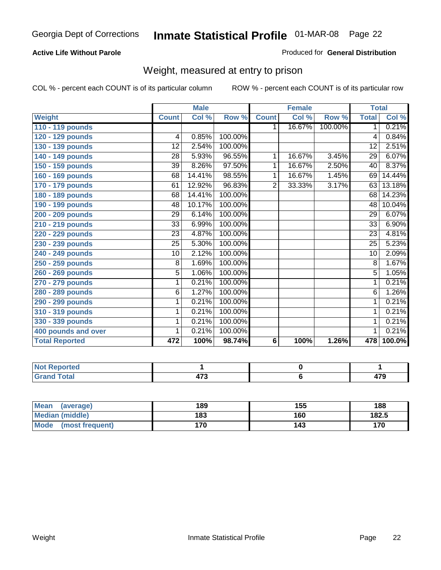#### **Active Life Without Parole**

#### Produced for **General Distribution**

#### Weight, measured at entry to prison

|                       |                 | <b>Male</b> |         |                | <b>Female</b> |         | <b>Total</b>    |        |
|-----------------------|-----------------|-------------|---------|----------------|---------------|---------|-----------------|--------|
| <b>Weight</b>         | <b>Count</b>    | Col %       | Row %   | <b>Count</b>   | Col %         | Row %   | <b>Total</b>    | Col %  |
| 110 - 119 pounds      |                 |             |         | 1.             | 16.67%        | 100.00% | $\mathbf 1$     | 0.21%  |
| 120 - 129 pounds      | 4               | 0.85%       | 100.00% |                |               |         | 4               | 0.84%  |
| 130 - 139 pounds      | $\overline{12}$ | 2.54%       | 100.00% |                |               |         | $\overline{12}$ | 2.51%  |
| 140 - 149 pounds      | 28              | 5.93%       | 96.55%  | $\overline{1}$ | 16.67%        | 3.45%   | 29              | 6.07%  |
| 150 - 159 pounds      | 39              | 8.26%       | 97.50%  | 1              | 16.67%        | 2.50%   | 40              | 8.37%  |
| 160 - 169 pounds      | 68              | 14.41%      | 98.55%  | 1              | 16.67%        | 1.45%   | 69              | 14.44% |
| 170 - 179 pounds      | 61              | 12.92%      | 96.83%  | $\overline{2}$ | 33.33%        | 3.17%   | 63              | 13.18% |
| 180 - 189 pounds      | 68              | 14.41%      | 100.00% |                |               |         | 68              | 14.23% |
| 190 - 199 pounds      | 48              | 10.17%      | 100.00% |                |               |         | 48              | 10.04% |
| 200 - 209 pounds      | 29              | 6.14%       | 100.00% |                |               |         | 29              | 6.07%  |
| 210 - 219 pounds      | 33              | 6.99%       | 100.00% |                |               |         | 33              | 6.90%  |
| 220 - 229 pounds      | 23              | 4.87%       | 100.00% |                |               |         | 23              | 4.81%  |
| 230 - 239 pounds      | $\overline{25}$ | 5.30%       | 100.00% |                |               |         | 25              | 5.23%  |
| 240 - 249 pounds      | 10              | 2.12%       | 100.00% |                |               |         | 10              | 2.09%  |
| 250 - 259 pounds      | 8               | 1.69%       | 100.00% |                |               |         | 8               | 1.67%  |
| 260 - 269 pounds      | 5               | 1.06%       | 100.00% |                |               |         | 5               | 1.05%  |
| 270 - 279 pounds      | 1               | 0.21%       | 100.00% |                |               |         | 1               | 0.21%  |
| 280 - 289 pounds      | 6               | 1.27%       | 100.00% |                |               |         | 6               | 1.26%  |
| 290 - 299 pounds      | 1               | 0.21%       | 100.00% |                |               |         | 1               | 0.21%  |
| 310 - 319 pounds      | 1               | 0.21%       | 100.00% |                |               |         | 1               | 0.21%  |
| 330 - 339 pounds      | 1               | 0.21%       | 100.00% |                |               |         | 1               | 0.21%  |
| 400 pounds and over   | 1               | 0.21%       | 100.00% |                |               |         | 1               | 0.21%  |
| <b>Total Reported</b> | 472             | 100%        | 98.74%  | 6              | 100%          | 1.26%   | 478             | 100.0% |

| Not Reported                     |     |                      |
|----------------------------------|-----|----------------------|
| <b>cotal</b><br>$\mathbf{v}$ and | --- | $\rightarrow$<br>413 |

| <b>Mean</b><br>(average)       | 189 | 155 | 188   |
|--------------------------------|-----|-----|-------|
| Median (middle)                | 183 | 160 | 182.5 |
| <b>Mode</b><br>(most frequent) | 170 | 143 | 170   |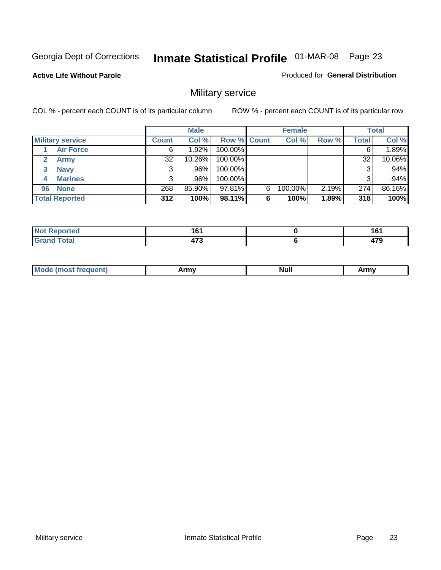**Active Life Without Parole** 

Produced for **General Distribution**

### Military service

|                         |              | <b>Male</b> |                    |   | <b>Female</b> |       |       | <b>Total</b> |
|-------------------------|--------------|-------------|--------------------|---|---------------|-------|-------|--------------|
| <b>Military service</b> | <b>Count</b> | Col %       | <b>Row % Count</b> |   | Col %         | Row % | Total | Col %        |
| <b>Air Force</b>        | 6            | 1.92%       | 100.00%            |   |               |       |       | 1.89%        |
| <b>Army</b>             | 32           | $10.26\%$   | 100.00%            |   |               |       | 32    | 10.06%       |
| <b>Navy</b><br>3        |              | .96%        | 100.00%            |   |               |       |       | .94%         |
| <b>Marines</b><br>4     | 3            | .96%        | 100.00%            |   |               |       | 3     | .94%         |
| 96 None                 | 268          | 85.90%      | 97.81%             | 6 | 100.00%       | 2.19% | 274   | 86.16%       |
| <b>Total Reported</b>   | 312          | 100%        | 98.11%             | 6 | 100%          | 1.89% | 318   | 100%         |

| .<br>-m<br>тео      | . .<br>. . | <b>161</b><br>יי |
|---------------------|------------|------------------|
| $T \sim 4 \times 7$ | $- -$      | 470<br>41 J      |

| M<br><b>IVUII</b><br>.<br>. |
|-----------------------------|
|-----------------------------|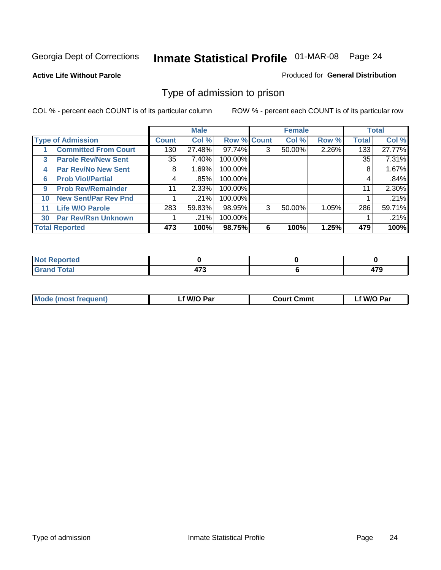#### **Active Life Without Parole**

#### Produced for **General Distribution**

#### Type of admission to prison

|    |                             |              | <b>Male</b> |                    |   | <b>Female</b> |       |              | <b>Total</b> |
|----|-----------------------------|--------------|-------------|--------------------|---|---------------|-------|--------------|--------------|
|    | <b>Type of Admission</b>    | <b>Count</b> | Col %       | <b>Row % Count</b> |   | Col %         | Row % | <b>Total</b> | Col %        |
|    | <b>Committed From Court</b> | 130          | 27.48%      | 97.74%             | 3 | 50.00%        | 2.26% | 133          | 27.77%       |
| 3  | <b>Parole Rev/New Sent</b>  | 35           | 7.40%       | 100.00%            |   |               |       | 35           | 7.31%        |
| 4  | <b>Par Rev/No New Sent</b>  | 8            | 1.69%       | 100.00%            |   |               |       | 8            | 1.67%        |
| 6  | <b>Prob Viol/Partial</b>    | 4            | .85%        | 100.00%            |   |               |       | 4            | .84%         |
| 9  | <b>Prob Rev/Remainder</b>   | 11           | 2.33%       | 100.00%            |   |               |       | 11           | 2.30%        |
| 10 | <b>New Sent/Par Rev Pnd</b> |              | .21%        | 100.00%            |   |               |       |              | .21%         |
| 11 | <b>Life W/O Parole</b>      | 283          | 59.83%      | 98.95%             | 3 | 50.00%        | 1.05% | 286          | 59.71%       |
| 30 | <b>Par Rev/Rsn Unknown</b>  |              | .21%        | 100.00%            |   |               |       |              | .21%         |
|    | <b>Total Reported</b>       | 473          | 100%        | 98.75%             | 6 | 100%          | 1.25% | 479          | 100%         |

| Reported<br><b>NOT</b><br>.    |             |    |
|--------------------------------|-------------|----|
| <b>Total</b><br>Gra<br>oranu i | $- \bullet$ | יי |

| <b>Mode (most frequent)</b> | <b>W/O Par</b> | <b>Court Cmmt</b> | M/O Par |
|-----------------------------|----------------|-------------------|---------|
|                             |                |                   |         |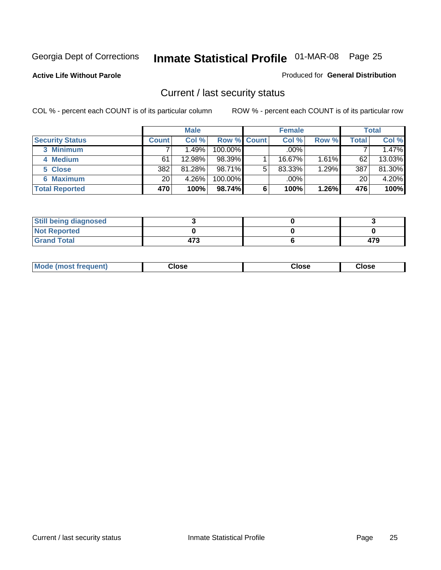**Active Life Without Parole** 

Produced for **General Distribution**

#### Current / last security status

|                        |              | <b>Male</b> |                    |   | <b>Female</b> |          |       | <b>Total</b> |
|------------------------|--------------|-------------|--------------------|---|---------------|----------|-------|--------------|
| <b>Security Status</b> | <b>Count</b> | Col %       | <b>Row % Count</b> |   | Col %         | Row %    | Total | Col %        |
| 3 Minimum              |              | 1.49%       | $100.00\%$         |   | .00%          |          |       | 1.47%        |
| 4 Medium               | 61           | 12.98%      | 98.39%             |   | 16.67%        | $1.61\%$ | 62    | 13.03%       |
| 5 Close                | 382          | 81.28%      | 98.71%             | 5 | 83.33%        | 1.29%    | 387   | 81.30%       |
| 6 Maximum              | 20           | 4.26%       | 100.00%            |   | .00%          |          | 20    | 4.20%        |
| <b>Total Reported</b>  | 470          | 100%        | 98.74%             | 6 | 100%          | 1.26%    | 476   | 100%         |

| <b>Still being diagnosed</b> |     |     |
|------------------------------|-----|-----|
| <b>Not Reported</b>          |     |     |
| <b>Grand Total</b>           | 473 | 479 |

|  | Mo<br>frequent)<br>ww | Close<br>. | ાose<br>. | <b>OSE</b><br>. |
|--|-----------------------|------------|-----------|-----------------|
|--|-----------------------|------------|-----------|-----------------|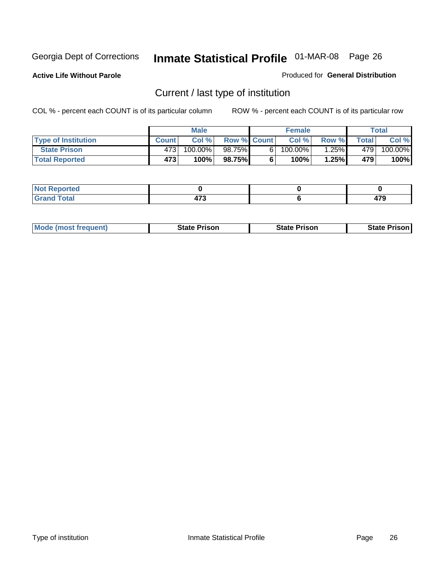**Active Life Without Parole** 

Produced for **General Distribution**

### Current / last type of institution

|                            |              | <b>Male</b> |                    | <b>Female</b> |          |              | Total   |
|----------------------------|--------------|-------------|--------------------|---------------|----------|--------------|---------|
| <b>Type of Institution</b> | <b>Count</b> | Col%        | <b>Row % Count</b> | Col %         | Row %    | <b>Total</b> | Col %   |
| <b>State Prison</b>        | 4731         | 100.00%     | 98.75%             | $100.00\%$    | $1.25\%$ | 4791         | 100.00% |
| <b>Total Reported</b>      | 473          | 100%        | 98.75%             | 100%          | 1.25%    | 479          | 100%    |

| المراجع بالقوم<br>rtea<br>$\sim$ |                 |           |
|----------------------------------|-----------------|-----------|
| أحقت<br>-----                    | .<br>.<br>_____ | ---<br>__ |

|  | <b>Mode (most frequent)</b> | State Prison | <b>State Prison</b> | <b>State Prison</b> |
|--|-----------------------------|--------------|---------------------|---------------------|
|--|-----------------------------|--------------|---------------------|---------------------|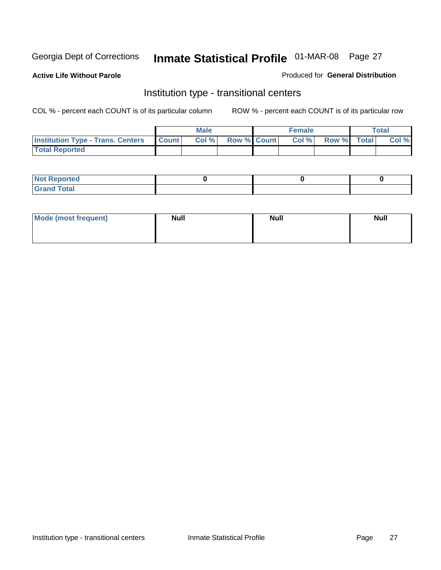**Active Life Without Parole** 

Produced for **General Distribution**

#### Institution type - transitional centers

|                                          |              | <b>Male</b> |                    | <b>Female</b> |             | Total |
|------------------------------------------|--------------|-------------|--------------------|---------------|-------------|-------|
| <b>Institution Type - Trans. Centers</b> | <b>Count</b> | Col %       | <b>Row % Count</b> | Col %         | Row % Total | Col % |
| <b>Total Reported</b>                    |              |             |                    |               |             |       |

| rtea<br>20 NGL 2<br>  |  |  |
|-----------------------|--|--|
| into!<br>---<br>_____ |  |  |

| Mode (most frequent) | <b>Null</b> | <b>Null</b> | <b>Null</b> |
|----------------------|-------------|-------------|-------------|
|                      |             |             |             |
|                      |             |             |             |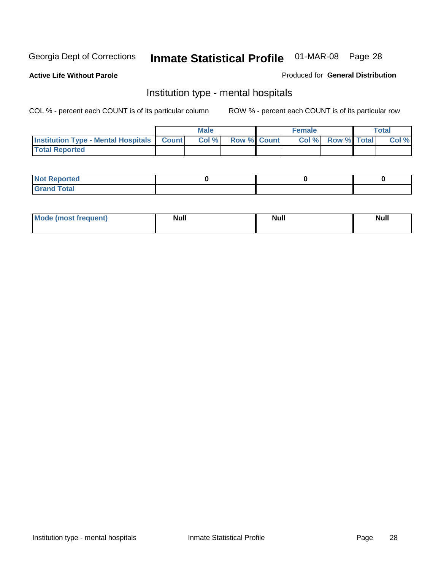**Active Life Without Parole** 

Produced for **General Distribution**

#### Institution type - mental hospitals

|                                                    | Male |                    | <b>Female</b> |                    | <b>Total</b> |
|----------------------------------------------------|------|--------------------|---------------|--------------------|--------------|
| <b>Institution Type - Mental Hospitals Count  </b> | Col% | <b>Row % Count</b> | Col%          | <b>Row % Total</b> | Col %        |
| <b>Total Reported</b>                              |      |                    |               |                    |              |

| <b>Not Reported</b> |  |  |
|---------------------|--|--|
| <b>Fotal</b><br>Cro |  |  |

| Mode (most frequent) | <b>Null</b> | <b>Null</b> | <b>Null</b> |
|----------------------|-------------|-------------|-------------|
|                      |             |             |             |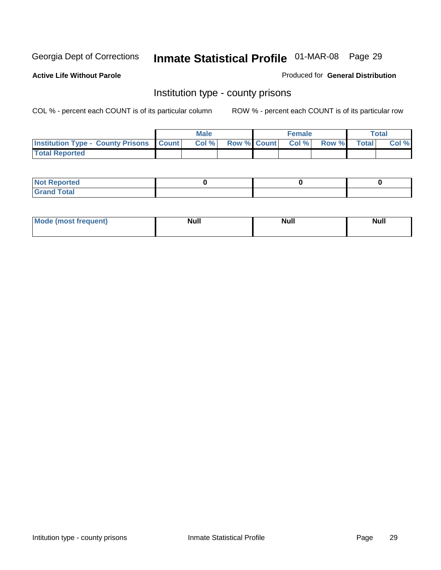**Active Life Without Parole** 

Produced for **General Distribution**

#### Institution type - county prisons

|                                                    | <b>Male</b> |                          | <b>Female</b> |       |              | Total |
|----------------------------------------------------|-------------|--------------------------|---------------|-------|--------------|-------|
| <b>Institution Type - County Prisons   Count  </b> | Col %       | <b>Row % Count Col %</b> |               | Row % | <b>Total</b> | Col % |
| <b>Total Reported</b>                              |             |                          |               |       |              |       |

| <b>Not Reported</b>        |  |  |
|----------------------------|--|--|
| <b>Total</b><br>.Grar<br>_ |  |  |

| <b>Mo</b><br>frequent) | NI. . II<br>1u 11 | <b>Moll</b> | <b>Null</b> |
|------------------------|-------------------|-------------|-------------|
|                        |                   |             |             |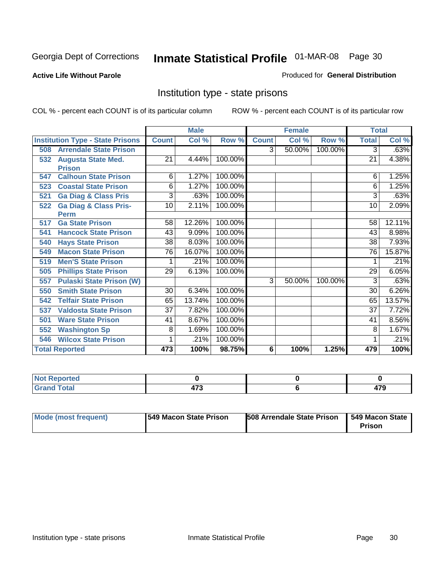**Active Life Without Parole** 

Produced for **General Distribution**

#### Institution type - state prisons

|                                         |                 | <b>Male</b> |         |              | <b>Female</b> |         | <b>Total</b>    |        |
|-----------------------------------------|-----------------|-------------|---------|--------------|---------------|---------|-----------------|--------|
| <b>Institution Type - State Prisons</b> | <b>Count</b>    | Col %       | Row %   | <b>Count</b> | Col %         | Row %   | <b>Total</b>    | Col %  |
| <b>Arrendale State Prison</b><br>508    |                 |             |         | 3            | 50.00%        | 100.00% | 3               | .63%   |
| <b>Augusta State Med.</b><br>532        | 21              | 4.44%       | 100.00% |              |               |         | 21              | 4.38%  |
| <b>Prison</b>                           |                 |             |         |              |               |         |                 |        |
| <b>Calhoun State Prison</b><br>547      | 6               | 1.27%       | 100.00% |              |               |         | 6               | 1.25%  |
| <b>Coastal State Prison</b><br>523      | 6               | 1.27%       | 100.00% |              |               |         | 6               | 1.25%  |
| <b>Ga Diag &amp; Class Pris</b><br>521  | 3               | .63%        | 100.00% |              |               |         | 3               | .63%   |
| <b>Ga Diag &amp; Class Pris-</b><br>522 | 10              | 2.11%       | 100.00% |              |               |         | 10              | 2.09%  |
| Perm                                    |                 |             |         |              |               |         |                 |        |
| <b>Ga State Prison</b><br>517           | 58              | 12.26%      | 100.00% |              |               |         | 58              | 12.11% |
| <b>Hancock State Prison</b><br>541      | 43              | 9.09%       | 100.00% |              |               |         | 43              | 8.98%  |
| <b>Hays State Prison</b><br>540         | $\overline{38}$ | 8.03%       | 100.00% |              |               |         | $\overline{38}$ | 7.93%  |
| <b>Macon State Prison</b><br>549        | $\overline{76}$ | 16.07%      | 100.00% |              |               |         | $\overline{76}$ | 15.87% |
| <b>Men'S State Prison</b><br>519        |                 | .21%        | 100.00% |              |               |         |                 | .21%   |
| <b>Phillips State Prison</b><br>505     | 29              | 6.13%       | 100.00% |              |               |         | 29              | 6.05%  |
| <b>Pulaski State Prison (W)</b><br>557  |                 |             |         | 3            | 50.00%        | 100.00% | 3               | .63%   |
| <b>Smith State Prison</b><br>550        | 30              | 6.34%       | 100.00% |              |               |         | $\overline{30}$ | 6.26%  |
| <b>Telfair State Prison</b><br>542      | 65              | 13.74%      | 100.00% |              |               |         | 65              | 13.57% |
| <b>Valdosta State Prison</b><br>537     | $\overline{37}$ | 7.82%       | 100.00% |              |               |         | $\overline{37}$ | 7.72%  |
| <b>Ware State Prison</b><br>501         | 41              | 8.67%       | 100.00% |              |               |         | 41              | 8.56%  |
| <b>Washington Sp</b><br>552             | 8               | 1.69%       | 100.00% |              |               |         | 8               | 1.67%  |
| <b>Wilcox State Prison</b><br>546       |                 | .21%        | 100.00% |              |               |         |                 | .21%   |
| <b>Total Reported</b>                   | 473             | 100%        | 98.75%  | 6            | 100%          | 1.25%   | 479             | 100%   |

| المنتقب بالتعبين<br>тео |      |         |
|-------------------------|------|---------|
| $f \wedge f \wedge f$   | 170  | $- - -$ |
| <u>i</u> Utal           | 91 J | . .     |

| Mode (most frequent) | 1549 Macon State Prison | <b>508 Arrendale State Prison</b> | 1549 Macon State<br>Prison |
|----------------------|-------------------------|-----------------------------------|----------------------------|
|----------------------|-------------------------|-----------------------------------|----------------------------|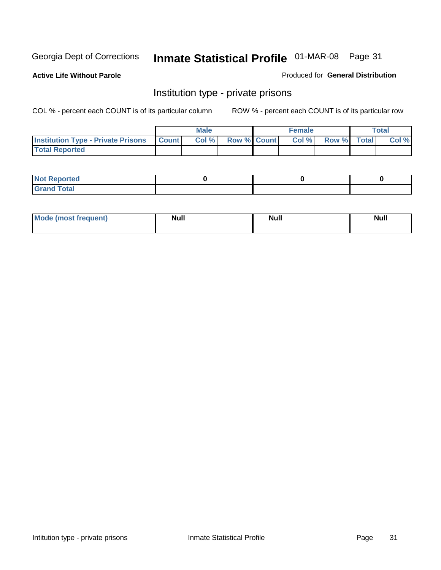**Active Life Without Parole** 

Produced for **General Distribution**

#### Institution type - private prisons

|                                                     | <b>Male</b> |                    | <b>Female</b> |             | Total |
|-----------------------------------------------------|-------------|--------------------|---------------|-------------|-------|
| <b>Institution Type - Private Prisons   Count  </b> | Col %       | <b>Row % Count</b> | Col %         | Row % Total | Col % |
| <b>Total Reported</b>                               |             |                    |               |             |       |

| <b>Not Reported</b>        |  |  |
|----------------------------|--|--|
| <b>otal</b><br>. Gror<br>. |  |  |

| Mode (most frequent) | <b>Null</b> | <b>Null</b> | <b>Null</b> |
|----------------------|-------------|-------------|-------------|
|                      |             |             |             |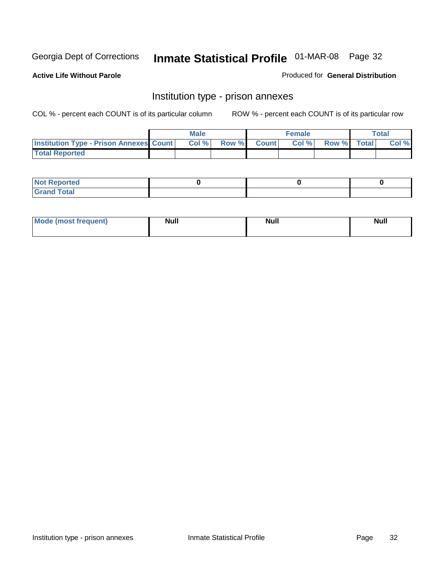**Active Life Without Parole** 

Produced for **General Distribution**

#### Institution type - prison annexes

|                                                | <b>Male</b> |                    | <b>Female</b> |             | <b>Total</b> |
|------------------------------------------------|-------------|--------------------|---------------|-------------|--------------|
| <b>Institution Type - Prison Annexes Count</b> | Col %       | <b>Row % Count</b> | Col %         | Row % Total | Col %        |
| <b>Total Reported</b>                          |             |                    |               |             |              |

| <b>Not Reported</b>            |  |  |
|--------------------------------|--|--|
| <b>Total</b><br>Croi<br>$\sim$ |  |  |

| Mode (most frequent) | <b>Null</b> | <b>Null</b> | <b>Null</b> |
|----------------------|-------------|-------------|-------------|
|                      |             |             |             |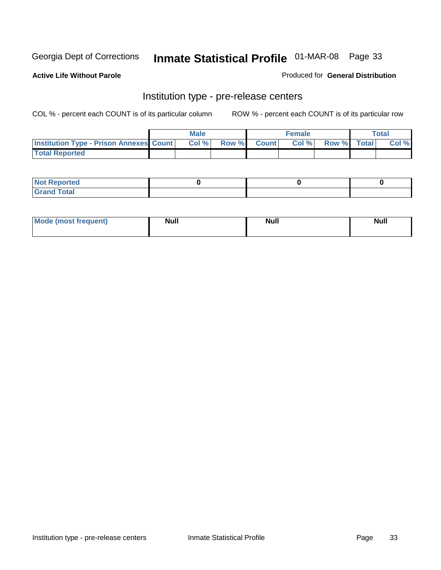**Active Life Without Parole** 

Produced for **General Distribution**

#### Institution type - pre-release centers

|                                                | <b>Male</b> |                    | <b>Female</b> |             | <b>Total</b> |
|------------------------------------------------|-------------|--------------------|---------------|-------------|--------------|
| <b>Institution Type - Prison Annexes Count</b> | Col %       | <b>Row % Count</b> | Col %         | Row % Total | Col %        |
| <b>Total Reported</b>                          |             |                    |               |             |              |

| <b>Not</b><br><b>Reported</b>    |  |  |
|----------------------------------|--|--|
| <b>Total</b><br>Gran<br>$\sim$ . |  |  |

| Mode (most frequent) | <b>Null</b> | <b>Null</b><br>_____ | <b>Null</b> |
|----------------------|-------------|----------------------|-------------|
|                      |             |                      |             |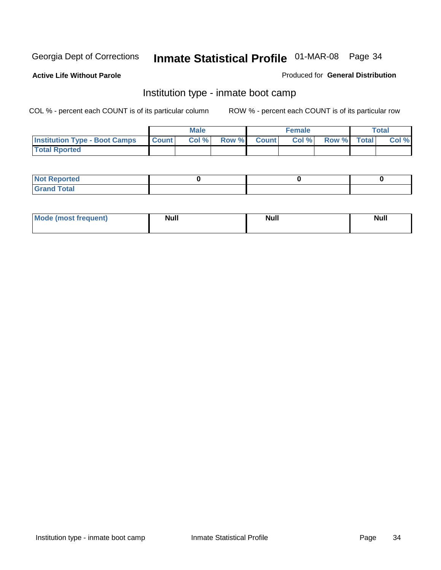**Active Life Without Parole** 

Produced for **General Distribution**

#### Institution type - inmate boot camp

|                                      |              | Male  |             | <b>Female</b> |             | <b>Total</b> |
|--------------------------------------|--------------|-------|-------------|---------------|-------------|--------------|
| <b>Institution Type - Boot Camps</b> | <b>Count</b> | Col % | Row % Count | Col %         | Row % Total | Col %        |
| <b>Total Rported</b>                 |              |       |             |               |             |              |

| <b>Not Reported</b>  |  |  |
|----------------------|--|--|
| <b>Total</b><br>Croy |  |  |

| Mode (most frequent) | <b>Null</b> | <b>Null</b> | <b>Null</b> |
|----------------------|-------------|-------------|-------------|
|                      |             |             |             |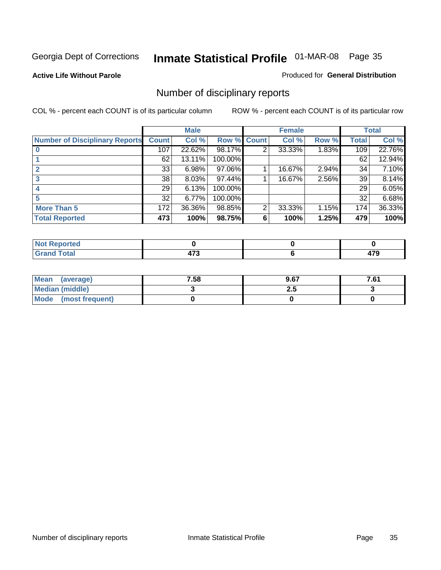#### **Active Life Without Parole**

#### Produced for **General Distribution**

### Number of disciplinary reports

|                                       |                 | <b>Male</b> |             |   | <b>Female</b> |       |              | <b>Total</b> |
|---------------------------------------|-----------------|-------------|-------------|---|---------------|-------|--------------|--------------|
| <b>Number of Disciplinary Reports</b> | <b>Count</b>    | Col %       | Row % Count |   | Col %         | Row % | <b>Total</b> | Col %        |
|                                       | 107             | 22.62%      | 98.17%      | 2 | 33.33%        | 1.83% | 109          | 22.76%       |
|                                       | 62              | 13.11%      | 100.00%     |   |               |       | 62           | 12.94%       |
|                                       | 33              | 6.98%       | 97.06%      |   | 16.67%        | 2.94% | 34           | 7.10%        |
| 3                                     | 38              | 8.03%       | 97.44%      |   | 16.67%        | 2.56% | 39           | 8.14%        |
|                                       | 29 <sub>1</sub> | 6.13%       | 100.00%     |   |               |       | 29           | 6.05%        |
| 5                                     | 32              | 6.77%       | 100.00%     |   |               |       | 32           | 6.68%        |
| <b>More Than 5</b>                    | 172             | 36.36%      | 98.85%      | 2 | 33.33%        | 1.15% | 174          | 36.33%       |
| <b>Total Reported</b>                 | 473             | 100%        | 98.75%      | 6 | 100%          | 1.25% | 479          | 100%         |

| .<br>N<br>Ter. |        |             |
|----------------|--------|-------------|
| T <sub>1</sub> | $\sim$ | .<br>$\sim$ |

| Mean (average)       | 7.58 | 9.67 | 7.61 |
|----------------------|------|------|------|
| Median (middle)      |      | 2.J  |      |
| Mode (most frequent) |      |      |      |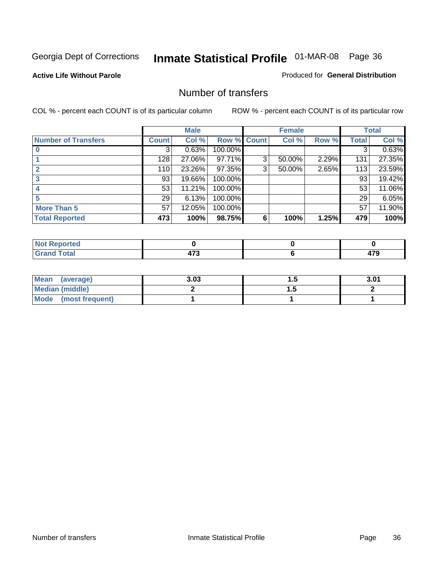#### **Active Life Without Parole**

#### Produced for **General Distribution**

#### Number of transfers

|                            |                 | <b>Male</b> |         |              | <b>Female</b> |       |              | <b>Total</b> |
|----------------------------|-----------------|-------------|---------|--------------|---------------|-------|--------------|--------------|
| <b>Number of Transfers</b> | Count l         | Col %       | Row %   | <b>Count</b> | Col %         | Row % | <b>Total</b> | Col %        |
|                            | 3               | 0.63%       | 100.00% |              |               |       | 3            | 0.63%        |
|                            | 128             | 27.06%      | 97.71%  | 3            | 50.00%        | 2.29% | 131          | 27.35%       |
| $\mathbf{c}$               | 110             | 23.26%      | 97.35%  | 3            | 50.00%        | 2.65% | 113          | 23.59%       |
| 3                          | 93              | 19.66%      | 100.00% |              |               |       | 93           | 19.42%       |
|                            | 53              | 11.21%      | 100.00% |              |               |       | 53           | 11.06%       |
|                            | 29 <sub>1</sub> | 6.13%       | 100.00% |              |               |       | 29           | 6.05%        |
| <b>More Than 5</b>         | 57              | 12.05%      | 100.00% |              |               |       | 57           | 11.90%       |
| <b>Total Reported</b>      | 473             | 100%        | 98.75%  | 6            | 100%          | 1.25% | 479          | 100%         |

| .<br>N<br>тео                     |                          |   |
|-----------------------------------|--------------------------|---|
| $\sim$ 40<br>$\sim$ $\sim$ $\sim$ | $-$<br>$\cdot$ . $\cdot$ | . |

| Mean (average)       | 3.03 | . .      | 3.01 |
|----------------------|------|----------|------|
| Median (middle)      |      | $\cdots$ |      |
| Mode (most frequent) |      |          |      |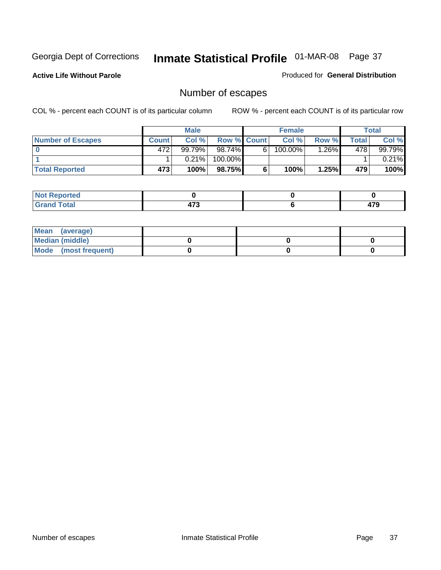**Active Life Without Parole** 

Produced for **General Distribution**

# Number of escapes

|                          |              | <b>Male</b> |                    |   | <b>Female</b> |         |       | <b>Total</b> |
|--------------------------|--------------|-------------|--------------------|---|---------------|---------|-------|--------------|
| <b>Number of Escapes</b> | <b>Count</b> | Col %       | <b>Row % Count</b> |   | Col %         | Row %I  | Total | Col %        |
|                          | 472'         | 99.79%      | 98.74% Ⅰ           | 6 | 100.00%       | $.26\%$ | 478   | 99.79%       |
|                          |              | 0.21%       | 100.00%            |   |               |         |       | $0.21\%$     |
| <b>Total Reported</b>    | 473          | 100%        | 98.75%             |   | 100%          | 1.25%   | 479   | 100%         |

| المتحافظ<br>neo                 |   |             |
|---------------------------------|---|-------------|
| <b>otal</b><br>$\mathbf{v}$ and | . | 170<br>41 J |

| Mean (average)       |  |  |
|----------------------|--|--|
| Median (middle)      |  |  |
| Mode (most frequent) |  |  |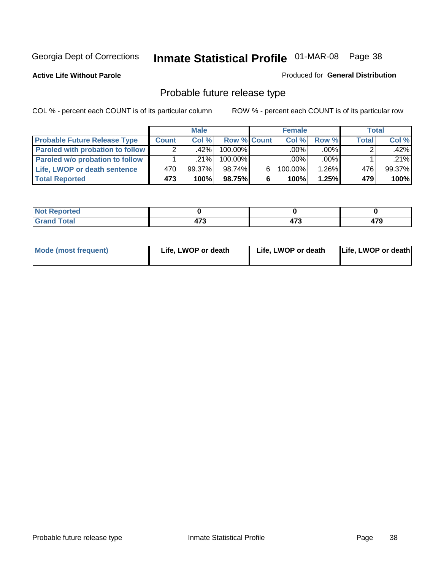**Active Life Without Parole** 

Produced for **General Distribution**

# Probable future release type

|                                         |              | <b>Male</b> |                    |   | <b>Female</b> |         |              | Total  |
|-----------------------------------------|--------------|-------------|--------------------|---|---------------|---------|--------------|--------|
| <b>Probable Future Release Type</b>     | <b>Count</b> | Col %       | <b>Row % Count</b> |   | Col%          | Row %   | <b>Total</b> | Col %  |
| <b>Paroled with probation to follow</b> |              | ا %42.      | 100.00%            |   | $.00\%$       | $.00\%$ |              | .42%l  |
| Paroled w/o probation to follow         |              | $.21\%$     | 100.00%            |   | $.00\%$       | $.00\%$ |              | .21%   |
| Life, LWOP or death sentence            | 470          | $99.37\%$   | 98.74%             | 6 | 100.00%       | 1.26%   | 476          | 99.37% |
| <b>Total Reported</b>                   | 473          | 100%        | 98.75%             | 6 | 100%          | 1.25%   | 479          | 100%   |

| u      |        |    |        |
|--------|--------|----|--------|
| ______ | 71 J   | .  | ---    |
|        | $\sim$ | __ | $\sim$ |

| <b>Mode (most frequent)</b> | Life, LWOP or death | Life, LWOP or death | Life, LWOP or death |
|-----------------------------|---------------------|---------------------|---------------------|
|-----------------------------|---------------------|---------------------|---------------------|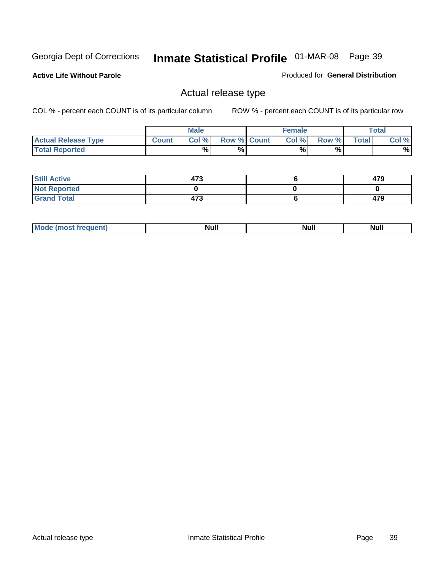**Active Life Without Parole** 

Produced for **General Distribution**

### Actual release type

|                            |              | <b>Male</b> |                    | <b>Female</b> |       |              | Total |
|----------------------------|--------------|-------------|--------------------|---------------|-------|--------------|-------|
| <b>Actual Release Type</b> | <b>Count</b> | Col %       | <b>Row % Count</b> | Col %         | Row % | <b>Total</b> | Col % |
| <b>Total Reported</b>      |              | $\%$        | %                  | %             | %     |              | %     |

| <b>Still Active</b> | 473 | 479 |
|---------------------|-----|-----|
| <b>Not Reported</b> |     |     |
| <b>Grand Total</b>  | 473 | 479 |

| M<br>_____<br>_____ | NI | Null | $\cdots$ |
|---------------------|----|------|----------|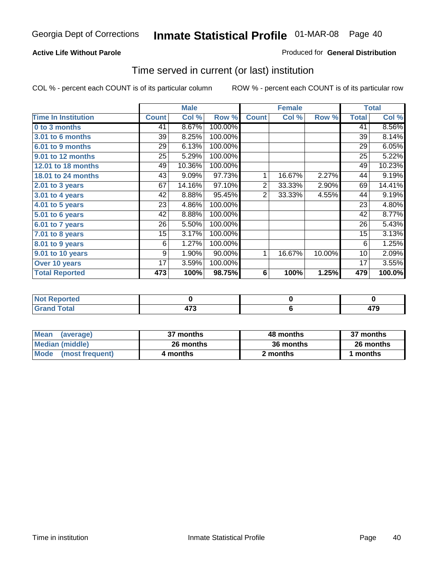#### **Active Life Without Parole**

#### Produced for **General Distribution**

### Time served in current (or last) institution

|                            |              | <b>Male</b> |         |                | <b>Female</b> |        |              | <b>Total</b> |
|----------------------------|--------------|-------------|---------|----------------|---------------|--------|--------------|--------------|
| <b>Time In Institution</b> | <b>Count</b> | Col %       | Row %   | <b>Count</b>   | Col %         | Row %  | <b>Total</b> | Col %        |
| 0 to 3 months              | 41           | 8.67%       | 100.00% |                |               |        | 41           | 8.56%        |
| 3.01 to 6 months           | 39           | 8.25%       | 100.00% |                |               |        | 39           | 8.14%        |
| 6.01 to 9 months           | 29           | 6.13%       | 100.00% |                |               |        | 29           | 6.05%        |
| 9.01 to 12 months          | 25           | 5.29%       | 100.00% |                |               |        | 25           | 5.22%        |
| 12.01 to 18 months         | 49           | 10.36%      | 100.00% |                |               |        | 49           | 10.23%       |
| 18.01 to 24 months         | 43           | 9.09%       | 97.73%  | 1              | 16.67%        | 2.27%  | 44           | 9.19%        |
| $2.01$ to 3 years          | 67           | 14.16%      | 97.10%  | $\overline{2}$ | 33.33%        | 2.90%  | 69           | 14.41%       |
| $3.01$ to 4 years          | 42           | 8.88%       | 95.45%  | 2              | 33.33%        | 4.55%  | 44           | 9.19%        |
| 4.01 to 5 years            | 23           | 4.86%       | 100.00% |                |               |        | 23           | 4.80%        |
| 5.01 to 6 years            | 42           | 8.88%       | 100.00% |                |               |        | 42           | 8.77%        |
| 6.01 to 7 years            | 26           | 5.50%       | 100.00% |                |               |        | 26           | 5.43%        |
| 7.01 to 8 years            | 15           | 3.17%       | 100.00% |                |               |        | 15           | 3.13%        |
| 8.01 to 9 years            | 6            | 1.27%       | 100.00% |                |               |        | 6            | 1.25%        |
| 9.01 to 10 years           | 9            | 1.90%       | 90.00%  | 1              | 16.67%        | 10.00% | 10           | 2.09%        |
| Over 10 years              | 17           | 3.59%       | 100.00% |                |               |        | 17           | 3.55%        |
| <b>Total Reported</b>      | 473          | 100%        | 98.75%  | 6              | 100%          | 1.25%  | 479          | 100.0%       |

| <b>Reported</b><br><b>NOT</b> |          |     |
|-------------------------------|----------|-----|
| <b>Total</b>                  | 170<br>. | ^‴^ |

| <b>Mean</b><br>(average) | 37 months | 48 months | 37 months |  |
|--------------------------|-----------|-----------|-----------|--|
| Median (middle)          | 26 months | 36 months | 26 months |  |
| Mode (most frequent)     | 4 months  | 2 months  | months    |  |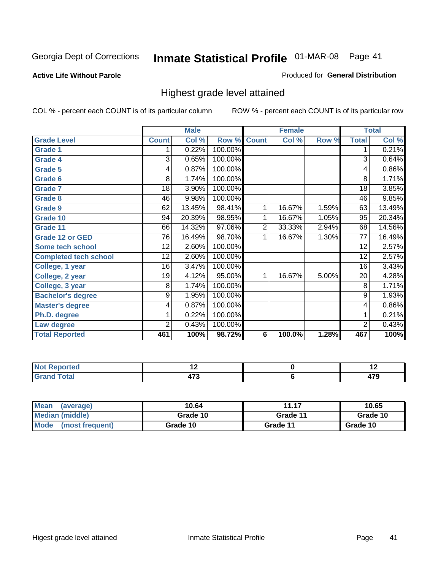#### **Active Life Without Parole**

### Produced for **General Distribution**

### Highest grade level attained

|                              |                 | <b>Male</b> |         |                         | <b>Female</b> |       |                 | <b>Total</b> |
|------------------------------|-----------------|-------------|---------|-------------------------|---------------|-------|-----------------|--------------|
| <b>Grade Level</b>           | <b>Count</b>    | Col %       | Row %   | <b>Count</b>            | Col %         | Row % | <b>Total</b>    | Col %        |
| <b>Grade 1</b>               | 1               | 0.22%       | 100.00% |                         |               |       | 1               | 0.21%        |
| <b>Grade 4</b>               | $\overline{3}$  | 0.65%       | 100.00% |                         |               |       | 3               | 0.64%        |
| <b>Grade 5</b>               | 4               | 0.87%       | 100.00% |                         |               |       | 4               | 0.86%        |
| Grade 6                      | 8               | 1.74%       | 100.00% |                         |               |       | 8               | 1.71%        |
| <b>Grade 7</b>               | 18              | 3.90%       | 100.00% |                         |               |       | 18              | 3.85%        |
| <b>Grade 8</b>               | 46              | 9.98%       | 100.00% |                         |               |       | 46              | 9.85%        |
| <b>Grade 9</b>               | 62              | 13.45%      | 98.41%  | 1                       | 16.67%        | 1.59% | 63              | 13.49%       |
| Grade 10                     | 94              | 20.39%      | 98.95%  | 1                       | 16.67%        | 1.05% | 95              | 20.34%       |
| Grade 11                     | 66              | 14.32%      | 97.06%  | $\overline{\mathbf{c}}$ | 33.33%        | 2.94% | 68              | 14.56%       |
| <b>Grade 12 or GED</b>       | 76              | 16.49%      | 98.70%  | 1                       | 16.67%        | 1.30% | 77              | 16.49%       |
| <b>Some tech school</b>      | $\overline{12}$ | 2.60%       | 100.00% |                         |               |       | $\overline{12}$ | 2.57%        |
| <b>Completed tech school</b> | 12              | 2.60%       | 100.00% |                         |               |       | 12              | 2.57%        |
| College, 1 year              | 16              | 3.47%       | 100.00% |                         |               |       | 16              | 3.43%        |
| College, 2 year              | 19              | 4.12%       | 95.00%  | 1                       | 16.67%        | 5.00% | $\overline{20}$ | 4.28%        |
| College, 3 year              | 8               | 1.74%       | 100.00% |                         |               |       | 8               | 1.71%        |
| <b>Bachelor's degree</b>     | 9               | 1.95%       | 100.00% |                         |               |       | 9               | 1.93%        |
| <b>Master's degree</b>       | 4               | 0.87%       | 100.00% |                         |               |       | 4               | 0.86%        |
| Ph.D. degree                 | 1               | 0.22%       | 100.00% |                         |               |       | 1               | 0.21%        |
| Law degree                   | 2               | 0.43%       | 100.00% |                         |               |       | $\overline{2}$  | 0.43%        |
| <b>Total Reported</b>        | 461             | 100%        | 98.72%  | 6                       | 100.0%        | 1.28% | 467             | 100%         |

| i Albert<br>4 - - - <b>-</b><br>теа<br>w<br>. |        | . .      |
|-----------------------------------------------|--------|----------|
| $T = 4 - T$<br>---<br>-                       | .<br>. | ---<br>м |

| <b>Mean</b><br>(average)       | 10.64    | 11.17    | 10.65    |
|--------------------------------|----------|----------|----------|
| Median (middle)                | Grade 10 | Grade 11 | Grade 10 |
| <b>Mode</b><br>(most frequent) | Grade 10 | Grade 11 | Grade 10 |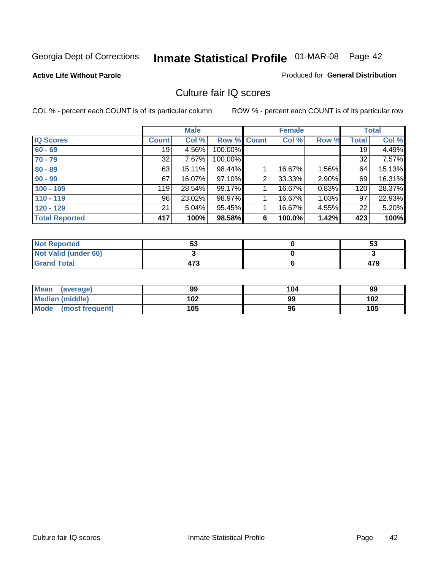### **Active Life Without Parole**

#### Produced for **General Distribution**

### Culture fair IQ scores

|                       | <b>Male</b>     |        |         | <b>Female</b> | <b>Total</b> |       |              |        |
|-----------------------|-----------------|--------|---------|---------------|--------------|-------|--------------|--------|
| <b>IQ Scores</b>      | <b>Count</b>    | Col %  | Row %   | <b>Count</b>  | Col %        | Row % | <b>Total</b> | Col %  |
| $60 - 69$             | 19 <sup>°</sup> | 4.56%  | 100.00% |               |              |       | 19           | 4.49%  |
| $70 - 79$             | 32              | 7.67%  | 100.00% |               |              |       | 32           | 7.57%  |
| $80 - 89$             | 63              | 15.11% | 98.44%  |               | 16.67%       | 1.56% | 64           | 15.13% |
| $90 - 99$             | 67              | 16.07% | 97.10%  | 2             | 33.33%       | 2.90% | 69           | 16.31% |
| $100 - 109$           | 119             | 28.54% | 99.17%  | 4             | 16.67%       | 0.83% | 120          | 28.37% |
| $110 - 119$           | 96              | 23.02% | 98.97%  |               | 16.67%       | 1.03% | 97           | 22.93% |
| $120 - 129$           | 21              | 5.04%  | 95.45%  | 1             | 16.67%       | 4.55% | 22           | 5.20%  |
| <b>Total Reported</b> | 417             | 100%   | 98.58%  | 6             | 100.0%       | 1.42% | 423          | 100%   |

| <b>Not Reported</b>         | гη<br>აა | 53  |
|-----------------------------|----------|-----|
| <b>Not Valid (under 60)</b> |          |     |
| <b>Grand Total</b>          | 473      | 479 |

| <b>Mean</b><br>(average)       | 99  | 104 | 99  |
|--------------------------------|-----|-----|-----|
| Median (middle)                | 102 | 99  | 102 |
| <b>Mode</b><br>(most frequent) | 105 | 96  | 105 |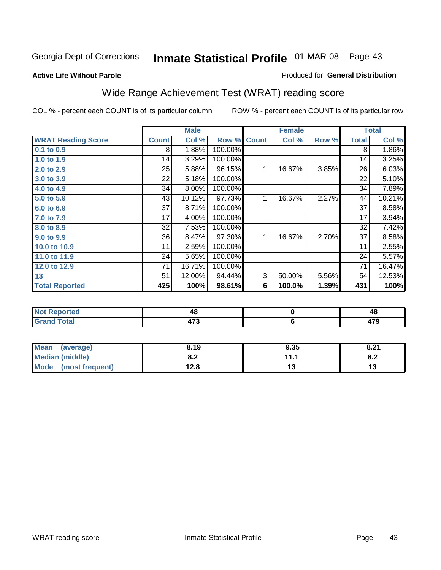#### **Active Life Without Parole**

#### Produced for **General Distribution**

# Wide Range Achievement Test (WRAT) reading score

|                           |                 | <b>Male</b><br><b>Female</b> |                      | <b>Total</b> |        |       |                 |        |
|---------------------------|-----------------|------------------------------|----------------------|--------------|--------|-------|-----------------|--------|
| <b>WRAT Reading Score</b> | <b>Count</b>    | Col %                        | Row %                | <b>Count</b> | Col %  | Row % | <b>Total</b>    | Col %  |
| 0.1 to 0.9                | 8               | 1.88%                        | 100.00%              |              |        |       | 8               | 1.86%  |
| 1.0 to 1.9                | 14              | 3.29%                        | 100.00%              |              |        |       | 14              | 3.25%  |
| 2.0 to 2.9                | $\overline{25}$ | 5.88%                        | $\overline{96.15\%}$ | 1            | 16.67% | 3.85% | $\overline{26}$ | 6.03%  |
| 3.0 to 3.9                | 22              | 5.18%                        | 100.00%              |              |        |       | 22              | 5.10%  |
| 4.0 to 4.9                | 34              | 8.00%                        | 100.00%              |              |        |       | 34              | 7.89%  |
| 5.0 to 5.9                | 43              | 10.12%                       | 97.73%               | 1            | 16.67% | 2.27% | 44              | 10.21% |
| 6.0 to 6.9                | 37              | 8.71%                        | 100.00%              |              |        |       | 37              | 8.58%  |
| 7.0 to 7.9                | 17              | 4.00%                        | 100.00%              |              |        |       | 17              | 3.94%  |
| 8.0 to 8.9                | 32              | 7.53%                        | 100.00%              |              |        |       | 32              | 7.42%  |
| 9.0 to 9.9                | 36              | 8.47%                        | 97.30%               | 1            | 16.67% | 2.70% | 37              | 8.58%  |
| 10.0 to 10.9              | 11              | 2.59%                        | 100.00%              |              |        |       | 11              | 2.55%  |
| 11.0 to 11.9              | 24              | 5.65%                        | 100.00%              |              |        |       | 24              | 5.57%  |
| 12.0 to 12.9              | 71              | 16.71%                       | 100.00%              |              |        |       | 71              | 16.47% |
| 13                        | 51              | 12.00%                       | 94.44%               | 3            | 50.00% | 5.56% | 54              | 12.53% |
| <b>Total Reported</b>     | 425             | 100%                         | 98.61%               | 6            | 100.0% | 1.39% | 431             | 100%   |
|                           |                 |                              |                      |              |        |       |                 |        |
| <b>Not Reported</b>       |                 | 48                           |                      | $\pmb{0}$    |        |       | 48              |        |
| <b>Grand Total</b>        |                 | 473                          |                      | $\bf 6$      |        |       | 479             |        |

| <b>Mean</b><br>(average) | 8.19       | 9.35 | 9.21<br>O.Z |
|--------------------------|------------|------|-------------|
| Median (middle)          | ה ה<br>o.z | 11 1 | o.z         |
| Mode (most frequent)     | 12.8       | 1 J  | IJ          |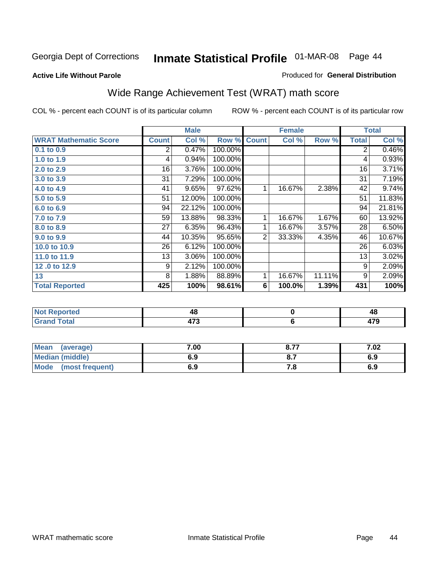### Georgia Dept of Corrections **Inmate Statistical Profile** 01-MAR-08 Page 44

**Active Life Without Parole** 

#### Produced for **General Distribution**

# Wide Range Achievement Test (WRAT) math score

|                              |              | <b>Male</b> |         |                | <b>Female</b> |        |              | <b>Total</b> |
|------------------------------|--------------|-------------|---------|----------------|---------------|--------|--------------|--------------|
| <b>WRAT Mathematic Score</b> | <b>Count</b> | Col %       | Row %   | <b>Count</b>   | Col %         | Row %  | <b>Total</b> | Col %        |
| 0.1 to 0.9                   | 2            | 0.47%       | 100.00% |                |               |        | 2            | 0.46%        |
| 1.0 to 1.9                   | 4            | 0.94%       | 100.00% |                |               |        | 4            | 0.93%        |
| 2.0 to 2.9                   | 16           | 3.76%       | 100.00% |                |               |        | 16           | 3.71%        |
| 3.0 to 3.9                   | 31           | 7.29%       | 100.00% |                |               |        | 31           | 7.19%        |
| 4.0 to 4.9                   | 41           | 9.65%       | 97.62%  | 1              | 16.67%        | 2.38%  | 42           | 9.74%        |
| 5.0 to 5.9                   | 51           | 12.00%      | 100.00% |                |               |        | 51           | 11.83%       |
| 6.0 to 6.9                   | 94           | 22.12%      | 100.00% |                |               |        | 94           | 21.81%       |
| 7.0 to 7.9                   | 59           | 13.88%      | 98.33%  | 1              | 16.67%        | 1.67%  | 60           | 13.92%       |
| 8.0 to 8.9                   | 27           | 6.35%       | 96.43%  | 1              | 16.67%        | 3.57%  | 28           | 6.50%        |
| 9.0 to 9.9                   | 44           | 10.35%      | 95.65%  | $\overline{2}$ | 33.33%        | 4.35%  | 46           | 10.67%       |
| 10.0 to 10.9                 | 26           | 6.12%       | 100.00% |                |               |        | 26           | 6.03%        |
| 11.0 to 11.9                 | 13           | 3.06%       | 100.00% |                |               |        | 13           | 3.02%        |
| 12.0 to 12.9                 | 9            | 2.12%       | 100.00% |                |               |        | 9            | 2.09%        |
| 13                           | 8            | 1.88%       | 88.89%  | 1              | 16.67%        | 11.11% | 9            | 2.09%        |
| <b>Total Reported</b>        | 425          | 100%        | 98.61%  | 6              | 100.0%        | 1.39%  | 431          | 100%         |
|                              |              |             |         |                |               |        |              |              |

| <b>Not Reported</b> | 40                    | 48          |
|---------------------|-----------------------|-------------|
| <b>Grand Total</b>  | $\rightarrow$<br>41 J | 470<br>41 J |

| <b>Mean</b><br>(average)       | 7.00 | 0.77 | 7.02 |
|--------------------------------|------|------|------|
| Median (middle)                | 6.9  |      | 6.9  |
| <b>Mode</b><br>(most frequent) | 6.9  | 7.O  | 6.9  |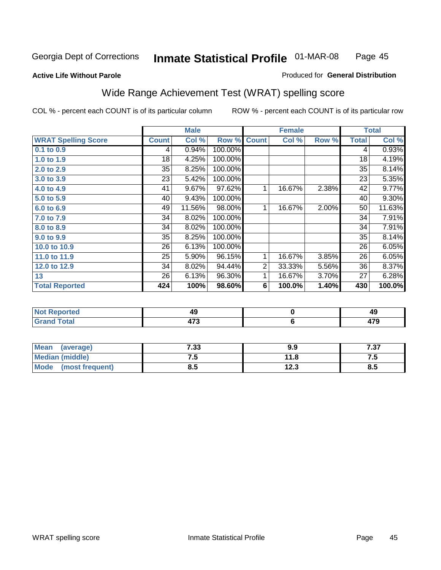**Active Life Without Parole** 

#### Produced for **General Distribution**

# Wide Range Achievement Test (WRAT) spelling score

|                            |              | <b>Male</b> |         |                | <b>Female</b> |       |              | <b>Total</b> |
|----------------------------|--------------|-------------|---------|----------------|---------------|-------|--------------|--------------|
| <b>WRAT Spelling Score</b> | <b>Count</b> | Col %       | Row %   | <b>Count</b>   | Col %         | Row % | <b>Total</b> | Col %        |
| $0.1$ to $0.9$             | 4            | 0.94%       | 100.00% |                |               |       | 4            | 0.93%        |
| 1.0 to 1.9                 | 18           | 4.25%       | 100.00% |                |               |       | 18           | 4.19%        |
| 2.0 to 2.9                 | 35           | 8.25%       | 100.00% |                |               |       | 35           | 8.14%        |
| 3.0 to 3.9                 | 23           | 5.42%       | 100.00% |                |               |       | 23           | 5.35%        |
| 4.0 to 4.9                 | 41           | 9.67%       | 97.62%  | 1              | 16.67%        | 2.38% | 42           | 9.77%        |
| 5.0 to 5.9                 | 40           | 9.43%       | 100.00% |                |               |       | 40           | 9.30%        |
| 6.0 to 6.9                 | 49           | 11.56%      | 98.00%  | 1              | 16.67%        | 2.00% | 50           | 11.63%       |
| 7.0 to 7.9                 | 34           | 8.02%       | 100.00% |                |               |       | 34           | 7.91%        |
| 8.0 to 8.9                 | 34           | 8.02%       | 100.00% |                |               |       | 34           | 7.91%        |
| 9.0 to 9.9                 | 35           | 8.25%       | 100.00% |                |               |       | 35           | 8.14%        |
| 10.0 to 10.9               | 26           | 6.13%       | 100.00% |                |               |       | 26           | 6.05%        |
| 11.0 to 11.9               | 25           | 5.90%       | 96.15%  | 1              | 16.67%        | 3.85% | 26           | 6.05%        |
| 12.0 to 12.9               | 34           | 8.02%       | 94.44%  | $\overline{2}$ | 33.33%        | 5.56% | 36           | 8.37%        |
| 13                         | 26           | 6.13%       | 96.30%  | 1              | 16.67%        | 3.70% | 27           | 6.28%        |
| <b>Total Reported</b>      | 424          | 100%        | 98.60%  | 6              | 100.0%        | 1.40% | 430          | 100.0%       |
|                            |              |             |         |                |               |       |              |              |
| <b>Not Reported</b>        |              | 49          |         |                | $\pmb{0}$     |       |              | 49           |
| <b>Grand Total</b>         |              | 473         |         |                | $\bf 6$       |       |              | 479          |

| <b>Mean</b><br>(average)       | 7.33 | 9.9  | 707<br>، ن. ' |
|--------------------------------|------|------|---------------|
| <b>Median (middle)</b>         | ن. ا | 11.8 | ں ،           |
| <b>Mode</b><br>(most frequent) | ၓ.ͻ  | 12.3 | o<br>ၓ.ͻ      |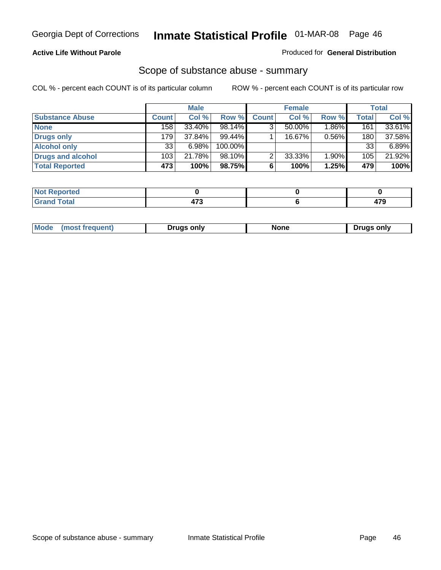### **Active Life Without Parole**

#### Produced for **General Distribution**

### Scope of substance abuse - summary

|                        |              | <b>Male</b> |            |              | <b>Female</b> |          |                  | <b>Total</b> |
|------------------------|--------------|-------------|------------|--------------|---------------|----------|------------------|--------------|
| <b>Substance Abuse</b> | <b>Count</b> | Col %       | Row %      | <b>Count</b> | Col %         | Row %    | <b>Total</b>     | Col %        |
| <b>None</b>            | 158          | 33.40%      | 98.14%     | ◠            | $50.00\%$     | $1.86\%$ | 161              | 33.61%       |
| Drugs only             | 179          | 37.84%      | $99.44\%$  |              | 16.67%        | 0.56%    | 180 <sub>1</sub> | 37.58%       |
| <b>Alcohol only</b>    | 33           | 6.98%       | $100.00\%$ |              |               |          | 33               | $6.89\%$     |
| Drugs and alcohol      | 103          | 21.78%      | $98.10\%$  | ◠            | 33.33%        | 1.90%    | 105              | 21.92%       |
| <b>Total Reported</b>  | 473          | 100%        | 98.75%     | 6            | 100%          | 1.25%    | 479              | 100%         |

| <b>Not</b><br>Reported  |  |   |
|-------------------------|--|---|
| <b>Total</b><br>' Gran⊾ |  | . |

| ruas onlv<br>one<br>only<br>Pruas .<br>онеш. | Mode |  |  |  |
|----------------------------------------------|------|--|--|--|
|----------------------------------------------|------|--|--|--|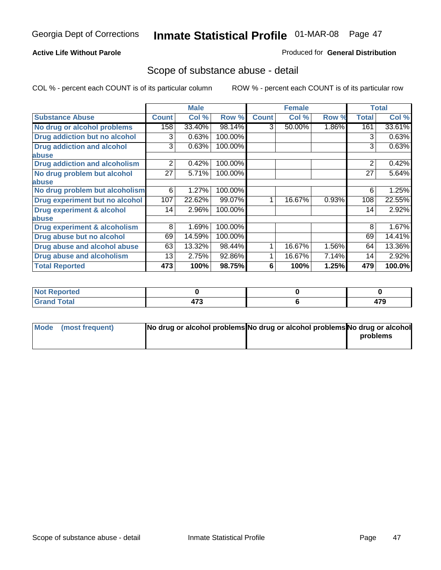### **Active Life Without Parole**

#### Produced for **General Distribution**

### Scope of substance abuse - detail

|                                         |              | <b>Male</b> |         |              | <b>Female</b> |          |              | <b>Total</b> |
|-----------------------------------------|--------------|-------------|---------|--------------|---------------|----------|--------------|--------------|
| <b>Substance Abuse</b>                  | <b>Count</b> | Col %       | Row %   | <b>Count</b> | Col %         | Row %    | <b>Total</b> | Col %        |
| No drug or alcohol problems             | 158          | 33.40%      | 98.14%  | 3            | 50.00%        | $1.86\%$ | 161          | 33.61%       |
| <b>Drug addiction but no alcohol</b>    | 3            | 0.63%       | 100.00% |              |               |          | 3            | 0.63%        |
| <b>Drug addiction and alcohol</b>       | 3            | 0.63%       | 100.00% |              |               |          | 3            | 0.63%        |
| abuse                                   |              |             |         |              |               |          |              |              |
| <b>Drug addiction and alcoholism</b>    | 2            | 0.42%       | 100.00% |              |               |          | 2            | 0.42%        |
| No drug problem but alcohol             | 27           | 5.71%       | 100.00% |              |               |          | 27           | 5.64%        |
| abuse                                   |              |             |         |              |               |          |              |              |
| No drug problem but alcoholism          | 6            | 1.27%       | 100.00% |              |               |          | 6            | 1.25%        |
| Drug experiment but no alcohol          | 107          | 22.62%      | 99.07%  |              | 16.67%        | 0.93%    | 108          | 22.55%       |
| <b>Drug experiment &amp; alcohol</b>    | 14           | 2.96%       | 100.00% |              |               |          | 14           | 2.92%        |
| abuse                                   |              |             |         |              |               |          |              |              |
| <b>Drug experiment &amp; alcoholism</b> | 8            | 1.69%       | 100.00% |              |               |          | 8            | 1.67%        |
| Drug abuse but no alcohol               | 69           | 14.59%      | 100.00% |              |               |          | 69           | 14.41%       |
| Drug abuse and alcohol abuse            | 63           | 13.32%      | 98.44%  |              | 16.67%        | 1.56%    | 64           | 13.36%       |
| <b>Drug abuse and alcoholism</b>        | 13           | 2.75%       | 92.86%  |              | 16.67%        | 7.14%    | 14           | 2.92%        |
| <b>Total Reported</b>                   | 473          | 100%        | 98.75%  | 6            | 100%          | 1.25%    | 479          | 100.0%       |

| Not Reported           |     |     |
|------------------------|-----|-----|
| <b>Total</b><br>$\sim$ | --- | --- |

| Mode (most frequent) | No drug or alcohol problems No drug or alcohol problems No drug or alcohol |          |
|----------------------|----------------------------------------------------------------------------|----------|
|                      |                                                                            | problems |
|                      |                                                                            |          |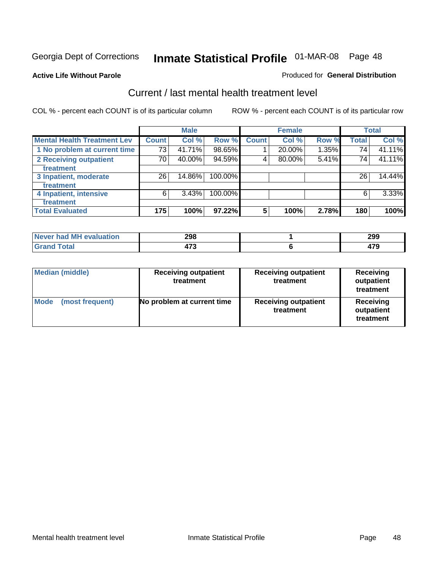**Active Life Without Parole** 

#### Produced for **General Distribution**

### Current / last mental health treatment level

|                                    |              | <b>Male</b> |            |              | <b>Female</b> |       |              | <b>Total</b> |
|------------------------------------|--------------|-------------|------------|--------------|---------------|-------|--------------|--------------|
| <b>Mental Health Treatment Lev</b> | <b>Count</b> | Col %       | Row %      | <b>Count</b> | Col %         | Row % | <b>Total</b> | Col %        |
| 1 No problem at current time       | 731          | 41.71%      | 98.65%     |              | 20.00%        | 1.35% | 74           | 41.11%       |
| 2 Receiving outpatient             | 70           | 40.00%      | 94.59%     | 4            | 80.00%        | 5.41% | 74           | 41.11%       |
| treatment                          |              |             |            |              |               |       |              |              |
| 3 Inpatient, moderate              | 26           | 14.86%      | 100.00%    |              |               |       | 26           | 14.44%       |
| treatment                          |              |             |            |              |               |       |              |              |
| 4 Inpatient, intensive             | 6            | 3.43%       | $100.00\%$ |              |               |       | 6            | $3.33\%$     |
| treatment                          |              |             |            |              |               |       |              |              |
| <b>Total Evaluated</b>             | 175          | 100%        | 97.22%     | 5            | 100%          | 2.78% | 180          | 100%         |

| Never had MH evaluation | 298 | 299 |
|-------------------------|-----|-----|
| Total                   | ィーヘ | --- |

| <b>Median (middle)</b>         | <b>Receiving outpatient</b><br>treatment |                                          | <b>Receiving</b><br>outpatient<br>treatment |  |
|--------------------------------|------------------------------------------|------------------------------------------|---------------------------------------------|--|
| <b>Mode</b><br>(most frequent) | No problem at current time               | <b>Receiving outpatient</b><br>treatment | Receiving<br>outpatient<br>treatment        |  |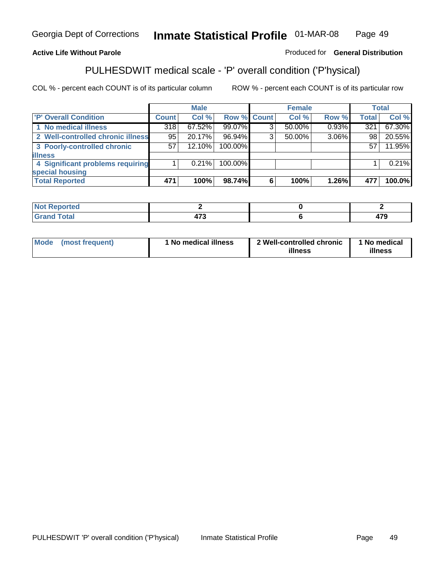#### **Active Life Without Parole**

#### Produced for **General Distribution**

### PULHESDWIT medical scale - 'P' overall condition ('P'hysical)

|                                   |              | <b>Male</b> |                    |   | <b>Female</b> |          |              | <b>Total</b> |
|-----------------------------------|--------------|-------------|--------------------|---|---------------|----------|--------------|--------------|
| 'P' Overall Condition             | <b>Count</b> | Col %       | <b>Row % Count</b> |   | Col %         | Row %    | <b>Total</b> | Col %        |
| 1 No medical illness              | 318          | $67.52\%$   | 99.07%             |   | $50.00\%$     | $0.93\%$ | 321          | 67.30%       |
| 2 Well-controlled chronic illness | 95           | 20.17%      | 96.94%             | 3 | $50.00\%$     | 3.06%    | 98           | 20.55%       |
| 3 Poorly-controlled chronic       | 57           | 12.10%      | 100.00%            |   |               |          | 57           | 11.95%       |
| <b>illness</b>                    |              |             |                    |   |               |          |              |              |
| 4 Significant problems requiring  |              | $0.21\%$    | 100.00%            |   |               |          |              | 0.21%        |
| special housing                   |              |             |                    |   |               |          |              |              |
| <b>Total Reported</b>             | 471          | 100%        | 98.74%             | 6 | 100%          | $1.26\%$ | 477          | 100.0%       |

| Not F<br>Reported  |                                      |             |
|--------------------|--------------------------------------|-------------|
| <b>Grand Total</b> | $\rightarrow$<br>$\mathbf{r}$<br>. . | 170<br>41 J |

| ' No medical illness<br><b>Mode</b><br>(most frequent) | 2 Well-controlled chronic<br>illness | 1 No medical<br>illness |
|--------------------------------------------------------|--------------------------------------|-------------------------|
|--------------------------------------------------------|--------------------------------------|-------------------------|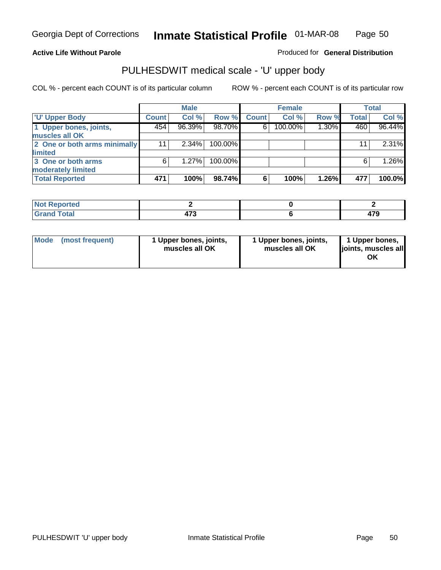### **Active Life Without Parole**

Produced for **General Distribution**

# PULHESDWIT medical scale - 'U' upper body

|                              |              | <b>Male</b> |         |              | <b>Female</b> |          |              | <b>Total</b> |
|------------------------------|--------------|-------------|---------|--------------|---------------|----------|--------------|--------------|
| <b>TU' Upper Body</b>        | <b>Count</b> | Col %       | Row %   | <b>Count</b> | Col %         | Row %    | <b>Total</b> | Col %        |
| 1 Upper bones, joints,       | 454          | 96.39%      | 98.70%  | 6            | 100.00%       | $1.30\%$ | 460          | 96.44%       |
| muscles all OK               |              |             |         |              |               |          |              |              |
| 2 One or both arms minimally | 11           | $2.34\%$    | 100.00% |              |               |          | 11           | 2.31%        |
| limited                      |              |             |         |              |               |          |              |              |
| 3 One or both arms           | 6            | 1.27%       | 100.00% |              |               |          | 6            | 1.26%        |
| moderately limited           |              |             |         |              |               |          |              |              |
| <b>Total Reported</b>        | 471          | 100%        | 98.74%  | 6            | 100%          | 1.26%    | 477          | 100.0%       |

| -----<br><b>Reported</b><br>N<br>. |        |                   |
|------------------------------------|--------|-------------------|
| inta'                              | 170    | ---               |
| ______                             | ______ | $\cdot$ . $\cdot$ |

| Mode | (most frequent) | 1 Upper bones, joints,<br>muscles all OK | 1 Upper bones, joints,<br>muscles all OK | 1 Upper bones,<br>joints, muscles all |
|------|-----------------|------------------------------------------|------------------------------------------|---------------------------------------|
|------|-----------------|------------------------------------------|------------------------------------------|---------------------------------------|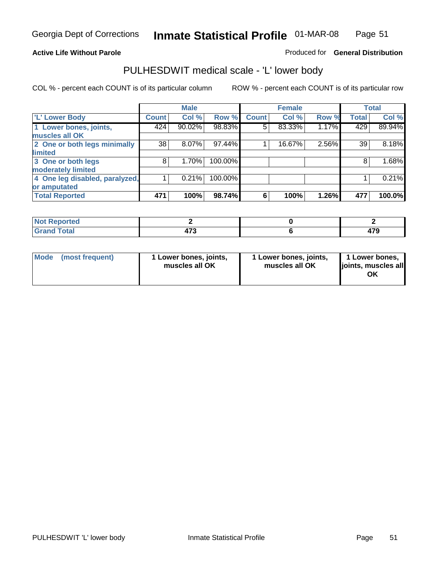#### **Active Life Without Parole**

#### Produced for **General Distribution**

### PULHESDWIT medical scale - 'L' lower body

|                                |              | <b>Male</b> |         |              | <b>Female</b> |       |              | <b>Total</b> |
|--------------------------------|--------------|-------------|---------|--------------|---------------|-------|--------------|--------------|
| 'L' Lower Body                 | <b>Count</b> | Col %       | Row %   | <b>Count</b> | Col %         | Row % | <b>Total</b> | Col %        |
| 1 Lower bones, joints,         | 424          | 90.02%      | 98.83%  | 5            | 83.33%        | 1.17% | 429          | 89.94%       |
| muscles all OK                 |              |             |         |              |               |       |              |              |
| 2 One or both legs minimally   | 38           | 8.07%       | 97.44%  |              | 16.67%        | 2.56% | 39           | 8.18%        |
| limited                        |              |             |         |              |               |       |              |              |
| 3 One or both legs             | 8            | 1.70%       | 100.00% |              |               |       | 8            | 1.68%        |
| moderately limited             |              |             |         |              |               |       |              |              |
| 4 One leg disabled, paralyzed, |              | 0.21%       | 100.00% |              |               |       |              | 0.21%        |
| or amputated                   |              |             |         |              |               |       |              |              |
| <b>Total Reported</b>          | 471          | 100%        | 98.74%  | 6            | 100%          | 1.26% | 477          | 100.0%       |

| <b>rted</b><br>N                     |     |                  |
|--------------------------------------|-----|------------------|
| $f \wedge f \wedge f'$<br>TOldi<br>. | --- | $- \cdot$<br>413 |

|  | Mode (most frequent) | 1 Lower bones, joints,<br>muscles all OK | 1 Lower bones, joints,<br>muscles all OK | 1 Lower bones,<br>joints, muscles all<br>OK |
|--|----------------------|------------------------------------------|------------------------------------------|---------------------------------------------|
|--|----------------------|------------------------------------------|------------------------------------------|---------------------------------------------|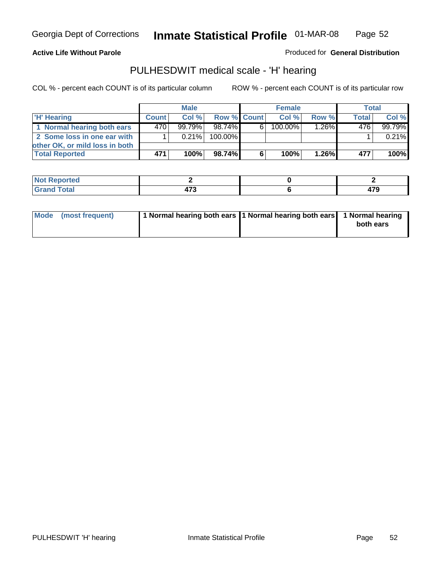#### **Active Life Without Parole**

Produced for **General Distribution**

### PULHESDWIT medical scale - 'H' hearing

|                                | <b>Male</b>  |           |             | <b>Female</b> |         |          | <b>Total</b> |         |
|--------------------------------|--------------|-----------|-------------|---------------|---------|----------|--------------|---------|
| 'H' Hearing                    | <b>Count</b> | Col%      | Row % Count |               | Col%    | Row %    | <b>Total</b> | Col %   |
| 1 Normal hearing both ears     | 470          | $99.79\%$ | 98.74%      | 61            | 100.00% | 1.26%    | 476          | 99.79%  |
| 2 Some loss in one ear with    |              | $0.21\%$  | 100.00%     |               |         |          |              | 0.21%   |
| other OK, or mild loss in both |              |           |             |               |         |          |              |         |
| <b>Total Reported</b>          | 471          | 100%      | 98.74%I     | 6             | 100%    | $1.26\%$ | 477          | $100\%$ |

| тео               |             |                           |
|-------------------|-------------|---------------------------|
| ---<br>----- ---- | - 1<br>$ -$ | - 70<br>$\cdot$ . $\cdot$ |

| Mode (most frequent) | 1 Normal hearing both ears 1 Normal hearing both ears 1 Normal hearing | both ears |
|----------------------|------------------------------------------------------------------------|-----------|
|                      |                                                                        |           |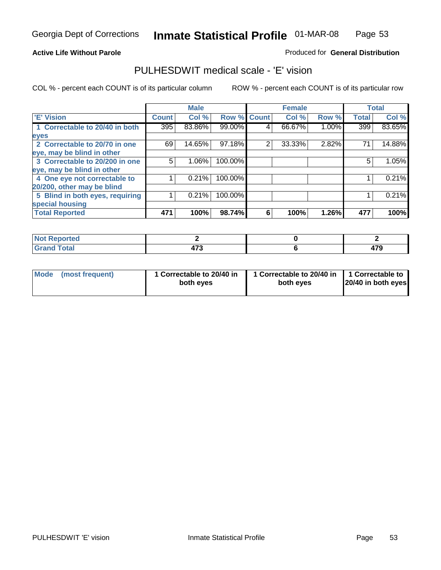#### **Active Life Without Parole**

#### Produced for **General Distribution**

### PULHESDWIT medical scale - 'E' vision

|                                 |              | <b>Male</b> |                    |   | <b>Female</b> |       |              | <b>Total</b> |
|---------------------------------|--------------|-------------|--------------------|---|---------------|-------|--------------|--------------|
| 'E' Vision                      | <b>Count</b> | Col %       | <b>Row % Count</b> |   | Col %         | Row % | <b>Total</b> | Col %        |
| 1 Correctable to 20/40 in both  | 395          | 83.86%      | 99.00%             | 4 | 66.67%        | 1.00% | 399          | 83.65%       |
| eyes                            |              |             |                    |   |               |       |              |              |
| 2 Correctable to 20/70 in one   | 69           | 14.65%      | 97.18%             | 2 | 33.33%        | 2.82% | 71           | 14.88%       |
| eye, may be blind in other      |              |             |                    |   |               |       |              |              |
| 3 Correctable to 20/200 in one  | 5            | $1.06\%$    | 100.00%            |   |               |       | 5            | 1.05%        |
| eye, may be blind in other      |              |             |                    |   |               |       |              |              |
| 4 One eye not correctable to    |              | 0.21%       | 100.00%            |   |               |       |              | 0.21%        |
| 20/200, other may be blind      |              |             |                    |   |               |       |              |              |
| 5 Blind in both eyes, requiring |              | 0.21%       | 100.00%            |   |               |       |              | 0.21%        |
| special housing                 |              |             |                    |   |               |       |              |              |
| <b>Total Reported</b>           | 471          | 100%        | 98.74%             | 6 | 100%          | 1.26% | 477          | 100%         |

| $N = 1$<br>eported<br>NO              |            |                   |
|---------------------------------------|------------|-------------------|
| . $\mathsf{Tota}^*$<br>Cron<br>______ | --<br>TI V | $\rightarrow$<br> |

| Mode | (most frequent) | 1 Correctable to 20/40 in<br>both eves | 1 Correctable to 20/40 in   1 Correctable to<br>both eves | 20/40 in both eyes |
|------|-----------------|----------------------------------------|-----------------------------------------------------------|--------------------|
|------|-----------------|----------------------------------------|-----------------------------------------------------------|--------------------|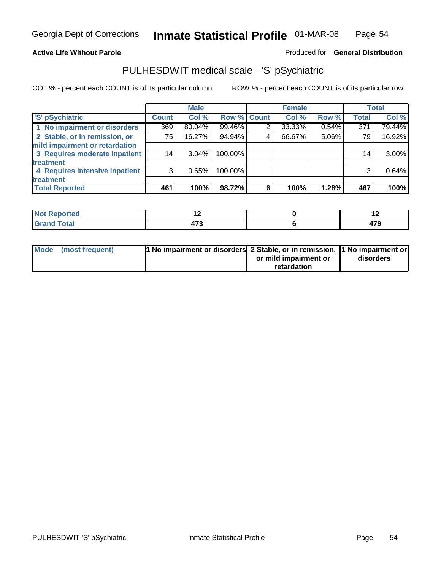### **Active Life Without Parole**

### Produced for **General Distribution**

### PULHESDWIT medical scale - 'S' pSychiatric

|                                |              | <b>Male</b> |             |   | <b>Female</b> |       |              | <b>Total</b> |
|--------------------------------|--------------|-------------|-------------|---|---------------|-------|--------------|--------------|
| 'S' pSychiatric                | <b>Count</b> | Col %       | Row % Count |   | Col %         | Row % | <b>Total</b> | Col %        |
| 1 No impairment or disorders   | 369          | 80.04%      | 99.46%      | 2 | 33.33%        | 0.54% | 371          | 79.44%       |
| 2 Stable, or in remission, or  | 75           | 16.27%      | 94.94%      | 4 | 66.67%        | 5.06% | 79           | 16.92%       |
| mild impairment or retardation |              |             |             |   |               |       |              |              |
| 3 Requires moderate inpatient  | 14           | $3.04\%$    | 100.00%     |   |               |       | 14           | 3.00%        |
| treatment                      |              |             |             |   |               |       |              |              |
| 4 Requires intensive inpatient | 3            | 0.65%       | 100.00%     |   |               |       | 3            | 0.64%        |
| treatment                      |              |             |             |   |               |       |              |              |
| <b>Total Reported</b>          | 461          | 100%        | 98.72%      | 6 | 100%          | 1.28% | 467          | 100%         |

| orted        | . .                    | . .       |
|--------------|------------------------|-----------|
| <b>Total</b> | $1 - 20$<br>. .<br>. . | ים<br>T 8 |

| Mode (most frequent) | 1 No impairment or disorders 2 Stable, or in remission, 11 No impairment or |                       |           |
|----------------------|-----------------------------------------------------------------------------|-----------------------|-----------|
|                      |                                                                             | or mild impairment or | disorders |
|                      |                                                                             | retardation           |           |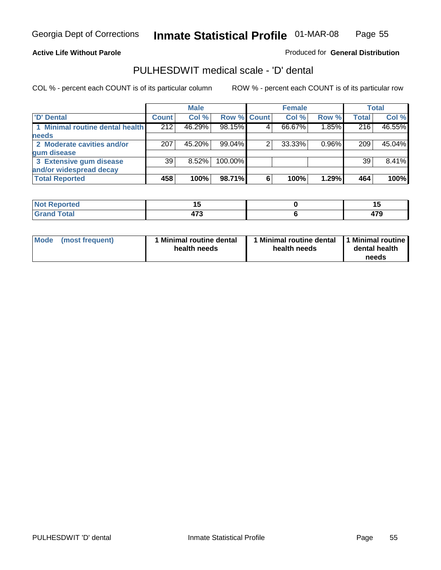#### **Active Life Without Parole**

Produced for **General Distribution**

### PULHESDWIT medical scale - 'D' dental

|                                 |              | <b>Male</b> |                    |   | <b>Female</b> |       |              | Total  |
|---------------------------------|--------------|-------------|--------------------|---|---------------|-------|--------------|--------|
| <b>D' Dental</b>                | <b>Count</b> | Col %       | <b>Row % Count</b> |   | Col %         | Row % | <b>Total</b> | Col %  |
| 1 Minimal routine dental health | 212          | 46.29%      | 98.15%             |   | 66.67%        | 1.85% | 216          | 46.55% |
| <b>needs</b>                    |              |             |                    |   |               |       |              |        |
| 2 Moderate cavities and/or      | 207          | 45.20%      | 99.04%             |   | 33.33%        | 0.96% | 209          | 45.04% |
| gum disease                     |              |             |                    |   |               |       |              |        |
| 3 Extensive gum disease         | 39           | $8.52\%$    | 100.00%            |   |               |       | 39           | 8.41%  |
| and/or widespread decay         |              |             |                    |   |               |       |              |        |
| <b>Total Reported</b>           | 458          | 100%        | 98.71%             | 6 | 100%          | 1.29% | 464          | 100%   |

| ----<br>reo<br>N            | . .<br>$-$ |      |
|-----------------------------|------------|------|
| $int^{\bullet}$             | 170        | ᄭ    |
| $\sim$ $\sim$ $\sim$ $\sim$ | 71 J       | - 13 |

| Mode (most frequent) | <b>Minimal routine dental</b><br>health needs | 1 Minimal routine dental<br>health needs | 1 Minimal routine<br>dental health<br>needs |
|----------------------|-----------------------------------------------|------------------------------------------|---------------------------------------------|
|----------------------|-----------------------------------------------|------------------------------------------|---------------------------------------------|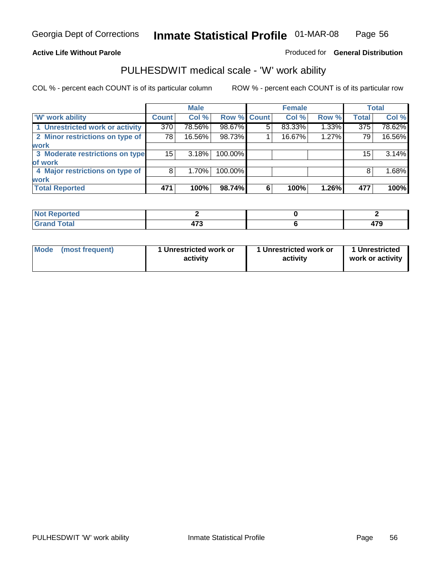### **Active Life Without Parole**

### Produced for **General Distribution**

### PULHESDWIT medical scale - 'W' work ability

|                                 |              | <b>Male</b> |             |   | <b>Female</b> |       |                  | <b>Total</b> |
|---------------------------------|--------------|-------------|-------------|---|---------------|-------|------------------|--------------|
| <b>W' work ability</b>          | <b>Count</b> | Col %       | Row % Count |   | Col %         | Row % | <b>Total</b>     | Col %        |
| 1 Unrestricted work or activity | 370          | 78.56%      | 98.67%      | 5 | 83.33%        | 1.33% | $\overline{375}$ | 78.62%       |
| 2 Minor restrictions on type of | 78           | 16.56%      | 98.73%      |   | 16.67%        | 1.27% | 79               | 16.56%       |
| <b>work</b>                     |              |             |             |   |               |       |                  |              |
| 3 Moderate restrictions on type | 15           | 3.18%       | 100.00%     |   |               |       | 15               | 3.14%        |
| of work                         |              |             |             |   |               |       |                  |              |
| 4 Major restrictions on type of | 8            | $1.70\%$    | 100.00%     |   |               |       | 8                | 1.68%        |
| <b>work</b>                     |              |             |             |   |               |       |                  |              |
| <b>Total Reported</b>           | 471          | 100%        | 98.74%      | 6 | 100%          | 1.26% | 477              | 100%         |

| د د لاد<br>ומש<br>rtea<br>kepc                |                   |           |
|-----------------------------------------------|-------------------|-----------|
| T <sub>ofol</sub><br>υιαι<br>$\mathbf{v}$ and | 170<br>,,<br>41 J | יי<br>479 |

| Mode | (most frequent) | 1 Unrestricted work or<br>activity | 1 Unrestricted work or<br>activity | 1 Unrestricted<br>work or activity |
|------|-----------------|------------------------------------|------------------------------------|------------------------------------|
|      |                 |                                    |                                    |                                    |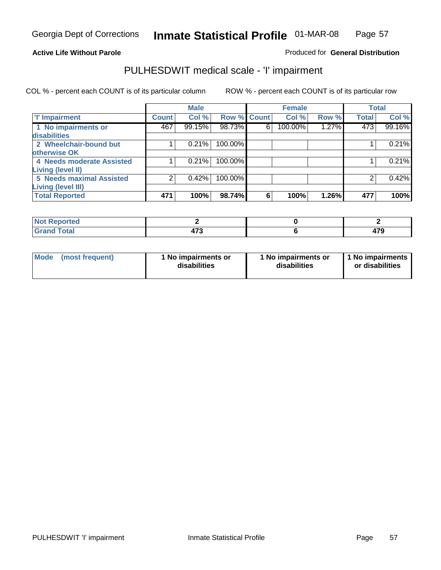### **Active Life Without Parole**

### Produced for **General Distribution**

### PULHESDWIT medical scale - 'I' impairment

|                                            |              | <b>Male</b> |                    |   | <b>Female</b> |       | <b>Total</b> |        |
|--------------------------------------------|--------------|-------------|--------------------|---|---------------|-------|--------------|--------|
| <b>T' Impairment</b>                       | <b>Count</b> | Col %       | <b>Row % Count</b> |   | Col %         | Row % | <b>Total</b> | Col %  |
| 1 No impairments or<br><b>disabilities</b> | 467          | 99.15%      | 98.73%             | 6 | 100.00%       | 1.27% | 473          | 99.16% |
| 2 Wheelchair-bound but                     |              | 0.21%       | 100.00%            |   |               |       |              | 0.21%  |
| otherwise OK                               |              |             |                    |   |               |       |              |        |
| 4 Needs moderate Assisted                  |              | 0.21%       | 100.00%            |   |               |       |              | 0.21%  |
| <b>Living (level II)</b>                   |              |             |                    |   |               |       |              |        |
| <b>5 Needs maximal Assisted</b>            |              | 0.42%       | 100.00%            |   |               |       |              | 0.42%  |
| <b>Living (level III)</b>                  |              |             |                    |   |               |       |              |        |
| <b>Total Reported</b>                      | 471          | 100%        | 98.74%             | 6 | 100%          | 1.26% | 477          | 100%   |

| <b>Reported</b><br><b>NOT</b> |      |               |
|-------------------------------|------|---------------|
| <b>otal</b>                   | --   | $\rightarrow$ |
| $- \cdot - \cdot -$           | 41 J | . .           |

| <b>Mode</b> | (most frequent) | 1 No impairments or<br>disabilities | 1 No impairments or<br>disabilities | 1 No impairments  <br>or disabilities |
|-------------|-----------------|-------------------------------------|-------------------------------------|---------------------------------------|
|-------------|-----------------|-------------------------------------|-------------------------------------|---------------------------------------|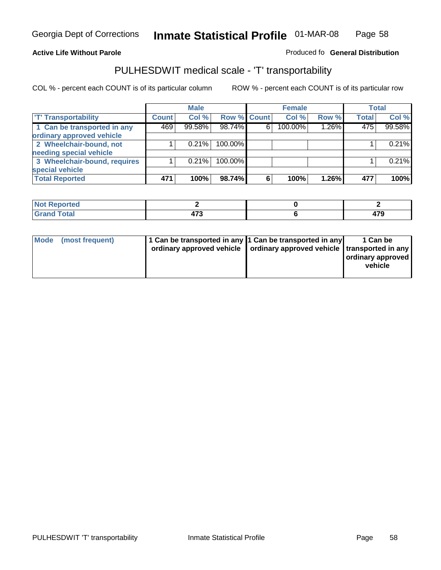#### **Inmate Statistical Profile** 01-MAR-08 Page Page 58

### **Active Life Without Parole Produced fo Seneral Distribution**

### PULHESDWIT medical scale - 'T' transportability

|                              |              | <b>Male</b> |             |   | <b>Female</b> |          |              | <b>Total</b> |
|------------------------------|--------------|-------------|-------------|---|---------------|----------|--------------|--------------|
| <b>T' Transportability</b>   | <b>Count</b> | Col %       | Row % Count |   | Col %         | Row %    | <b>Total</b> | Col %        |
| 1 Can be transported in any  | 469          | 99.58%      | 98.74%      | 6 | 100.00%       | $1.26\%$ | 475          | 99.58%       |
| ordinary approved vehicle    |              |             |             |   |               |          |              |              |
| 2 Wheelchair-bound, not      |              | 0.21%       | 100.00%     |   |               |          |              | 0.21%        |
| needing special vehicle      |              |             |             |   |               |          |              |              |
| 3 Wheelchair-bound, requires |              | 0.21%       | 100.00%     |   |               |          |              | 0.21%        |
| special vehicle              |              |             |             |   |               |          |              |              |
| <b>Total Reported</b>        | 471          | 100%        | 98.74%      | 6 | 100%          | 1.26%    | 477          | 100%         |

| Reported<br><b>NOT</b><br>$\sim$ |        |   |
|----------------------------------|--------|---|
| <b>Cotal</b>                     | ---    | - |
|                                  | $\sim$ |   |

| Mode (most frequent) |  | 1 Can be transported in any 1 Can be transported in any<br>ordinary approved vehicle   ordinary approved vehicle   transported in any | 1 Can be<br>ordinary approved<br>vehicle |
|----------------------|--|---------------------------------------------------------------------------------------------------------------------------------------|------------------------------------------|
|----------------------|--|---------------------------------------------------------------------------------------------------------------------------------------|------------------------------------------|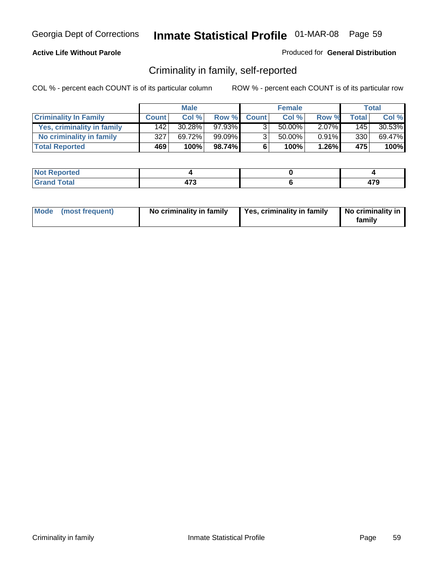### **Active Life Without Parole**

#### Produced for **General Distribution**

### Criminality in family, self-reported

|                              |              | <b>Male</b> |           |                | <b>Female</b> |          |       | Total  |
|------------------------------|--------------|-------------|-----------|----------------|---------------|----------|-------|--------|
| <b>Criminality In Family</b> | <b>Count</b> | Col %       | Row %     | <b>Count</b>   | Col %         | Row %    | Total | Col %  |
| Yes, criminality in family   | 1421         | $30.28\%$   | $97.93\%$ |                | 50.00%        | $2.07\%$ | 1451  | 30.53% |
| No criminality in family     | 327          | 69.72%      | 99.09%    | 3 <sub>1</sub> | 50.00%        | 0.91%    | 330   | 69.47% |
| <b>Total Reported</b>        | 469          | 100%        | 98.74%    | 6              | 100%          | 1.26%    | 475   | 100%   |

| ported<br><b>NO</b><br><b>IJCI</b> |                   |             |
|------------------------------------|-------------------|-------------|
| $\sim$<br>Gran<br>-----            | --<br>.<br>$\sim$ | 170<br>41 J |

|  | Mode (most frequent) | No criminality in family | Yes, criminality in family | No criminality in<br>family |
|--|----------------------|--------------------------|----------------------------|-----------------------------|
|--|----------------------|--------------------------|----------------------------|-----------------------------|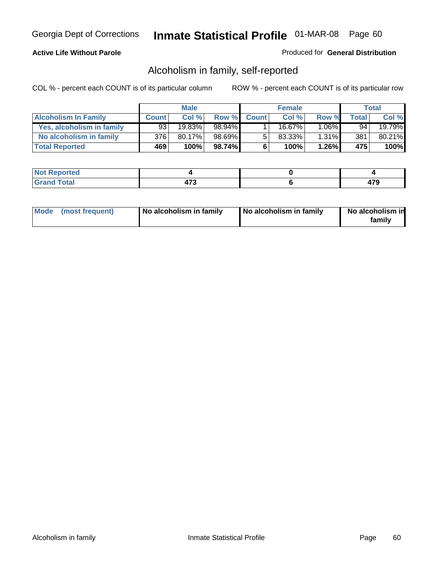### **Active Life Without Parole**

#### Produced for **General Distribution**

### Alcoholism in family, self-reported

|                             |              | <b>Male</b> |        |              | <b>Female</b> |          |       | Total  |
|-----------------------------|--------------|-------------|--------|--------------|---------------|----------|-------|--------|
| <b>Alcoholism In Family</b> | <b>Count</b> | Col %       | Row %  | <b>Count</b> | Col %         | Row %    | Total | Col %  |
| Yes, alcoholism in family   | 93           | 19.83%      | 98.94% |              | 16.67%        | $1.06\%$ | 94    | 19.79% |
| No alcoholism in family     | 376          | 80.17%      | 98.69% | 5            | 83.33%        | $1.31\%$ | 381   | 80.21% |
| <b>Total Reported</b>       | 469          | 100%        | 98.74% | 6            | 100%          | $1.26\%$ | 475   | 100%   |

| oorted<br><b>NOT</b><br><b>IJCI</b> |                         |  |
|-------------------------------------|-------------------------|--|
| <b>otal</b><br>Gran<br>$\sim$       | $\rightarrow$<br>$\sim$ |  |

|  | Mode (most frequent) | No alcoholism in family | No alcoholism in family | No alcoholism in<br>family |
|--|----------------------|-------------------------|-------------------------|----------------------------|
|--|----------------------|-------------------------|-------------------------|----------------------------|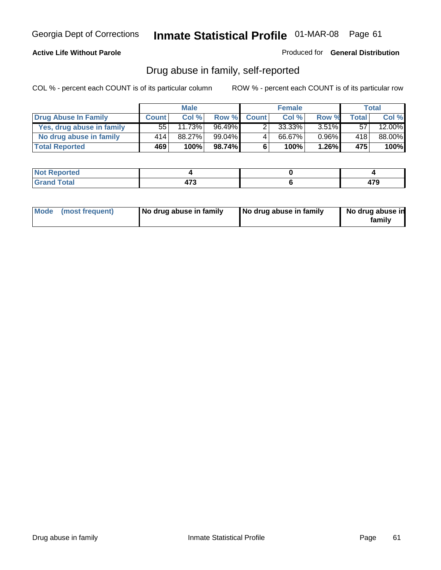### **Active Life Without Parole**

Produced for **General Distribution**

### Drug abuse in family, self-reported

|                           |                  | <b>Male</b> |           |              | <b>Female</b> |          |       | <b>Total</b> |
|---------------------------|------------------|-------------|-----------|--------------|---------------|----------|-------|--------------|
| Drug Abuse In Family      | <b>Count</b>     | Col %       | Row %     | <b>Count</b> | Col %         | Row %    | Total | Col %        |
| Yes, drug abuse in family | 55!              | $11.73\%$   | $96.49\%$ | າ            | 33.33%        | $3.51\%$ | 57    | 12.00%       |
| No drug abuse in family   | 414'             | 88.27%      | 99.04%    | 4            | 66.67%        | $0.96\%$ | 418   | 88.00%       |
| <b>Total Reported</b>     | 469 <sup>'</sup> | 100%        | 98.74%    | 6            | 100%          | $1.26\%$ | 475   | 100%         |

| oorted<br><b>NOT</b><br><b>IJCI</b> |                         |  |
|-------------------------------------|-------------------------|--|
| <b>otal</b><br>Gran<br>$\sim$       | $\rightarrow$<br>$\sim$ |  |

|  | Mode (most frequent) | No drug abuse in family | No drug abuse in family | No drug abuse in<br>family |
|--|----------------------|-------------------------|-------------------------|----------------------------|
|--|----------------------|-------------------------|-------------------------|----------------------------|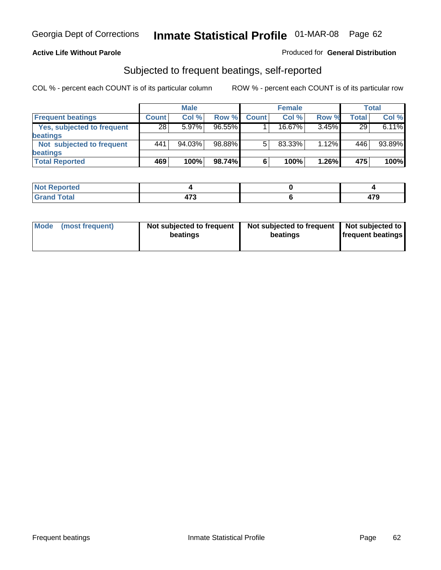#### **Active Life Without Parole**

#### Produced for **General Distribution**

### Subjected to frequent beatings, self-reported

|                            |              | <b>Male</b> |           |              | <b>Female</b> |          |              | Total  |
|----------------------------|--------------|-------------|-----------|--------------|---------------|----------|--------------|--------|
| <b>Frequent beatings</b>   | <b>Count</b> | Col %       | Row %     | <b>Count</b> | Col%          | Row %    | <b>Total</b> | Col %  |
| Yes, subjected to frequent | 28           | $5.97\%$    | $96.55\%$ |              | 16.67%        | 3.45%    | 29           | 6.11%  |
| <b>beatings</b>            |              |             |           |              |               |          |              |        |
| Not subjected to frequent  | 441          | 94.03%      | 98.88%    | 5            | 83.33%        | $1.12\%$ | 446          | 93.89% |
| beatings                   |              |             |           |              |               |          |              |        |
| <b>Total Reported</b>      | 469          | 100%        | 98.74%    | 6            | 100%          | 1.26%    | 475          | 100%   |

| Not Reported |              |               |
|--------------|--------------|---------------|
| <b>Total</b> | $1 - \alpha$ | $\rightarrow$ |
| Crond        | 71 J         | -13           |

| Mode<br>(most frequent) | beatings | Not subjected to frequent | Not subjected to frequent<br>beatings | Not subjected to<br><b>frequent beatings</b> |
|-------------------------|----------|---------------------------|---------------------------------------|----------------------------------------------|
|                         |          |                           |                                       |                                              |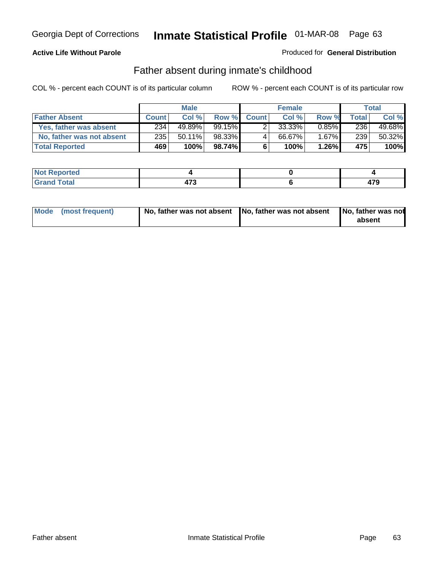### **Active Life Without Parole**

#### Produced for **General Distribution**

### Father absent during inmate's childhood

|                           |              | <b>Male</b> |           |              | <b>Female</b> |          |       | Total  |
|---------------------------|--------------|-------------|-----------|--------------|---------------|----------|-------|--------|
| <b>Father Absent</b>      | <b>Count</b> | Col%        | Row %     | <b>Count</b> | Col %         | Row %    | Total | Col %  |
| Yes, father was absent    | 234          | 49.89%      | $99.15\%$ |              | 33.33%        | $0.85\%$ | 236   | 49.68% |
| No, father was not absent | 235          | $50.11\%$   | 98.33%    | 4            | 66.67%        | $1.67\%$ | 239   | 50.32% |
| <b>Total Reported</b>     | <b>469</b>   | $100\%$     | 98.74%I   | 6            | 100%          | $1.26\%$ | 475   | 100%   |

| <b>Not Reported</b>   |     |  |
|-----------------------|-----|--|
| <b>Total</b><br>Grano | ィーヘ |  |

|  | Mode (most frequent) | No, father was not absent No, father was not absent |  | No, father was not<br>absent |
|--|----------------------|-----------------------------------------------------|--|------------------------------|
|--|----------------------|-----------------------------------------------------|--|------------------------------|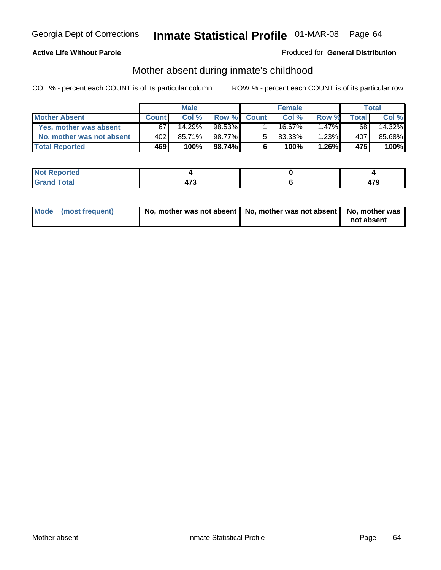### **Active Life Without Parole**

#### Produced for **General Distribution**

# Mother absent during inmate's childhood

|                           |              | <b>Male</b> |           |              | <b>Female</b> |          |       | Total  |
|---------------------------|--------------|-------------|-----------|--------------|---------------|----------|-------|--------|
| <b>Mother Absent</b>      | <b>Count</b> | Col%        | Row %     | <b>Count</b> | Col %         | Row %    | Total | Col %  |
| Yes, mother was absent    | 67           | 14.29%      | 98.53% ∎  |              | 16.67%        | $1.47\%$ | 68    | 14.32% |
| No, mother was not absent | 402          | 85.71%      | 98.77%    | 5            | 83.33%        | $1.23\%$ | 407   | 85.68% |
| <b>Total Reported</b>     | <b>469</b>   | 100%        | $98.74\%$ | 6            | 100%          | $1.26\%$ | 475   | 100%   |

| oorted<br><b>NOT</b><br><b>IJCI</b> |                         |  |
|-------------------------------------|-------------------------|--|
| <b>otal</b><br>Gran<br>$\sim$       | $\rightarrow$<br>$\sim$ |  |

| Mode (most frequent) | No, mother was not absent   No, mother was not absent   No, mother was | not absent |
|----------------------|------------------------------------------------------------------------|------------|
|----------------------|------------------------------------------------------------------------|------------|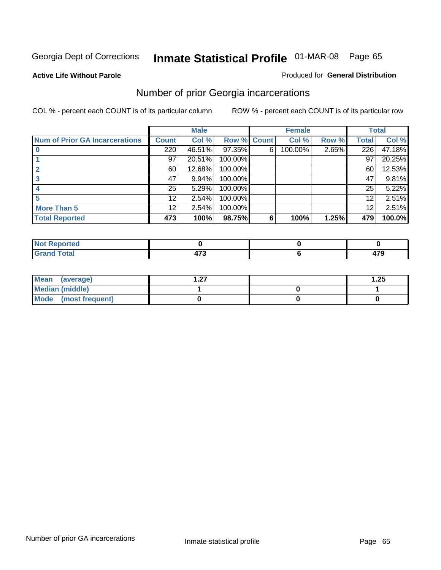**Active Life Without Parole** 

#### Produced for **General Distribution**

### Number of prior Georgia incarcerations

|                                       |                 | <b>Male</b> |         |              | <b>Female</b> |       |       | <b>Total</b> |
|---------------------------------------|-----------------|-------------|---------|--------------|---------------|-------|-------|--------------|
| <b>Num of Prior GA Incarcerations</b> | <b>Count</b>    | Col %       | Row %   | <b>Count</b> | Col %         | Row % | Total | Col %        |
|                                       | 220             | 46.51%      | 97.35%  | 6            | 100.00%       | 2.65% | 226   | 47.18%       |
|                                       | 97              | 20.51%      | 100.00% |              |               |       | 97    | 20.25%       |
|                                       | 60              | 12.68%      | 100.00% |              |               |       | 60    | 12.53%       |
|                                       | 47              | 9.94%       | 100.00% |              |               |       | 47    | 9.81%        |
|                                       | 25              | 5.29%       | 100.00% |              |               |       | 25    | 5.22%        |
|                                       | 12 <sup>2</sup> | 2.54%       | 100.00% |              |               |       | 12    | 2.51%        |
| <b>More Than 5</b>                    | 12              | 2.54%       | 100.00% |              |               |       | 12    | 2.51%        |
| <b>Total Reported</b>                 | 473             | 100%        | 98.75%  | 6            | 100%          | 1.25% | 479   | 100.0%       |

| <b>Reported</b><br><b>NOT</b><br>$\sim$ |       |             |
|-----------------------------------------|-------|-------------|
| <b>cotal</b><br>$\mathbf{v}$ and        | $- -$ | 470<br>41 J |

| Mean (average)       | ົ່ | .25 |
|----------------------|----|-----|
| Median (middle)      |    |     |
| Mode (most frequent) |    |     |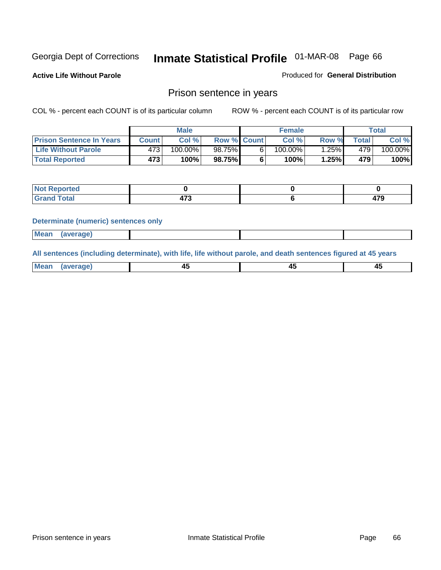**Active Life Without Parole** 

Produced for **General Distribution**

### Prison sentence in years

COL % - percent each COUNT is of its particular column ROW % - percent each COUNT is of its particular row

|                                 | <b>Male</b> |            |                    | <b>Female</b> | Total |                  |         |
|---------------------------------|-------------|------------|--------------------|---------------|-------|------------------|---------|
| <b>Prison Sentence In Years</b> | Count⊺      | Col %      | <b>Row % Count</b> | Col%          | Row % | Total⊤           | Col %   |
| <b>Life Without Parole</b>      | 4731        | $100.00\%$ | 98.75%             | $100.00\%$    | .25%  | 479              | 100.00% |
| <b>Total Reported</b>           | 473         | 100%       | 98.75%             | 100%          | 1.25% | 479 <sup>'</sup> | 100%    |

| <b>eported</b>                   |     |           |
|----------------------------------|-----|-----------|
| <b>Total</b><br>$\mathbf{v}$ and | ^~^ | ---<br>т. |

#### **Determinate (numeric) sentences only**

| <br>l Mear | <b><i><u>IPranes</u></i></b> |  |  |
|------------|------------------------------|--|--|

**All sentences (including determinate), with life, life without parole, and death sentences figured at 45 years**

| Me           |         |        |              |
|--------------|---------|--------|--------------|
| mе<br>.<br>. | ᠇<br>__ | $\sim$ | т.<br>$\sim$ |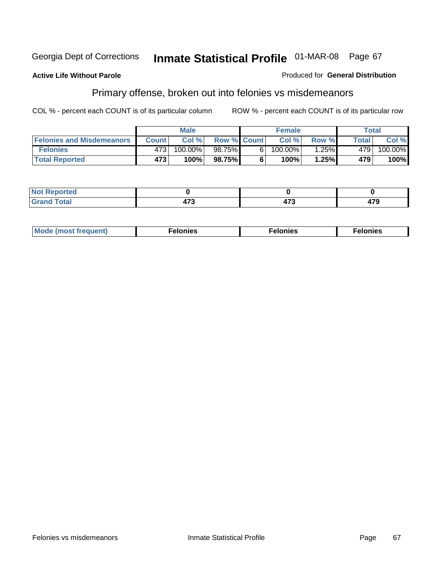#### **Active Life Without Parole**

#### Produced for **General Distribution**

# Primary offense, broken out into felonies vs misdemeanors

|                                  | <b>Male</b>  |         |                    |    | <b>Female</b> | Total    |              |            |
|----------------------------------|--------------|---------|--------------------|----|---------------|----------|--------------|------------|
| <b>Felonies and Misdemeanors</b> | <b>Count</b> | Col%    | <b>Row % Count</b> |    | Col%          | Row %    | <b>Total</b> | Col %      |
| <b>Felonies</b>                  | 473'         | 100.00% | 98.75%             | 61 | $100.00\%$    | $1.25\%$ | 479'         | $100.00\%$ |
| <b>Total Reported</b>            | 473          | 100%    | 98.75%             |    | 100%          | 1.25%    | 479          | 100%       |

| <b>Not</b><br><b>Reported</b><br>$\sim$       |       |                             |     |
|-----------------------------------------------|-------|-----------------------------|-----|
| $f$ otal<br>Gran<br>au dh<br>$\mathbf{v}$ and | $- -$ | $\rightarrow$<br>,,<br>71 V | 479 |

| M<br>$\cdots$<br>пю.<br>. | nies<br>. | . |
|---------------------------|-----------|---|
|---------------------------|-----------|---|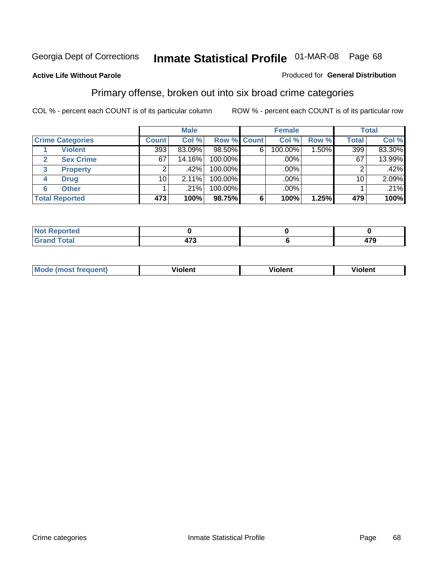#### **Active Life Without Parole**

#### Produced for **General Distribution**

### Primary offense, broken out into six broad crime categories

|                         | <b>Male</b>     |          |             | <b>Female</b> |         |          | <b>Total</b>    |        |
|-------------------------|-----------------|----------|-------------|---------------|---------|----------|-----------------|--------|
| <b>Crime Categories</b> | <b>Count</b>    | Col %    | Row % Count |               | Col %   | Row %    | <b>Total</b>    | Col %  |
| <b>Violent</b>          | 393             | 83.09%   | 98.50%      | 6             | 100.00% | $1.50\%$ | 399             | 83.30% |
| <b>Sex Crime</b><br>2   | 67              | 14.16%   | 100.00%     |               | .00%    |          | 67              | 13.99% |
| 3<br><b>Property</b>    |                 | $.42\%$  | 100.00%     |               | .00%    |          |                 | .42%   |
| <b>Drug</b><br>4        | 10 <sup>1</sup> | $2.11\%$ | 100.00%     |               | .00%    |          | 10 <sub>1</sub> | 2.09%  |
| <b>Other</b><br>6       |                 | .21%     | 100.00%     |               | .00%    |          |                 | .21%   |
| <b>Total Reported</b>   | 473             | 100%     | 98.75%      | 6             | 100%    | 1.25%    | 479             | 100%   |

| <b>Not Reported</b><br>' Not |               |     |
|------------------------------|---------------|-----|
| <b>Total</b><br>Grand        | $\rightarrow$ | 479 |

| Mc | - - | 'חםור |  |
|----|-----|-------|--|
|    |     |       |  |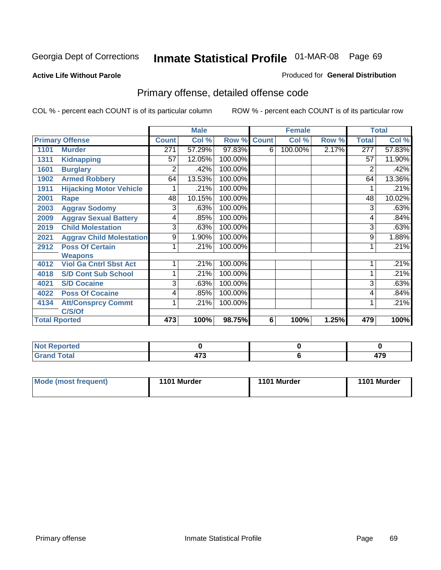#### **Active Life Without Parole**

#### Produced for **General Distribution**

# Primary offense, detailed offense code

|      |                                 |              | <b>Male</b> |             |   | <b>Female</b> |       |              | <b>Total</b> |
|------|---------------------------------|--------------|-------------|-------------|---|---------------|-------|--------------|--------------|
|      | <b>Primary Offense</b>          | <b>Count</b> | Col %       | Row % Count |   | Col %         | Row % | <b>Total</b> | Col %        |
| 1101 | <b>Murder</b>                   | 271          | 57.29%      | 97.83%      | 6 | 100.00%       | 2.17% | 277          | 57.83%       |
| 1311 | <b>Kidnapping</b>               | 57           | 12.05%      | 100.00%     |   |               |       | 57           | 11.90%       |
| 1601 | <b>Burglary</b>                 | 2            | .42%        | 100.00%     |   |               |       | 2            | .42%         |
| 1902 | <b>Armed Robbery</b>            | 64           | 13.53%      | 100.00%     |   |               |       | 64           | 13.36%       |
| 1911 | <b>Hijacking Motor Vehicle</b>  |              | .21%        | 100.00%     |   |               |       |              | .21%         |
| 2001 | Rape                            | 48           | 10.15%      | 100.00%     |   |               |       | 48           | 10.02%       |
| 2003 | <b>Aggrav Sodomy</b>            | 3            | .63%        | 100.00%     |   |               |       | 3            | .63%         |
| 2009 | <b>Aggrav Sexual Battery</b>    | 4            | .85%        | 100.00%     |   |               |       | 4            | .84%         |
| 2019 | <b>Child Molestation</b>        | 3            | .63%        | 100.00%     |   |               |       | 3            | .63%         |
| 2021 | <b>Aggrav Child Molestation</b> | 9            | 1.90%       | 100.00%     |   |               |       | 9            | 1.88%        |
| 2912 | <b>Poss Of Certain</b>          |              | .21%        | 100.00%     |   |               |       |              | .21%         |
|      | <b>Weapons</b>                  |              |             |             |   |               |       |              |              |
| 4012 | <b>Viol Ga Cntrl Sbst Act</b>   |              | .21%        | 100.00%     |   |               |       |              | .21%         |
| 4018 | <b>S/D Cont Sub School</b>      | 1            | .21%        | 100.00%     |   |               |       |              | .21%         |
| 4021 | <b>S/D Cocaine</b>              | 3            | .63%        | 100.00%     |   |               |       | 3            | .63%         |
| 4022 | <b>Poss Of Cocaine</b>          | 4            | .85%        | 100.00%     |   |               |       | 4            | .84%         |
| 4134 | <b>Att/Consprcy Commt</b>       | 1            | .21%        | 100.00%     |   |               |       | 1            | .21%         |
|      | C/S/Of                          |              |             |             |   |               |       |              |              |
|      | <b>Total Rported</b>            | 473          | 100%        | 98.75%      | 6 | 100%          | 1.25% | 479          | 100%         |

| Reported<br>NOT                  |                       |    |
|----------------------------------|-----------------------|----|
| <b>Total</b><br>$\mathbf{v}$ and | $\rightarrow$<br>71 J | יי |

| Mode (most frequent) | 1101 Murder | 1101 Murder | 1101 Murder |
|----------------------|-------------|-------------|-------------|
|----------------------|-------------|-------------|-------------|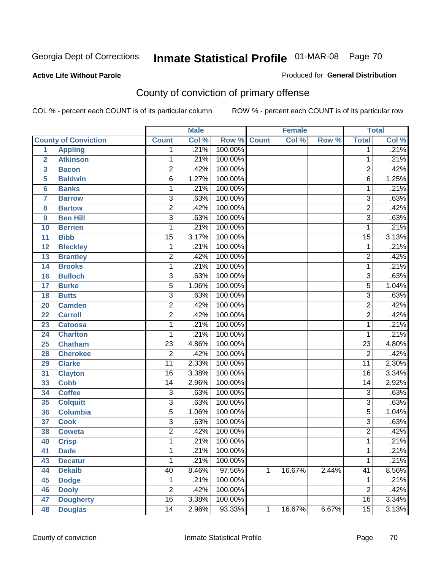#### **Active Life Without Parole**

#### Produced for **General Distribution**

# County of conviction of primary offense

|                         |                             |                           | <b>Male</b> |         |              | <b>Female</b> |       |                 | <b>Total</b> |
|-------------------------|-----------------------------|---------------------------|-------------|---------|--------------|---------------|-------|-----------------|--------------|
|                         | <b>County of Conviction</b> | <b>Count</b>              | Col %       | Row %   | <b>Count</b> | Col %         | Row % | <b>Total</b>    | Col %        |
| 1                       | <b>Appling</b>              | 1                         | .21%        | 100.00% |              |               |       | 1               | .21%         |
| $\overline{2}$          | <b>Atkinson</b>             | 1                         | .21%        | 100.00% |              |               |       | 1               | .21%         |
| $\overline{\mathbf{3}}$ | <b>Bacon</b>                | $\overline{2}$            | .42%        | 100.00% |              |               |       | $\overline{2}$  | .42%         |
| 5                       | <b>Baldwin</b>              | $\overline{6}$            | 1.27%       | 100.00% |              |               |       | $\overline{6}$  | 1.25%        |
| 6                       | <b>Banks</b>                | 1                         | .21%        | 100.00% |              |               |       | 1               | .21%         |
| $\overline{\mathbf{7}}$ | <b>Barrow</b>               | $\overline{3}$            | .63%        | 100.00% |              |               |       | $\overline{3}$  | .63%         |
| 8                       | <b>Bartow</b>               | $\overline{2}$            | .42%        | 100.00% |              |               |       | $\overline{2}$  | .42%         |
| 9                       | <b>Ben Hill</b>             | $\overline{\overline{3}}$ | .63%        | 100.00% |              |               |       | $\overline{3}$  | .63%         |
| 10                      | <b>Berrien</b>              | 1                         | .21%        | 100.00% |              |               |       | 1               | .21%         |
| 11                      | <b>Bibb</b>                 | $\overline{15}$           | 3.17%       | 100.00% |              |               |       | $\overline{15}$ | 3.13%        |
| 12                      | <b>Bleckley</b>             | 1                         | .21%        | 100.00% |              |               |       | $\mathbf 1$     | .21%         |
| 13                      | <b>Brantley</b>             | $\overline{2}$            | .42%        | 100.00% |              |               |       | $\overline{2}$  | .42%         |
| 14                      | <b>Brooks</b>               | 1                         | .21%        | 100.00% |              |               |       | 1               | .21%         |
| 16                      | <b>Bulloch</b>              | $\overline{3}$            | .63%        | 100.00% |              |               |       | $\overline{3}$  | .63%         |
| 17                      | <b>Burke</b>                | $\overline{5}$            | 1.06%       | 100.00% |              |               |       | $\overline{5}$  | 1.04%        |
| 18                      | <b>Butts</b>                | $\overline{3}$            | .63%        | 100.00% |              |               |       | $\overline{3}$  | .63%         |
| 20                      | <b>Camden</b>               | $\overline{2}$            | .42%        | 100.00% |              |               |       | $\overline{2}$  | .42%         |
| 22                      | <b>Carroll</b>              | $\overline{2}$            | .42%        | 100.00% |              |               |       | $\overline{2}$  | .42%         |
| 23                      | <b>Catoosa</b>              | 1                         | .21%        | 100.00% |              |               |       | 1               | .21%         |
| 24                      | <b>Charlton</b>             | 1                         | .21%        | 100.00% |              |               |       | 1               | .21%         |
| 25                      | <b>Chatham</b>              | $\overline{23}$           | 4.86%       | 100.00% |              |               |       | $\overline{23}$ | 4.80%        |
| 28                      | <b>Cherokee</b>             | $\overline{2}$            | .42%        | 100.00% |              |               |       | $\overline{2}$  | .42%         |
| 29                      | <b>Clarke</b>               | $\overline{11}$           | 2.33%       | 100.00% |              |               |       | $\overline{11}$ | 2.30%        |
| 31                      | <b>Clayton</b>              | $\overline{16}$           | 3.38%       | 100.00% |              |               |       | 16              | 3.34%        |
| 33                      | <b>Cobb</b>                 | 14                        | 2.96%       | 100.00% |              |               |       | 14              | 2.92%        |
| 34                      | <b>Coffee</b>               | 3                         | .63%        | 100.00% |              |               |       | $\overline{3}$  | .63%         |
| 35                      | <b>Colquitt</b>             | $\overline{3}$            | .63%        | 100.00% |              |               |       | $\overline{3}$  | .63%         |
| 36                      | <b>Columbia</b>             | $\overline{5}$            | 1.06%       | 100.00% |              |               |       | $\overline{5}$  | 1.04%        |
| 37                      | <b>Cook</b>                 | $\overline{3}$            | .63%        | 100.00% |              |               |       | $\overline{3}$  | .63%         |
| 38                      | <b>Coweta</b>               | $\overline{2}$            | .42%        | 100.00% |              |               |       | $\overline{2}$  | .42%         |
| 40                      | <b>Crisp</b>                | 1                         | .21%        | 100.00% |              |               |       | 1               | .21%         |
| 41                      | <b>Dade</b>                 | 1                         | .21%        | 100.00% |              |               |       | 1               | .21%         |
| 43                      | <b>Decatur</b>              | 1                         | .21%        | 100.00% |              |               |       | 1               | .21%         |
| 44                      | <b>Dekalb</b>               | 40                        | 8.46%       | 97.56%  | 1            | 16.67%        | 2.44% | $\overline{41}$ | 8.56%        |
| 45                      | <b>Dodge</b>                | 1                         | .21%        | 100.00% |              |               |       | 1               | .21%         |
| 46                      | <b>Dooly</b>                | $\overline{2}$            | .42%        | 100.00% |              |               |       | $\overline{2}$  | .42%         |
| 47                      | <b>Dougherty</b>            | $\overline{16}$           | 3.38%       | 100.00% |              |               |       | 16              | 3.34%        |
| 48                      | <b>Douglas</b>              | $\overline{14}$           | 2.96%       | 93.33%  | 1            | 16.67%        | 6.67% | $\overline{15}$ | 3.13%        |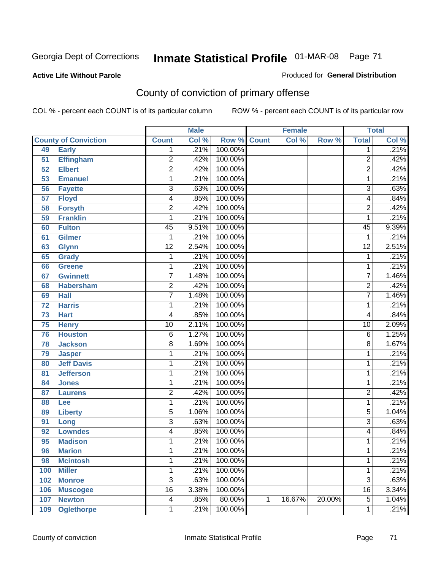Produced for **General Distribution**

#### **Active Life Without Parole**

# County of conviction of primary offense

|                 |                             |                 | <b>Male</b> |                    |   | <b>Female</b> |        |                 | <b>Total</b>               |
|-----------------|-----------------------------|-----------------|-------------|--------------------|---|---------------|--------|-----------------|----------------------------|
|                 | <b>County of Conviction</b> | <b>Count</b>    | Col %       | <b>Row % Count</b> |   | Col %         | Row %  | <b>Total</b>    | $\overline{\text{Col }\%}$ |
| 49              | <b>Early</b>                | 1               | .21%        | 100.00%            |   |               |        | 1               | .21%                       |
| 51              | <b>Effingham</b>            | $\overline{2}$  | .42%        | 100.00%            |   |               |        | $\overline{2}$  | .42%                       |
| 52              | <b>Elbert</b>               | $\overline{2}$  | .42%        | 100.00%            |   |               |        | $\overline{2}$  | .42%                       |
| 53              | <b>Emanuel</b>              | 1               | .21%        | 100.00%            |   |               |        | 1               | .21%                       |
| 56              | <b>Fayette</b>              | 3               | .63%        | 100.00%            |   |               |        | $\overline{3}$  | .63%                       |
| $\overline{57}$ | <b>Floyd</b>                | 4               | .85%        | 100.00%            |   |               |        | 4               | .84%                       |
| 58              | <b>Forsyth</b>              | $\overline{2}$  | .42%        | 100.00%            |   |               |        | $\overline{2}$  | .42%                       |
| 59              | <b>Franklin</b>             | 1               | .21%        | 100.00%            |   |               |        | 1               | .21%                       |
| 60              | <b>Fulton</b>               | $\overline{45}$ | 9.51%       | 100.00%            |   |               |        | $\overline{45}$ | 9.39%                      |
| 61              | Gilmer                      | 1               | .21%        | 100.00%            |   |               |        | 1               | .21%                       |
| 63              | <b>Glynn</b>                | $\overline{12}$ | 2.54%       | 100.00%            |   |               |        | $\overline{12}$ | 2.51%                      |
| 65              | <b>Grady</b>                | 1               | .21%        | 100.00%            |   |               |        | 1               | .21%                       |
| 66              | <b>Greene</b>               | 1               | .21%        | 100.00%            |   |               |        | 1               | .21%                       |
| 67              | <b>Gwinnett</b>             | $\overline{7}$  | 1.48%       | 100.00%            |   |               |        | $\overline{7}$  | 1.46%                      |
| 68              | <b>Habersham</b>            | $\overline{2}$  | .42%        | 100.00%            |   |               |        | $\overline{2}$  | .42%                       |
| 69              | <b>Hall</b>                 | $\overline{7}$  | 1.48%       | 100.00%            |   |               |        | $\overline{7}$  | 1.46%                      |
| 72              | <b>Harris</b>               | 1               | .21%        | 100.00%            |   |               |        | 1               | .21%                       |
| 73              | <b>Hart</b>                 | 4               | .85%        | 100.00%            |   |               |        | 4               | .84%                       |
| 75              | <b>Henry</b>                | $\overline{10}$ | 2.11%       | 100.00%            |   |               |        | $\overline{10}$ | 2.09%                      |
| 76              | <b>Houston</b>              | $\overline{6}$  | 1.27%       | 100.00%            |   |               |        | 6               | 1.25%                      |
| 78              | <b>Jackson</b>              | 8               | 1.69%       | 100.00%            |   |               |        | $\overline{8}$  | 1.67%                      |
| 79              | <b>Jasper</b>               | 1               | .21%        | 100.00%            |   |               |        | 1               | .21%                       |
| 80              | <b>Jeff Davis</b>           | 1               | .21%        | 100.00%            |   |               |        | 1               | .21%                       |
| 81              | <b>Jefferson</b>            | 1               | .21%        | 100.00%            |   |               |        | 1               | .21%                       |
| 84              | <b>Jones</b>                | 1               | .21%        | 100.00%            |   |               |        | 1               | .21%                       |
| 87              | <b>Laurens</b>              | $\overline{2}$  | .42%        | 100.00%            |   |               |        | $\overline{2}$  | .42%                       |
| 88              | Lee                         | 1               | .21%        | 100.00%            |   |               |        | 1               | .21%                       |
| 89              | <b>Liberty</b>              | 5               | 1.06%       | 100.00%            |   |               |        | $\overline{5}$  | 1.04%                      |
| 91              | Long                        | 3               | .63%        | 100.00%            |   |               |        | 3               | .63%                       |
| 92              | <b>Lowndes</b>              | 4               | .85%        | 100.00%            |   |               |        | 4               | .84%                       |
| 95              | <b>Madison</b>              | 1               | .21%        | 100.00%            |   |               |        | 1               | .21%                       |
| 96              | <b>Marion</b>               | 1               | .21%        | 100.00%            |   |               |        | 1               | .21%                       |
| 98              | <b>Mcintosh</b>             | 1               | .21%        | 100.00%            |   |               |        | 1               | .21%                       |
| 100             | <b>Miller</b>               | 1               | .21%        | 100.00%            |   |               |        | 1               | .21%                       |
| 102             | <b>Monroe</b>               | $\overline{3}$  | .63%        | 100.00%            |   |               |        | $\overline{3}$  | .63%                       |
| 106             | <b>Muscogee</b>             | $\overline{16}$ | 3.38%       | 100.00%            |   |               |        | $\overline{16}$ | 3.34%                      |
| 107             | <b>Newton</b>               | 4               | .85%        | 80.00%             | 1 | 16.67%        | 20.00% | $\overline{5}$  | 1.04%                      |
| 109             | <b>Oglethorpe</b>           | 1               | .21%        | 100.00%            |   |               |        | 1               | .21%                       |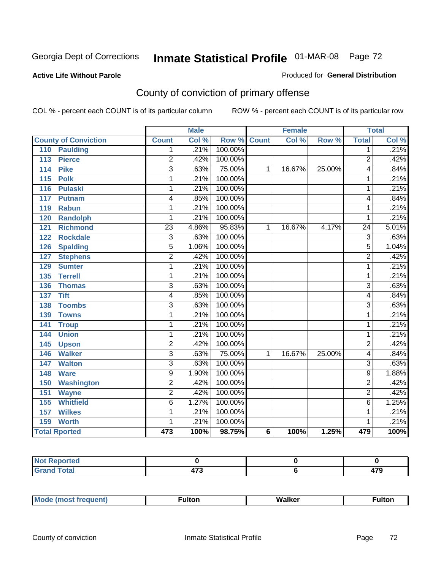#### **Active Life Without Parole**

#### Produced for **General Distribution**

# County of conviction of primary offense

|                                  |                 | <b>Male</b> |                    |                | <b>Female</b> |        |                 | <b>Total</b> |
|----------------------------------|-----------------|-------------|--------------------|----------------|---------------|--------|-----------------|--------------|
| <b>County of Conviction</b>      | <b>Count</b>    | Col %       | <b>Row % Count</b> |                | Col %         | Row %  | <b>Total</b>    | Col %        |
| <b>Paulding</b><br>110           | 1.              | .21%        | 100.00%            |                |               |        | 1               | .21%         |
| <b>Pierce</b><br>113             | 2               | .42%        | 100.00%            |                |               |        | 2               | .42%         |
| <b>Pike</b><br>114               | $\overline{3}$  | .63%        | 75.00%             | 1              | 16.67%        | 25.00% | 4               | .84%         |
| 115<br><b>Polk</b>               | 1               | .21%        | 100.00%            |                |               |        | 1               | .21%         |
| <b>Pulaski</b><br>116            | 1               | .21%        | 100.00%            |                |               |        | 1               | .21%         |
| 117<br><b>Putnam</b>             | 4               | .85%        | 100.00%            |                |               |        | 4               | .84%         |
| 119<br><b>Rabun</b>              | 1               | .21%        | 100.00%            |                |               |        | 1               | .21%         |
| <b>Randolph</b><br>120           | 1               | .21%        | 100.00%            |                |               |        | 1               | .21%         |
| <b>Richmond</b><br>121           | $\overline{23}$ | 4.86%       | 95.83%             | 1              | 16.67%        | 4.17%  | $\overline{24}$ | 5.01%        |
| <b>Rockdale</b><br>122           | $\overline{3}$  | .63%        | 100.00%            |                |               |        | $\overline{3}$  | .63%         |
| 126<br><b>Spalding</b>           | $\overline{5}$  | 1.06%       | 100.00%            |                |               |        | $\overline{5}$  | 1.04%        |
| <b>Stephens</b><br>127           | $\overline{2}$  | .42%        | 100.00%            |                |               |        | $\overline{2}$  | .42%         |
| <b>Sumter</b><br>129             | 1               | .21%        | 100.00%            |                |               |        | 1               | .21%         |
| <b>Terrell</b><br>135            | 1               | .21%        | 100.00%            |                |               |        | 1               | .21%         |
| 136<br><b>Thomas</b>             | $\overline{3}$  | .63%        | 100.00%            |                |               |        | $\overline{3}$  | .63%         |
| <b>Tift</b><br>$\overline{137}$  | 4               | .85%        | 100.00%            |                |               |        | 4               | .84%         |
| <b>Toombs</b><br>138             | $\overline{3}$  | .63%        | 100.00%            |                |               |        | $\overline{3}$  | .63%         |
| <b>Towns</b><br>139              | 1               | .21%        | 100.00%            |                |               |        | 1               | .21%         |
| $\overline{141}$<br><b>Troup</b> | 1               | .21%        | 100.00%            |                |               |        | 1               | .21%         |
| <b>Union</b><br>144              | 1               | .21%        | 100.00%            |                |               |        | 1               | .21%         |
| 145<br><b>Upson</b>              | $\overline{2}$  | .42%        | 100.00%            |                |               |        | $\overline{2}$  | .42%         |
| <b>Walker</b><br>146             | $\overline{3}$  | .63%        | 75.00%             | 1              | 16.67%        | 25.00% | 4               | .84%         |
| <b>Walton</b><br>147             | 3               | .63%        | 100.00%            |                |               |        | 3               | .63%         |
| 148<br><b>Ware</b>               | $\overline{9}$  | 1.90%       | 100.00%            |                |               |        | $\overline{9}$  | 1.88%        |
| <b>Washington</b><br>150         | $\overline{2}$  | .42%        | 100.00%            |                |               |        | $\overline{2}$  | .42%         |
| 151<br><b>Wayne</b>              | 2               | .42%        | 100.00%            |                |               |        | $\overline{2}$  | .42%         |
| <b>Whitfield</b><br>155          | $\overline{6}$  | 1.27%       | 100.00%            |                |               |        | $\overline{6}$  | 1.25%        |
| <b>Wilkes</b><br>157             | 1               | .21%        | 100.00%            |                |               |        | 1               | .21%         |
| <b>Worth</b><br>159              | 1               | .21%        | 100.00%            |                |               |        | 1               | .21%         |
| <b>Total Rported</b>             | 473             | 100%        | 98.75%             | $6\phantom{1}$ | 100%          | 1.25%  | 479             | 100%         |

| المقمار | $- -$<br>$\sim$ | -- |
|---------|-----------------|----|

|  | M |  | Malkar | ultoı |
|--|---|--|--------|-------|
|--|---|--|--------|-------|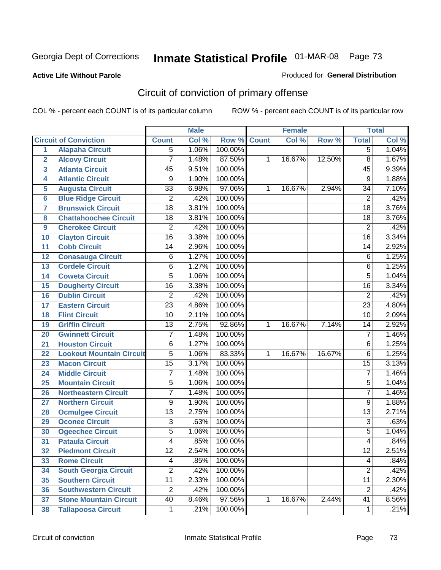#### **Active Life Without Parole**

#### Produced for **General Distribution**

# Circuit of conviction of primary offense

|                         |                                 |                 | <b>Male</b> |                    |   | <b>Female</b> |        |                 | <b>Total</b> |
|-------------------------|---------------------------------|-----------------|-------------|--------------------|---|---------------|--------|-----------------|--------------|
|                         | <b>Circuit of Conviction</b>    | <b>Count</b>    | Col %       | <b>Row % Count</b> |   | Col %         | Row %  | <b>Total</b>    | Col %        |
| 1                       | <b>Alapaha Circuit</b>          | 5               | 1.06%       | 100.00%            |   |               |        | $\overline{5}$  | 1.04%        |
| $\overline{2}$          | <b>Alcovy Circuit</b>           | 7               | 1.48%       | 87.50%             | 1 | 16.67%        | 12.50% | $\overline{8}$  | 1.67%        |
| $\overline{\mathbf{3}}$ | <b>Atlanta Circuit</b>          | 45              | 9.51%       | 100.00%            |   |               |        | 45              | 9.39%        |
| 4                       | <b>Atlantic Circuit</b>         | 9               | 1.90%       | 100.00%            |   |               |        | $\overline{9}$  | 1.88%        |
| 5                       | <b>Augusta Circuit</b>          | $\overline{33}$ | 6.98%       | 97.06%             | 1 | 16.67%        | 2.94%  | 34              | 7.10%        |
| $6\phantom{a}$          | <b>Blue Ridge Circuit</b>       | $\overline{2}$  | .42%        | 100.00%            |   |               |        | $\overline{2}$  | .42%         |
| $\overline{\mathbf{7}}$ | <b>Brunswick Circuit</b>        | $\overline{18}$ | 3.81%       | 100.00%            |   |               |        | $\overline{18}$ | 3.76%        |
| 8                       | <b>Chattahoochee Circuit</b>    | $\overline{18}$ | 3.81%       | 100.00%            |   |               |        | 18              | 3.76%        |
| 9                       | <b>Cherokee Circuit</b>         | $\overline{2}$  | .42%        | 100.00%            |   |               |        | $\overline{2}$  | .42%         |
| 10                      | <b>Clayton Circuit</b>          | $\overline{16}$ | 3.38%       | 100.00%            |   |               |        | $\overline{16}$ | 3.34%        |
| 11                      | <b>Cobb Circuit</b>             | 14              | 2.96%       | 100.00%            |   |               |        | $\overline{14}$ | 2.92%        |
| 12                      | <b>Conasauga Circuit</b>        | $\overline{6}$  | 1.27%       | 100.00%            |   |               |        | 6               | 1.25%        |
| 13                      | <b>Cordele Circuit</b>          | $\overline{6}$  | 1.27%       | 100.00%            |   |               |        | 6               | 1.25%        |
| 14                      | <b>Coweta Circuit</b>           | $\overline{5}$  | 1.06%       | 100.00%            |   |               |        | $\overline{5}$  | 1.04%        |
| 15                      | <b>Dougherty Circuit</b>        | $\overline{16}$ | 3.38%       | 100.00%            |   |               |        | $\overline{16}$ | 3.34%        |
| 16                      | <b>Dublin Circuit</b>           | $\overline{2}$  | .42%        | 100.00%            |   |               |        | $\overline{2}$  | .42%         |
| 17                      | <b>Eastern Circuit</b>          | $\overline{23}$ | 4.86%       | 100.00%            |   |               |        | $\overline{23}$ | 4.80%        |
| 18                      | <b>Flint Circuit</b>            | $\overline{10}$ | 2.11%       | 100.00%            |   |               |        | $\overline{10}$ | 2.09%        |
| 19                      | <b>Griffin Circuit</b>          | $\overline{13}$ | 2.75%       | 92.86%             | 1 | 16.67%        | 7.14%  | 14              | 2.92%        |
| 20                      | <b>Gwinnett Circuit</b>         | 7               | 1.48%       | 100.00%            |   |               |        | $\overline{7}$  | 1.46%        |
| 21                      | <b>Houston Circuit</b>          | 6               | 1.27%       | 100.00%            |   |               |        | 6               | 1.25%        |
| 22                      | <b>Lookout Mountain Circuit</b> | $\overline{5}$  | 1.06%       | 83.33%             | 1 | 16.67%        | 16.67% | 6               | 1.25%        |
| 23                      | <b>Macon Circuit</b>            | $\overline{15}$ | 3.17%       | 100.00%            |   |               |        | $\overline{15}$ | 3.13%        |
| 24                      | <b>Middle Circuit</b>           | $\overline{7}$  | 1.48%       | 100.00%            |   |               |        | $\overline{7}$  | 1.46%        |
| 25                      | <b>Mountain Circuit</b>         | $\overline{5}$  | 1.06%       | 100.00%            |   |               |        | 5               | 1.04%        |
| 26                      | <b>Northeastern Circuit</b>     | $\overline{7}$  | 1.48%       | 100.00%            |   |               |        | $\overline{7}$  | 1.46%        |
| 27                      | <b>Northern Circuit</b>         | $\overline{9}$  | 1.90%       | 100.00%            |   |               |        | $\overline{9}$  | 1.88%        |
| 28                      | <b>Ocmulgee Circuit</b>         | $\overline{13}$ | 2.75%       | 100.00%            |   |               |        | $\overline{13}$ | 2.71%        |
| 29                      | <b>Oconee Circuit</b>           | $\overline{3}$  | .63%        | 100.00%            |   |               |        | $\overline{3}$  | .63%         |
| 30                      | <b>Ogeechee Circuit</b>         | $\overline{5}$  | 1.06%       | 100.00%            |   |               |        | $\overline{5}$  | 1.04%        |
| $\overline{31}$         | <b>Pataula Circuit</b>          | 4               | .85%        | 100.00%            |   |               |        | 4               | .84%         |
| 32                      | <b>Piedmont Circuit</b>         | 12              | 2.54%       | 100.00%            |   |               |        | 12              | 2.51%        |
| 33                      | <b>Rome Circuit</b>             | $\overline{4}$  | .85%        | 100.00%            |   |               |        | 4               | .84%         |
| 34                      | <b>South Georgia Circuit</b>    | $\overline{2}$  | .42%        | 100.00%            |   |               |        | $\overline{2}$  | .42%         |
| 35                      | <b>Southern Circuit</b>         | $\overline{11}$ | 2.33%       | 100.00%            |   |               |        | $\overline{11}$ | 2.30%        |
| 36                      | <b>Southwestern Circuit</b>     | $\overline{2}$  | .42%        | 100.00%            |   |               |        | $\overline{2}$  | .42%         |
| 37                      | <b>Stone Mountain Circuit</b>   | 40              | 8.46%       | 97.56%             | 1 | 16.67%        | 2.44%  | 41              | 8.56%        |
| 38                      | <b>Tallapoosa Circuit</b>       | $\mathbf 1$     | .21%        | 100.00%            |   |               |        | $\mathbf{1}$    | .21%         |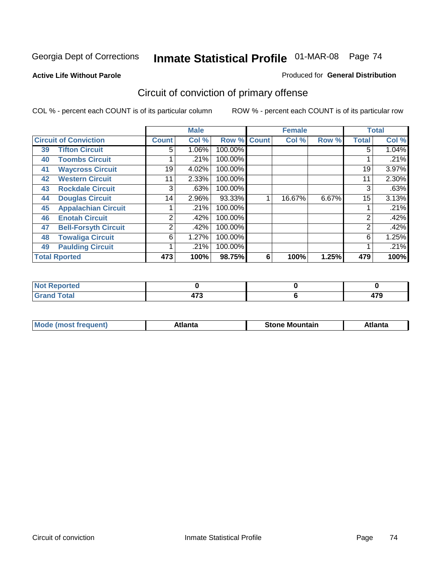### **Active Life Without Parole**

#### Produced for **General Distribution**

# Circuit of conviction of primary offense

|                      |                              |              | <b>Male</b> |             |   | <b>Female</b> |       |                | <b>Total</b> |
|----------------------|------------------------------|--------------|-------------|-------------|---|---------------|-------|----------------|--------------|
|                      | <b>Circuit of Conviction</b> | <b>Count</b> | Col %       | Row % Count |   | Col %         | Row % | <b>Total</b>   | Col %        |
| 39                   | <b>Tifton Circuit</b>        | 5            | 1.06%       | 100.00%     |   |               |       | 5              | $1.04\%$     |
| 40                   | <b>Toombs Circuit</b>        |              | .21%        | 100.00%     |   |               |       |                | .21%         |
| 41                   | <b>Waycross Circuit</b>      | 19           | 4.02%       | 100.00%     |   |               |       | 19             | 3.97%        |
| 42                   | <b>Western Circuit</b>       | 11           | 2.33%       | 100.00%     |   |               |       | 11             | 2.30%        |
| 43                   | <b>Rockdale Circuit</b>      | 3            | .63%        | 100.00%     |   |               |       | 3              | .63%         |
| 44                   | <b>Douglas Circuit</b>       | 14           | 2.96%       | 93.33%      |   | 16.67%        | 6.67% | 15             | 3.13%        |
| 45                   | <b>Appalachian Circuit</b>   |              | .21%        | 100.00%     |   |               |       |                | .21%         |
| 46                   | <b>Enotah Circuit</b>        | 2            | .42%        | 100.00%     |   |               |       | $\overline{2}$ | .42%         |
| 47                   | <b>Bell-Forsyth Circuit</b>  | 2            | .42%        | 100.00%     |   |               |       | 2              | .42%         |
| 48                   | <b>Towaliga Circuit</b>      | 6            | 1.27%       | 100.00%     |   |               |       | 6              | 1.25%        |
| 49                   | <b>Paulding Circuit</b>      |              | .21%        | 100.00%     |   |               |       |                | .21%         |
| <b>Total Rported</b> |                              | 473          | 100%        | 98.75%      | 6 | 100%          | 1.25% | 479            | 100%         |

| <b>eported</b><br>w     |             |               |
|-------------------------|-------------|---------------|
| <b>otal</b><br>$\sim$ . | 170<br>41 J | $\rightarrow$ |

| M | *****<br>лш.<br>71 I C | Stone<br>Mountain | .<br>ulo |
|---|------------------------|-------------------|----------|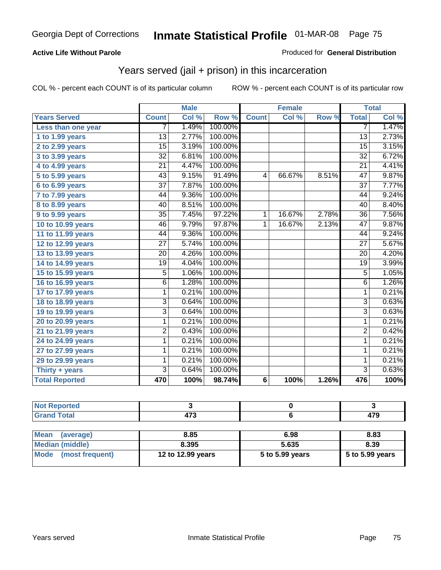### **Active Life Without Parole**

#### Produced for **General Distribution**

## Years served (jail + prison) in this incarceration

|                       |                 | <b>Male</b> |         |                 | <b>Female</b> |       |                 | <b>Total</b> |
|-----------------------|-----------------|-------------|---------|-----------------|---------------|-------|-----------------|--------------|
| <b>Years Served</b>   | <b>Count</b>    | Col %       | Row %   | <b>Count</b>    | Col %         | Row % | <b>Total</b>    | Col %        |
| Less than one year    | 7               | 1.49%       | 100.00% |                 |               |       | 7               | 1.47%        |
| 1 to 1.99 years       | 13              | 2.77%       | 100.00% |                 |               |       | $\overline{13}$ | 2.73%        |
| 2 to 2.99 years       | 15              | 3.19%       | 100.00% |                 |               |       | $\overline{15}$ | 3.15%        |
| 3 to 3.99 years       | $\overline{32}$ | 6.81%       | 100.00% |                 |               |       | $\overline{32}$ | 6.72%        |
| 4 to 4.99 years       | $\overline{21}$ | 4.47%       | 100.00% |                 |               |       | $\overline{21}$ | 4.41%        |
| 5 to 5.99 years       | $\overline{43}$ | 9.15%       | 91.49%  | 4               | 66.67%        | 8.51% | $\overline{47}$ | 9.87%        |
| 6 to 6.99 years       | $\overline{37}$ | 7.87%       | 100.00% |                 |               |       | $\overline{37}$ | 7.77%        |
| $7$ to $7.99$ years   | 44              | 9.36%       | 100.00% |                 |               |       | 44              | 9.24%        |
| 8 to 8.99 years       | 40              | 8.51%       | 100.00% |                 |               |       | 40              | 8.40%        |
| 9 to 9.99 years       | $\overline{35}$ | 7.45%       | 97.22%  | 1               | 16.67%        | 2.78% | $\overline{36}$ | 7.56%        |
| 10 to 10.99 years     | 46              | 9.79%       | 97.87%  | 1               | 16.67%        | 2.13% | $\overline{47}$ | 9.87%        |
| 11 to 11.99 years     | 44              | 9.36%       | 100.00% |                 |               |       | 44              | 9.24%        |
| 12 to 12.99 years     | 27              | 5.74%       | 100.00% |                 |               |       | $\overline{27}$ | 5.67%        |
| 13 to 13.99 years     | $\overline{20}$ | 4.26%       | 100.00% |                 |               |       | $\overline{20}$ | 4.20%        |
| 14 to 14.99 years     | $\overline{19}$ | 4.04%       | 100.00% |                 |               |       | $\overline{19}$ | 3.99%        |
| 15 to 15.99 years     | 5               | 1.06%       | 100.00% |                 |               |       | $\overline{5}$  | 1.05%        |
| 16 to 16.99 years     | $\overline{6}$  | 1.28%       | 100.00% |                 |               |       | $\overline{6}$  | 1.26%        |
| 17 to 17.99 years     | $\overline{1}$  | 0.21%       | 100.00% |                 |               |       | $\mathbf 1$     | 0.21%        |
| 18 to 18.99 years     | $\overline{3}$  | 0.64%       | 100.00% |                 |               |       | $\overline{3}$  | 0.63%        |
| 19 to 19.99 years     | $\overline{3}$  | 0.64%       | 100.00% |                 |               |       | $\overline{3}$  | 0.63%        |
| 20 to 20.99 years     | 1               | 0.21%       | 100.00% |                 |               |       | 1               | 0.21%        |
| 21 to 21.99 years     | $\overline{2}$  | 0.43%       | 100.00% |                 |               |       | $\overline{2}$  | 0.42%        |
| 24 to 24.99 years     | 1               | 0.21%       | 100.00% |                 |               |       | $\mathbf{1}$    | 0.21%        |
| 27 to 27.99 years     | 1               | 0.21%       | 100.00% |                 |               |       | 1               | 0.21%        |
| 29 to 29.99 years     | 1               | 0.21%       | 100.00% |                 |               |       | $\mathbf 1$     | 0.21%        |
| Thirty + years        | $\overline{3}$  | 0.64%       | 100.00% |                 |               |       | $\overline{3}$  | 0.63%        |
| <b>Total Reported</b> | 470             | 100%        | 98.74%  | $6\phantom{1}6$ | 100%          | 1.26% | 476             | 100%         |

| <b>Not Reported</b>            |                   |                 |                 |
|--------------------------------|-------------------|-----------------|-----------------|
| <b>Grand Total</b>             | 473               |                 | 479             |
|                                |                   |                 |                 |
| <b>Mean</b><br>(average)       | 8.85              | 6.98            | 8.83            |
| <b>Median (middle)</b>         | 8.395             | 5.635           | 8.39            |
| <b>Mode</b><br>(most frequent) | 12 to 12.99 years | 5 to 5.99 years | 5 to 5.99 years |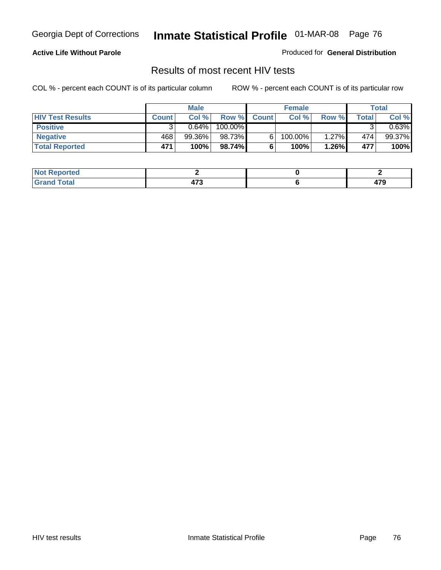### **Active Life Without Parole**

Produced for **General Distribution**

## Results of most recent HIV tests

|                         |              | <b>Male</b> |         |              | <b>Female</b> |          |       | Total    |
|-------------------------|--------------|-------------|---------|--------------|---------------|----------|-------|----------|
| <b>HIV Test Results</b> | <b>Count</b> | Col %       | Row %   | <b>Count</b> | Col %         | Row %    | Total | Col %    |
| <b>Positive</b>         |              | $0.64\%$    | 100.00% |              |               |          |       | $0.63\%$ |
| <b>Negative</b>         | 468          | 99.36%      | 98.73%  |              | 100.00%       | $1.27\%$ | 474   | 99.37%   |
| <b>Total Reported</b>   | 471          | 100%        | 98.74%  |              | 100%          | 1.26%    | 477   | 100%     |

| <b>Not</b><br><b>Reported</b> |                       |                       |
|-------------------------------|-----------------------|-----------------------|
| <b>Total</b>                  | $\rightarrow$<br>71 J | $\rightarrow$<br>71 J |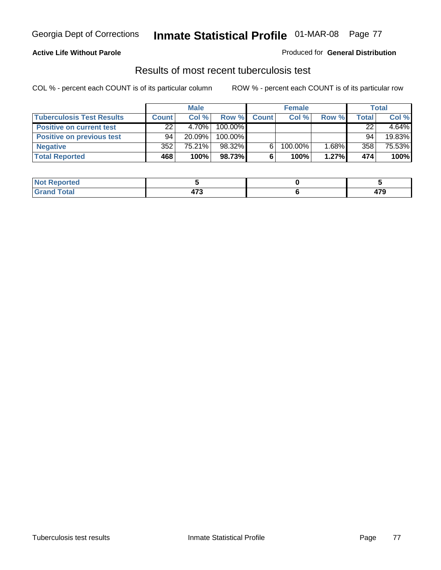### **Active Life Without Parole**

#### Produced for **General Distribution**

## Results of most recent tuberculosis test

|                                  |              | <b>Male</b> |         |              | <b>Female</b> |          |              | Total  |
|----------------------------------|--------------|-------------|---------|--------------|---------------|----------|--------------|--------|
| <b>Tuberculosis Test Results</b> | <b>Count</b> | Col%        | Row %   | <b>Count</b> | Col %         | Row %    | <b>Total</b> | Col %  |
| <b>Positive on current test</b>  | 22           | 4.70%       | 100.00% |              |               |          | 22           | 4.64%  |
| <b>Positive on previous test</b> | 94           | $20.09\%$   | 100.00% |              |               |          | 94           | 19.83% |
| <b>Negative</b>                  | 352          | 75.21%      | 98.32%  |              | 100.00%       | $1.68\%$ | 358          | 75.53% |
| <b>Total Reported</b>            | 468          | 100%        | 98.73%I |              | 100%          | 1.27%    | 474          | 100%   |

| <b>Reported</b><br>' NOT |               |      |
|--------------------------|---------------|------|
| <b>Total</b>             | $\rightarrow$ | 470  |
| $\sim$                   | 41 J          | 71 J |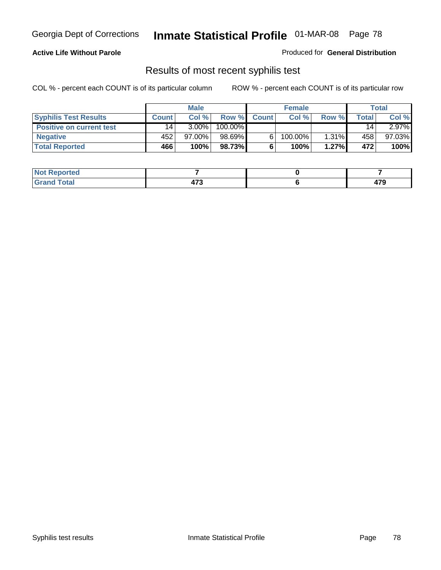### **Active Life Without Parole**

Produced for **General Distribution**

## Results of most recent syphilis test

|                                 |              | <b>Male</b> |         |              | <b>Female</b> |          |                 | Total     |
|---------------------------------|--------------|-------------|---------|--------------|---------------|----------|-----------------|-----------|
| <b>Syphilis Test Results</b>    | <b>Count</b> | Col%        | Row %   | <b>Count</b> | Col%          | Row %    | Total           | Col %     |
| <b>Positive on current test</b> | 14           | $3.00\%$    | 100.00% |              |               |          | 14 <sub>1</sub> | $2.97\%$  |
| <b>Negative</b>                 | 452          | 97.00%      | 98.69%  |              | $100.00\%$    | $1.31\%$ | 458             | $97.03\%$ |
| <b>Total Reported</b>           | 466          | 100%        | 98.73%  |              | 100%          | 1.27%    | 472             | 100%      |

| <b>Not Reported</b> |                        |             |
|---------------------|------------------------|-------------|
| <b>Total</b>        | $\bar{}$<br>ט ו ד<br>. | 170<br>71 J |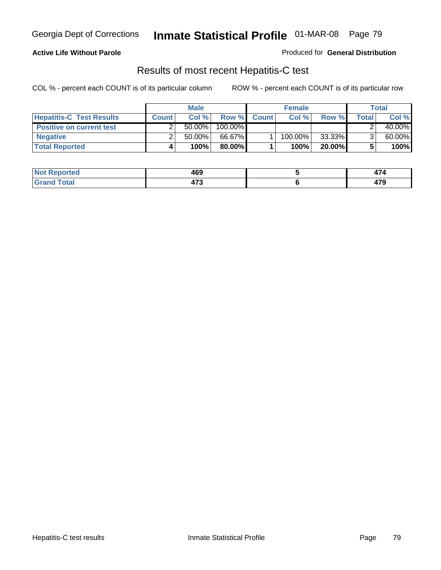### **Active Life Without Parole**

Produced for **General Distribution**

## Results of most recent Hepatitis-C test

|                                 | <b>Male</b>  |           |         | <b>Female</b> |         |           | Total |        |
|---------------------------------|--------------|-----------|---------|---------------|---------|-----------|-------|--------|
| <b>Hepatitis-C Test Results</b> | <b>Count</b> | Col %     | Row %   | <b>Count</b>  | Col %   | Row %     | Total | Col %  |
| <b>Positive on current test</b> |              | $50.00\%$ | 100.00% |               |         |           |       | 40.00% |
| <b>Negative</b>                 |              | $50.00\%$ | 66.67%  |               | 100.00% | 33.33%    |       | 60.00% |
| <b>Total Reported</b>           |              | 100%      | 80.00%I |               | 100%    | $20.00\%$ |       | 100%   |

| <b>ported</b><br><b>Not</b> | 469           | .    |
|-----------------------------|---------------|------|
| <b>Cotal</b>                | $\rightarrow$ | 470  |
| . Grr                       | 71 J          | 41 J |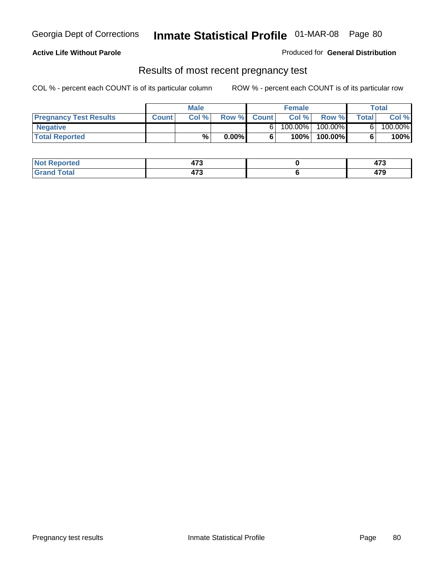### **Active Life Without Parole**

Produced for **General Distribution**

### Results of most recent pregnancy test

|                               | <b>Male</b>  |      | <b>Female</b> |              |            | <b>Total</b> |       |         |
|-------------------------------|--------------|------|---------------|--------------|------------|--------------|-------|---------|
| <b>Pregnancy Test Results</b> | <b>Count</b> | Col% | Row %         | <b>Count</b> | Col %      | Row %        | Total | Col %   |
| <b>Negative</b>               |              |      |               |              | $100.00\%$ | 100.00%      |       | 100.00% |
| <b>Total Reported</b>         |              | $\%$ | $0.00\%$      |              | 100%।      | 100.00%      |       | 100%    |

| <b>Reported</b> | --<br>- ט | $\rightarrow$ |
|-----------------|-----------|---------------|
| <b>otal</b>     | $1 - 0$   | 470           |
| _____           | - 1 J     | 41 J          |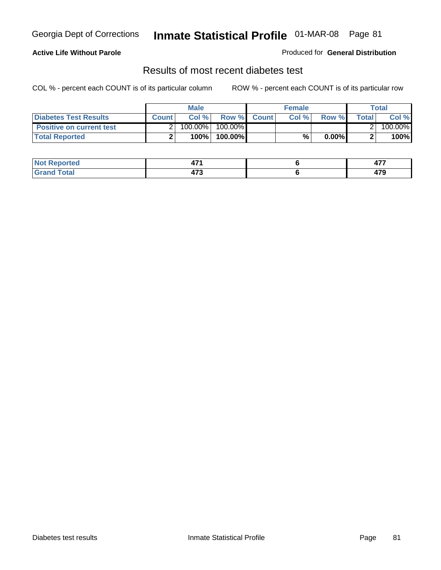### **Active Life Without Parole**

#### Produced for **General Distribution**

## Results of most recent diabetes test

|                                 |              | <b>Male</b> |                    | <b>Female</b> |              |         | Total   |
|---------------------------------|--------------|-------------|--------------------|---------------|--------------|---------|---------|
| <b>Diabetes Test Results</b>    | <b>Count</b> | Col %       | <b>Row %</b> Count | Col%          | <b>Row %</b> | Total I | Col %   |
| <b>Positive on current test</b> |              | 100.00%     | $100.00\%$         |               |              |         | 100.00% |
| <b>Total Reported</b>           |              | 100%        | 100.00%            | %             | $0.00\%$     |         | 100%    |

| orted       | $-$<br><u>т.</u><br>-- - | $\overline{a}$<br><b>TII</b> |
|-------------|--------------------------|------------------------------|
| <b>Tota</b> | יי<br>- ט                | יי<br>71 J                   |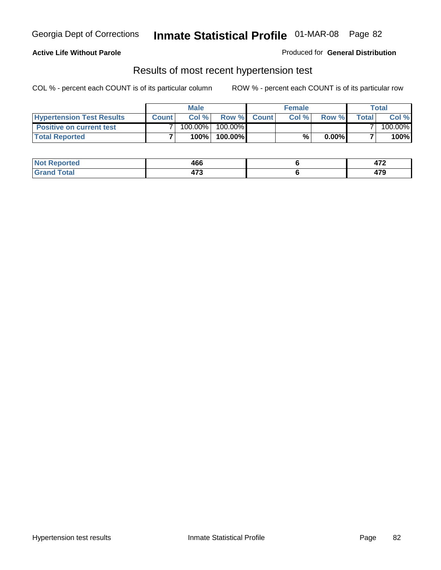### **Active Life Without Parole**

#### Produced for **General Distribution**

### Results of most recent hypertension test

|                                  | <b>Male</b>  |         |            | <b>Female</b> |      |          | <b>Total</b> |         |
|----------------------------------|--------------|---------|------------|---------------|------|----------|--------------|---------|
| <b>Hypertension Test Results</b> | <b>Count</b> | Col %   |            | Row % Count   | Col% | Row %    | Totall       | Col %   |
| <b>Positive on current test</b>  |              | 100.00% | $100.00\%$ |               |      |          |              | 100.00% |
| <b>Total Reported</b>            |              | 100%    | 100.00%    |               | %    | $0.00\%$ |              | 100%    |

| orted      | 466       | ---<br>71 L |
|------------|-----------|-------------|
| <b>ota</b> | יי<br>- ט | יי<br>71 C  |